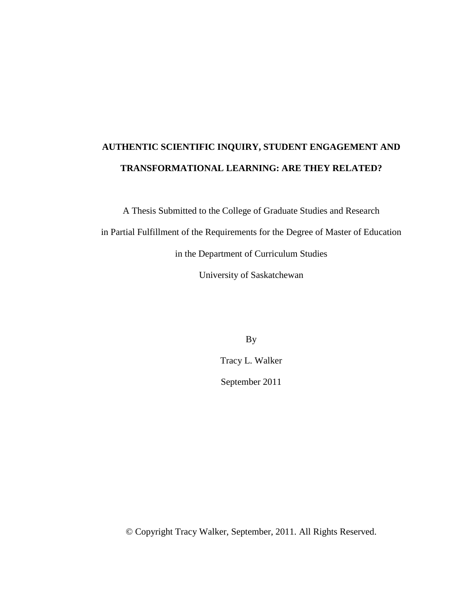# **AUTHENTIC SCIENTIFIC INQUIRY, STUDENT ENGAGEMENT AND TRANSFORMATIONAL LEARNING: ARE THEY RELATED?**

A Thesis Submitted to the College of Graduate Studies and Research in Partial Fulfillment of the Requirements for the Degree of Master of Education in the Department of Curriculum Studies

University of Saskatchewan

By

Tracy L. Walker

September 2011

© Copyright Tracy Walker, September, 2011. All Rights Reserved.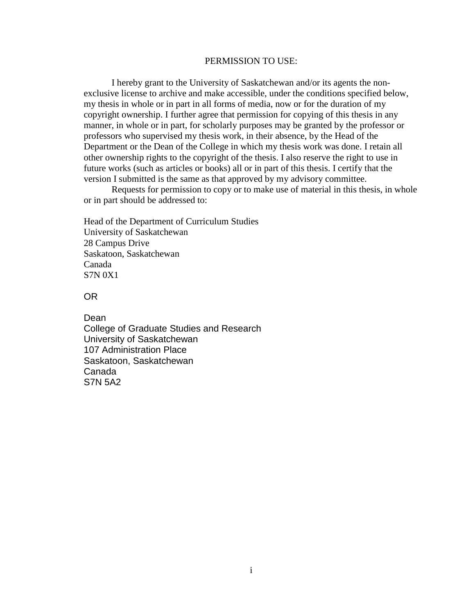#### PERMISSION TO USE:

I hereby grant to the University of Saskatchewan and/or its agents the nonexclusive license to archive and make accessible, under the conditions specified below, my thesis in whole or in part in all forms of media, now or for the duration of my copyright ownership. I further agree that permission for copying of this thesis in any manner, in whole or in part, for scholarly purposes may be granted by the professor or professors who supervised my thesis work, in their absence, by the Head of the Department or the Dean of the College in which my thesis work was done. I retain all other ownership rights to the copyright of the thesis. I also reserve the right to use in future works (such as articles or books) all or in part of this thesis. I certify that the version I submitted is the same as that approved by my advisory committee.

Requests for permission to copy or to make use of material in this thesis, in whole or in part should be addressed to:

Head of the Department of Curriculum Studies University of Saskatchewan 28 Campus Drive Saskatoon, Saskatchewan Canada S7N 0X1

OR

Dean College of Graduate Studies and Research University of Saskatchewan 107 Administration Place Saskatoon, Saskatchewan Canada S7N 5A2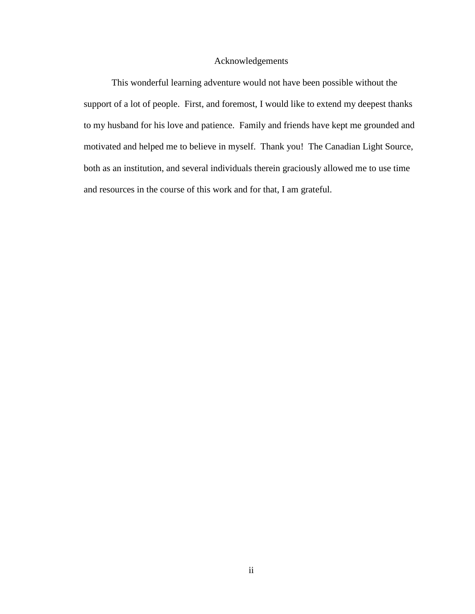### Acknowledgements

<span id="page-2-0"></span>This wonderful learning adventure would not have been possible without the support of a lot of people. First, and foremost, I would like to extend my deepest thanks to my husband for his love and patience. Family and friends have kept me grounded and motivated and helped me to believe in myself. Thank you! The Canadian Light Source, both as an institution, and several individuals therein graciously allowed me to use time and resources in the course of this work and for that, I am grateful.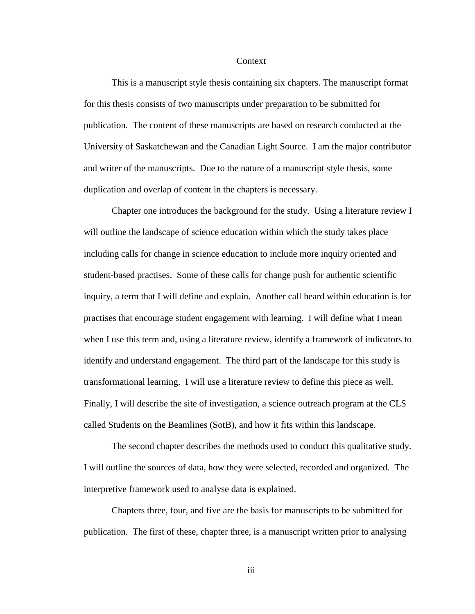#### Context

<span id="page-3-0"></span>This is a manuscript style thesis containing six chapters. The manuscript format for this thesis consists of two manuscripts under preparation to be submitted for publication. The content of these manuscripts are based on research conducted at the University of Saskatchewan and the Canadian Light Source. I am the major contributor and writer of the manuscripts. Due to the nature of a manuscript style thesis, some duplication and overlap of content in the chapters is necessary.

Chapter one introduces the background for the study. Using a literature review I will outline the landscape of science education within which the study takes place including calls for change in science education to include more inquiry oriented and student-based practises. Some of these calls for change push for authentic scientific inquiry, a term that I will define and explain. Another call heard within education is for practises that encourage student engagement with learning. I will define what I mean when I use this term and, using a literature review, identify a framework of indicators to identify and understand engagement. The third part of the landscape for this study is transformational learning. I will use a literature review to define this piece as well. Finally, I will describe the site of investigation, a science outreach program at the CLS called Students on the Beamlines (SotB), and how it fits within this landscape.

The second chapter describes the methods used to conduct this qualitative study. I will outline the sources of data, how they were selected, recorded and organized. The interpretive framework used to analyse data is explained.

Chapters three, four, and five are the basis for manuscripts to be submitted for publication. The first of these, chapter three, is a manuscript written prior to analysing

iii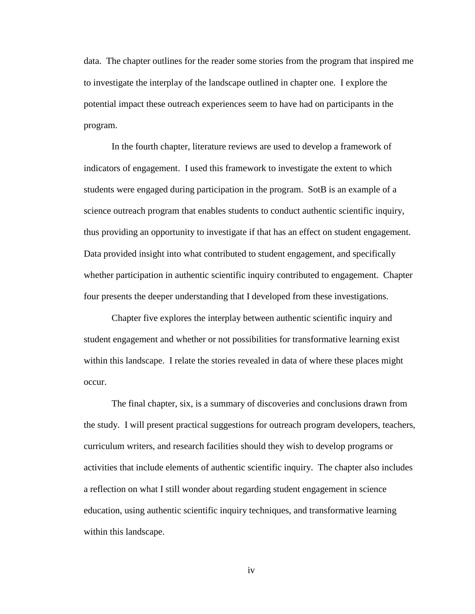data. The chapter outlines for the reader some stories from the program that inspired me to investigate the interplay of the landscape outlined in chapter one. I explore the potential impact these outreach experiences seem to have had on participants in the program.

In the fourth chapter, literature reviews are used to develop a framework of indicators of engagement. I used this framework to investigate the extent to which students were engaged during participation in the program. SotB is an example of a science outreach program that enables students to conduct authentic scientific inquiry, thus providing an opportunity to investigate if that has an effect on student engagement. Data provided insight into what contributed to student engagement, and specifically whether participation in authentic scientific inquiry contributed to engagement. Chapter four presents the deeper understanding that I developed from these investigations.

Chapter five explores the interplay between authentic scientific inquiry and student engagement and whether or not possibilities for transformative learning exist within this landscape. I relate the stories revealed in data of where these places might occur.

The final chapter, six, is a summary of discoveries and conclusions drawn from the study. I will present practical suggestions for outreach program developers, teachers, curriculum writers, and research facilities should they wish to develop programs or activities that include elements of authentic scientific inquiry. The chapter also includes a reflection on what I still wonder about regarding student engagement in science education, using authentic scientific inquiry techniques, and transformative learning within this landscape.

iv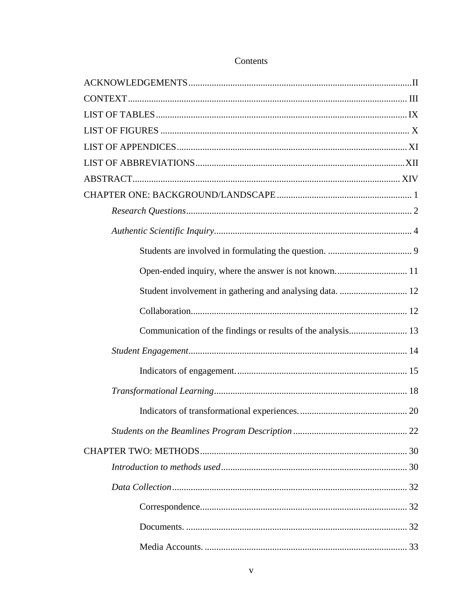|  | Contents |  |
|--|----------|--|
|  |          |  |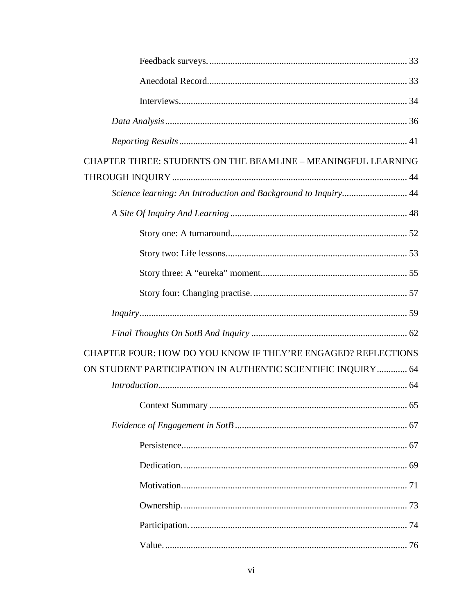| CHAPTER THREE: STUDENTS ON THE BEAMLINE - MEANINGFUL LEARNING  |  |
|----------------------------------------------------------------|--|
|                                                                |  |
| Science learning: An Introduction and Background to Inquiry 44 |  |
|                                                                |  |
|                                                                |  |
|                                                                |  |
|                                                                |  |
|                                                                |  |
|                                                                |  |
|                                                                |  |
|                                                                |  |
| CHAPTER FOUR: HOW DO YOU KNOW IF THEY'RE ENGAGED? REFLECTIONS  |  |
| ON STUDENT PARTICIPATION IN AUTHENTIC SCIENTIFIC INQUIRY 64    |  |
|                                                                |  |
|                                                                |  |
|                                                                |  |
|                                                                |  |
|                                                                |  |
|                                                                |  |
|                                                                |  |
|                                                                |  |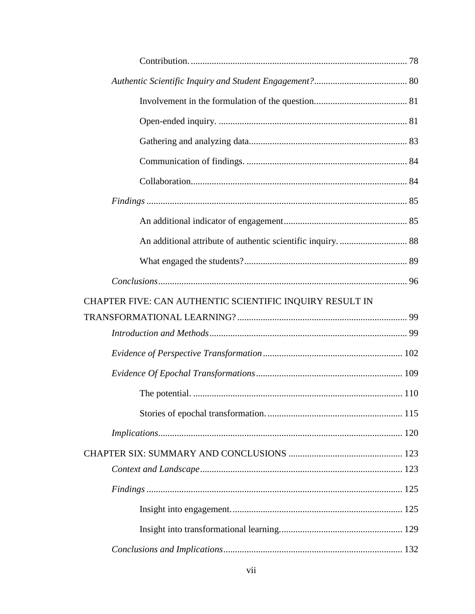| CHAPTER FIVE: CAN AUTHENTIC SCIENTIFIC INQUIRY RESULT IN |  |
|----------------------------------------------------------|--|
|                                                          |  |
|                                                          |  |
|                                                          |  |
|                                                          |  |
|                                                          |  |
|                                                          |  |
|                                                          |  |
|                                                          |  |
|                                                          |  |
|                                                          |  |
|                                                          |  |
|                                                          |  |
|                                                          |  |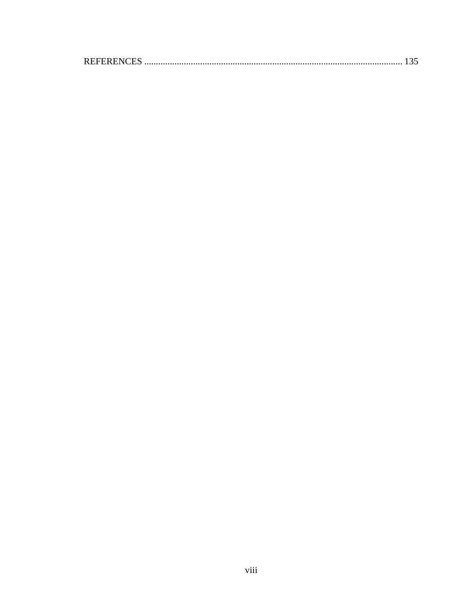|--|--|--|--|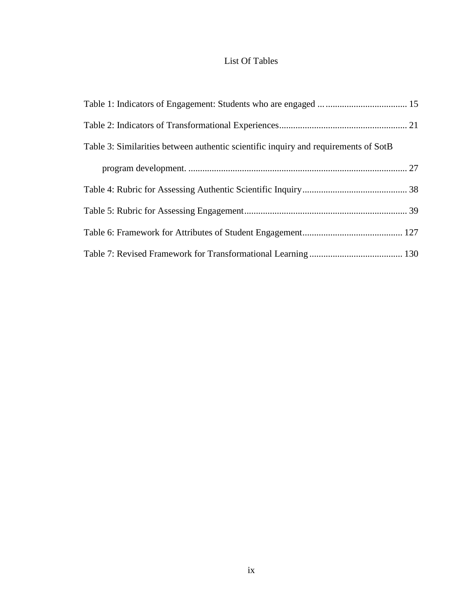## List Of Tables

<span id="page-9-0"></span>

| Table 3: Similarities between authentic scientific inquiry and requirements of SotB |  |
|-------------------------------------------------------------------------------------|--|
|                                                                                     |  |
|                                                                                     |  |
|                                                                                     |  |
|                                                                                     |  |
|                                                                                     |  |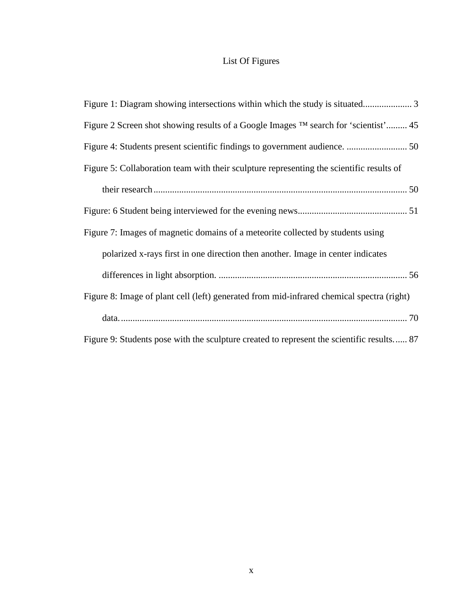## List Of Figures

<span id="page-10-0"></span>

| Figure 2 Screen shot showing results of a Google Images <sup>TM</sup> search for 'scientist' 45 |
|-------------------------------------------------------------------------------------------------|
|                                                                                                 |
| Figure 5: Collaboration team with their sculpture representing the scientific results of        |
|                                                                                                 |
|                                                                                                 |
| Figure 7: Images of magnetic domains of a meteorite collected by students using                 |
| polarized x-rays first in one direction then another. Image in center indicates                 |
|                                                                                                 |
| Figure 8: Image of plant cell (left) generated from mid-infrared chemical spectra (right)       |
|                                                                                                 |
| Figure 9: Students pose with the sculpture created to represent the scientific results 87       |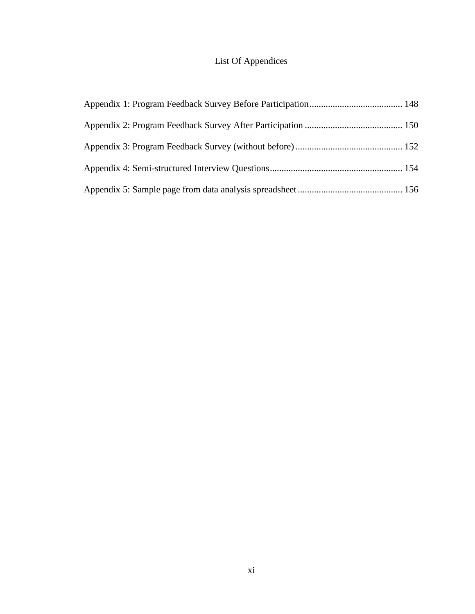## List Of Appendices

<span id="page-11-0"></span>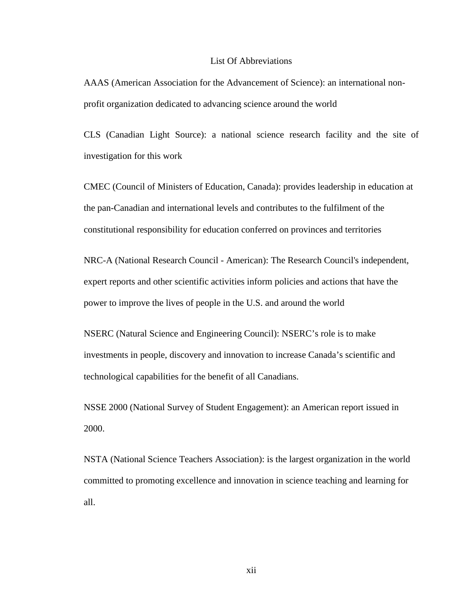#### List Of Abbreviations

<span id="page-12-0"></span>AAAS (American Association for the Advancement of Science): an international nonprofit organization dedicated to advancing science around the world

CLS (Canadian Light Source): a national science research facility and the site of investigation for this work

CMEC (Council of Ministers of Education, Canada): provides leadership in education at the pan-Canadian and international levels and contributes to the fulfilment of the constitutional responsibility for education conferred on provinces and territories

NRC-A (National Research Council - American): The Research Council's independent, expert reports and other scientific activities inform policies and actions that have the power to improve the lives of people in the U.S. and around the world

NSERC (Natural Science and Engineering Council): NSERC's role is to make investments in people, discovery and innovation to increase Canada's scientific and technological capabilities for the benefit of all Canadians.

NSSE 2000 (National Survey of Student Engagement): an American report issued in 2000.

NSTA (National Science Teachers Association): is the largest organization in the world committed to promoting excellence and innovation in science teaching and learning for all.

xii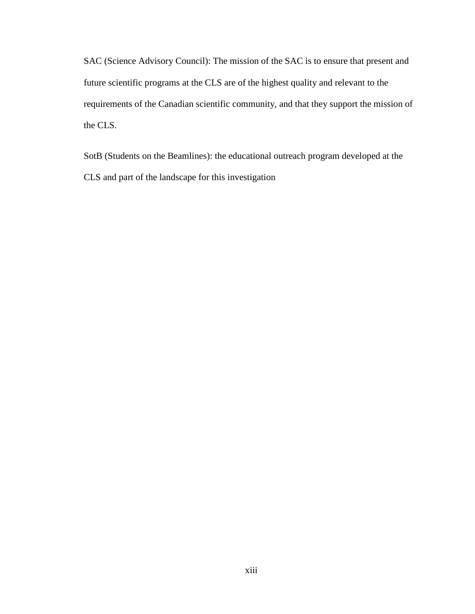SAC (Science Advisory Council): The mission of the SAC is to ensure that present and future scientific programs at the CLS are of the highest quality and relevant to the requirements of the Canadian scientific community, and that they support the mission of the CLS.

SotB (Students on the Beamlines): the educational outreach program developed at the CLS and part of the landscape for this investigation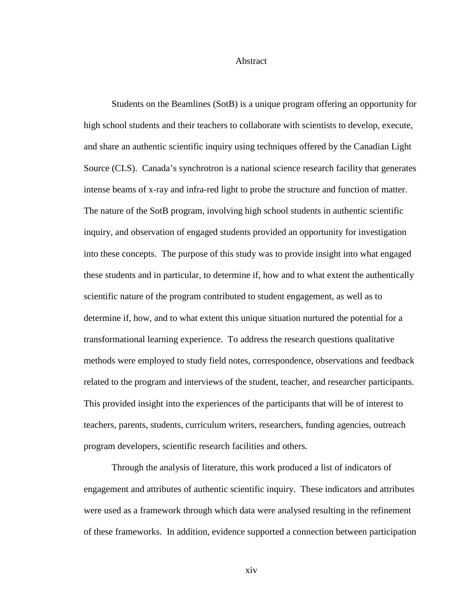#### Abstract

<span id="page-14-0"></span>Students on the Beamlines (SotB) is a unique program offering an opportunity for high school students and their teachers to collaborate with scientists to develop, execute, and share an authentic scientific inquiry using techniques offered by the Canadian Light Source (CLS). Canada's synchrotron is a national science research facility that generates intense beams of x-ray and infra-red light to probe the structure and function of matter. The nature of the SotB program, involving high school students in authentic scientific inquiry, and observation of engaged students provided an opportunity for investigation into these concepts. The purpose of this study was to provide insight into what engaged these students and in particular, to determine if, how and to what extent the authentically scientific nature of the program contributed to student engagement, as well as to determine if, how, and to what extent this unique situation nurtured the potential for a transformational learning experience. To address the research questions qualitative methods were employed to study field notes, correspondence, observations and feedback related to the program and interviews of the student, teacher, and researcher participants. This provided insight into the experiences of the participants that will be of interest to teachers, parents, students, curriculum writers, researchers, funding agencies, outreach program developers, scientific research facilities and others.

Through the analysis of literature, this work produced a list of indicators of engagement and attributes of authentic scientific inquiry. These indicators and attributes were used as a framework through which data were analysed resulting in the refinement of these frameworks. In addition, evidence supported a connection between participation

xiv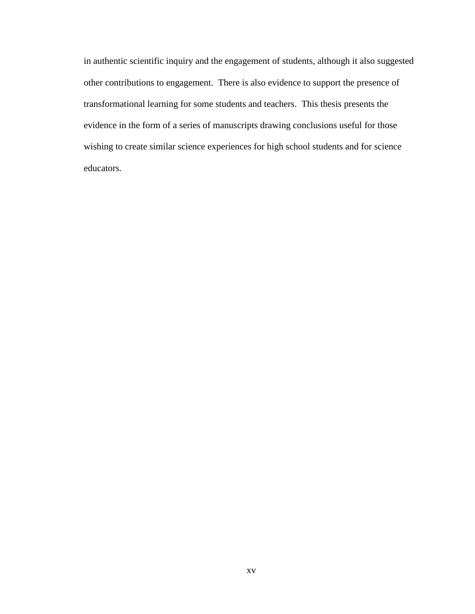in authentic scientific inquiry and the engagement of students, although it also suggested other contributions to engagement. There is also evidence to support the presence of transformational learning for some students and teachers. This thesis presents the evidence in the form of a series of manuscripts drawing conclusions useful for those wishing to create similar science experiences for high school students and for science educators.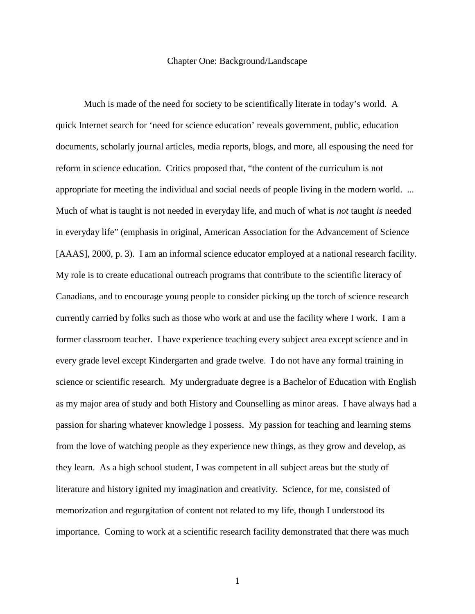#### Chapter One: Background/Landscape

<span id="page-16-0"></span>Much is made of the need for society to be scientifically literate in today's world. A quick Internet search for 'need for science education' reveals government, public, education documents, scholarly journal articles, media reports, blogs, and more, all espousing the need for reform in science education. Critics proposed that, "the content of the curriculum is not appropriate for meeting the individual and social needs of people living in the modern world. ... Much of what is taught is not needed in everyday life, and much of what is *not* taught *is* needed in everyday life" (emphasis in original, American Association for the Advancement of Science [AAAS], 2000, p. 3). I am an informal science educator employed at a national research facility. My role is to create educational outreach programs that contribute to the scientific literacy of Canadians, and to encourage young people to consider picking up the torch of science research currently carried by folks such as those who work at and use the facility where I work. I am a former classroom teacher. I have experience teaching every subject area except science and in every grade level except Kindergarten and grade twelve. I do not have any formal training in science or scientific research. My undergraduate degree is a Bachelor of Education with English as my major area of study and both History and Counselling as minor areas. I have always had a passion for sharing whatever knowledge I possess. My passion for teaching and learning stems from the love of watching people as they experience new things, as they grow and develop, as they learn. As a high school student, I was competent in all subject areas but the study of literature and history ignited my imagination and creativity. Science, for me, consisted of memorization and regurgitation of content not related to my life, though I understood its importance. Coming to work at a scientific research facility demonstrated that there was much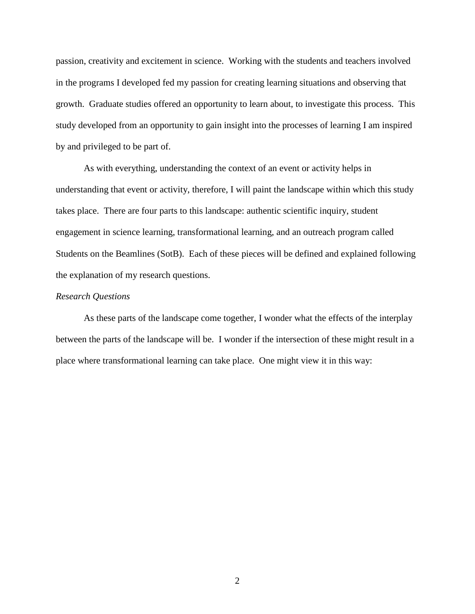passion, creativity and excitement in science. Working with the students and teachers involved in the programs I developed fed my passion for creating learning situations and observing that growth. Graduate studies offered an opportunity to learn about, to investigate this process. This study developed from an opportunity to gain insight into the processes of learning I am inspired by and privileged to be part of.

As with everything, understanding the context of an event or activity helps in understanding that event or activity, therefore, I will paint the landscape within which this study takes place. There are four parts to this landscape: authentic scientific inquiry, student engagement in science learning, transformational learning, and an outreach program called Students on the Beamlines (SotB). Each of these pieces will be defined and explained following the explanation of my research questions.

#### <span id="page-17-0"></span>*Research Questions*

As these parts of the landscape come together, I wonder what the effects of the interplay between the parts of the landscape will be. I wonder if the intersection of these might result in a place where transformational learning can take place. One might view it in this way: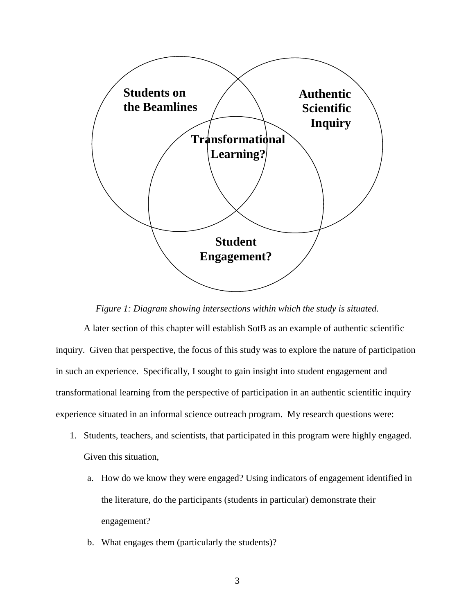

*Figure 1: Diagram showing intersections within which the study is situated.*

<span id="page-18-0"></span>A later section of this chapter will establish SotB as an example of authentic scientific inquiry. Given that perspective, the focus of this study was to explore the nature of participation in such an experience. Specifically, I sought to gain insight into student engagement and transformational learning from the perspective of participation in an authentic scientific inquiry experience situated in an informal science outreach program. My research questions were:

- 1. Students, teachers, and scientists, that participated in this program were highly engaged. Given this situation,
	- a. How do we know they were engaged? Using indicators of engagement identified in the literature, do the participants (students in particular) demonstrate their engagement?
	- b. What engages them (particularly the students)?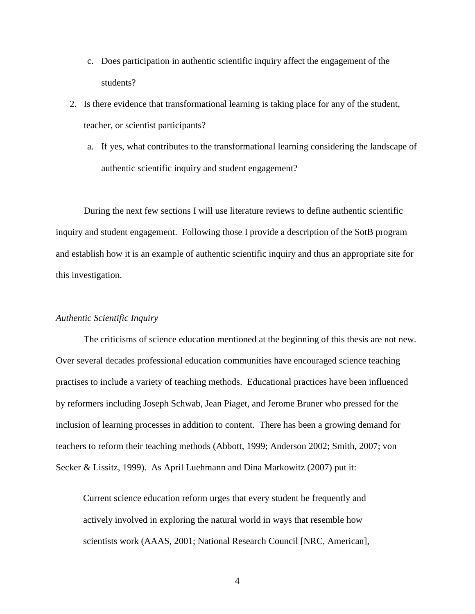- c. Does participation in authentic scientific inquiry affect the engagement of the students?
- 2. Is there evidence that transformational learning is taking place for any of the student, teacher, or scientist participants?
	- a. If yes, what contributes to the transformational learning considering the landscape of authentic scientific inquiry and student engagement?

During the next few sections I will use literature reviews to define authentic scientific inquiry and student engagement. Following those I provide a description of the SotB program and establish how it is an example of authentic scientific inquiry and thus an appropriate site for this investigation.

#### <span id="page-19-0"></span>*Authentic Scientific Inquiry*

The criticisms of science education mentioned at the beginning of this thesis are not new. Over several decades professional education communities have encouraged science teaching practises to include a variety of teaching methods. Educational practices have been influenced by reformers including Joseph Schwab, Jean Piaget, and Jerome Bruner who pressed for the inclusion of learning processes in addition to content. There has been a growing demand for teachers to reform their teaching methods (Abbott, 1999; Anderson 2002; Smith, 2007; von Secker & Lissitz, 1999). As April Luehmann and Dina Markowitz (2007) put it:

Current science education reform urges that every student be frequently and actively involved in exploring the natural world in ways that resemble how scientists work (AAAS, 2001; National Research Council [NRC, American],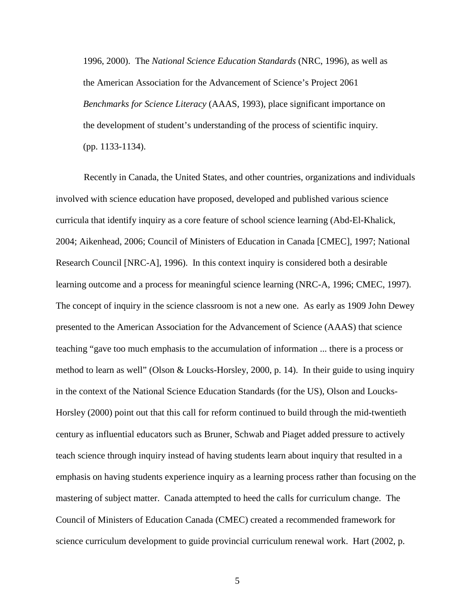1996, 2000). The *National Science Education Standards* (NRC, 1996), as well as the American Association for the Advancement of Science's Project 2061 *Benchmarks for Science Literacy* (AAAS, 1993), place significant importance on the development of student's understanding of the process of scientific inquiry. (pp. 1133-1134).

Recently in Canada, the United States, and other countries, organizations and individuals involved with science education have proposed, developed and published various science curricula that identify inquiry as a core feature of school science learning (Abd-El-Khalick, 2004; Aikenhead, 2006; Council of Ministers of Education in Canada [CMEC], 1997; National Research Council [NRC-A], 1996). In this context inquiry is considered both a desirable learning outcome and a process for meaningful science learning (NRC-A, 1996; CMEC, 1997). The concept of inquiry in the science classroom is not a new one. As early as 1909 John Dewey presented to the American Association for the Advancement of Science (AAAS) that science teaching "gave too much emphasis to the accumulation of information ... there is a process or method to learn as well" (Olson & Loucks-Horsley, 2000, p. 14). In their guide to using inquiry in the context of the National Science Education Standards (for the US), Olson and Loucks-Horsley (2000) point out that this call for reform continued to build through the mid-twentieth century as influential educators such as Bruner, Schwab and Piaget added pressure to actively teach science through inquiry instead of having students learn about inquiry that resulted in a emphasis on having students experience inquiry as a learning process rather than focusing on the mastering of subject matter. Canada attempted to heed the calls for curriculum change. The Council of Ministers of Education Canada (CMEC) created a recommended framework for science curriculum development to guide provincial curriculum renewal work. Hart (2002, p.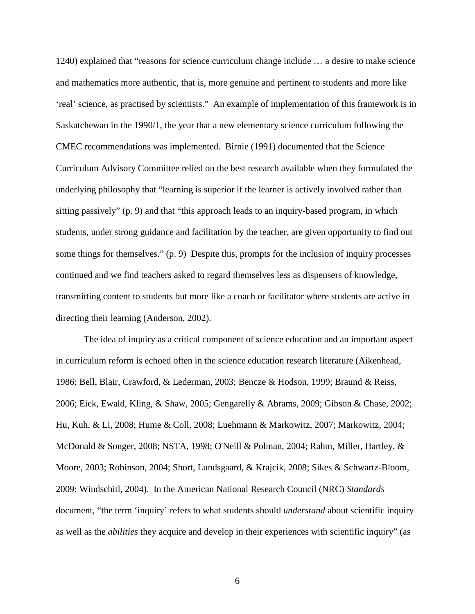1240) explained that "reasons for science curriculum change include … a desire to make science and mathematics more authentic, that is, more genuine and pertinent to students and more like 'real' science, as practised by scientists." An example of implementation of this framework is in Saskatchewan in the 1990/1, the year that a new elementary science curriculum following the CMEC recommendations was implemented. Birnie (1991) documented that the Science Curriculum Advisory Committee relied on the best research available when they formulated the underlying philosophy that "learning is superior if the learner is actively involved rather than sitting passively" (p. 9) and that "this approach leads to an inquiry-based program, in which students, under strong guidance and facilitation by the teacher, are given opportunity to find out some things for themselves." (p. 9) Despite this, prompts for the inclusion of inquiry processes continued and we find teachers asked to regard themselves less as dispensers of knowledge, transmitting content to students but more like a coach or facilitator where students are active in directing their learning (Anderson, 2002).

The idea of inquiry as a critical component of science education and an important aspect in curriculum reform is echoed often in the science education research literature (Aikenhead, 1986; Bell, Blair, Crawford, & Lederman, 2003; Bencze & Hodson, 1999; Braund & Reiss, 2006; Eick, Ewald, Kling, & Shaw, 2005; Gengarelly & Abrams, 2009; Gibson & Chase, 2002; Hu, Kuh, & Li, 2008; Hume & Coll, 2008; Luehmann & Markowitz, 2007; Markowitz, 2004; McDonald & Songer, 2008; NSTA, 1998; O'Neill & Polman, 2004; Rahm, Miller, Hartley, & Moore, 2003; Robinson, 2004; Short, Lundsgaard, & Krajcik, 2008; Sikes & Schwartz-Bloom, 2009; Windschitl, 2004). In the American National Research Council (NRC) *Standards* document, "the term 'inquiry' refers to what students should *understand* about scientific inquiry as well as the *abilities* they acquire and develop in their experiences with scientific inquiry" (as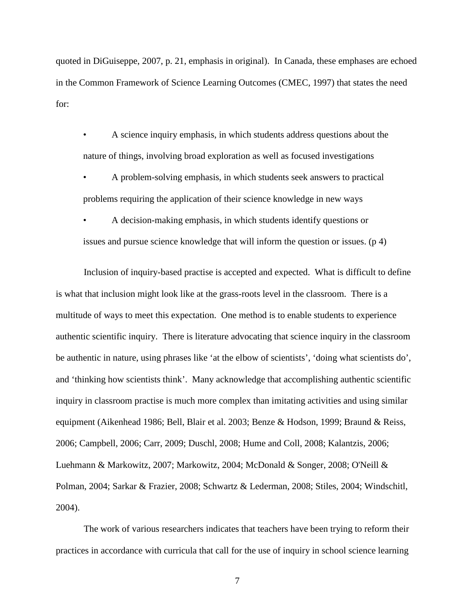quoted in DiGuiseppe, 2007, p. 21, emphasis in original). In Canada, these emphases are echoed in the Common Framework of Science Learning Outcomes (CMEC, 1997) that states the need for:

• A science inquiry emphasis, in which students address questions about the nature of things, involving broad exploration as well as focused investigations

• A problem-solving emphasis, in which students seek answers to practical problems requiring the application of their science knowledge in new ways

• A decision-making emphasis, in which students identify questions or issues and pursue science knowledge that will inform the question or issues. (p 4)

Inclusion of inquiry-based practise is accepted and expected. What is difficult to define is what that inclusion might look like at the grass-roots level in the classroom. There is a multitude of ways to meet this expectation. One method is to enable students to experience authentic scientific inquiry. There is literature advocating that science inquiry in the classroom be authentic in nature, using phrases like 'at the elbow of scientists', 'doing what scientists do', and 'thinking how scientists think'. Many acknowledge that accomplishing authentic scientific inquiry in classroom practise is much more complex than imitating activities and using similar equipment (Aikenhead 1986; Bell, Blair et al. 2003; Benze & Hodson, 1999; Braund & Reiss, 2006; Campbell, 2006; Carr, 2009; Duschl, 2008; Hume and Coll, 2008; Kalantzis, 2006; Luehmann & Markowitz, 2007; Markowitz, 2004; McDonald & Songer, 2008; O'Neill & Polman, 2004; Sarkar & Frazier, 2008; Schwartz & Lederman, 2008; Stiles, 2004; Windschitl, 2004).

The work of various researchers indicates that teachers have been trying to reform their practices in accordance with curricula that call for the use of inquiry in school science learning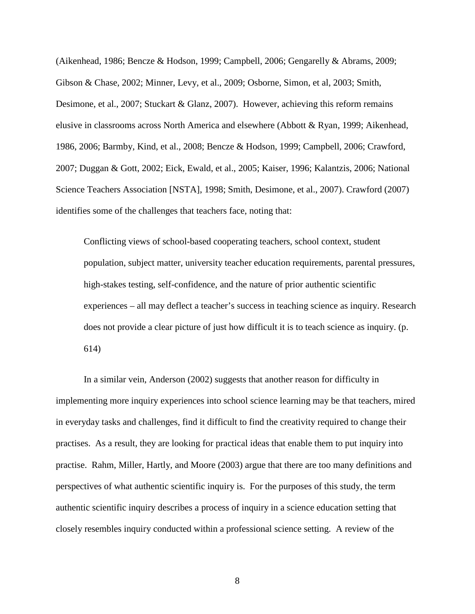(Aikenhead, 1986; Bencze & Hodson, 1999; Campbell, 2006; Gengarelly & Abrams, 2009; Gibson & Chase, 2002; Minner, Levy, et al., 2009; Osborne, Simon, et al, 2003; Smith, Desimone, et al., 2007; Stuckart & Glanz, 2007). However, achieving this reform remains elusive in classrooms across North America and elsewhere (Abbott & Ryan, 1999; Aikenhead, 1986, 2006; Barmby, Kind, et al., 2008; Bencze & Hodson, 1999; Campbell, 2006; Crawford, 2007; Duggan & Gott, 2002; Eick, Ewald, et al., 2005; Kaiser, 1996; Kalantzis, 2006; National Science Teachers Association [NSTA], 1998; Smith, Desimone, et al., 2007). Crawford (2007) identifies some of the challenges that teachers face, noting that:

Conflicting views of school-based cooperating teachers, school context, student population, subject matter, university teacher education requirements, parental pressures, high-stakes testing, self-confidence, and the nature of prior authentic scientific experiences – all may deflect a teacher's success in teaching science as inquiry. Research does not provide a clear picture of just how difficult it is to teach science as inquiry. (p. 614)

In a similar vein, Anderson (2002) suggests that another reason for difficulty in implementing more inquiry experiences into school science learning may be that teachers, mired in everyday tasks and challenges, find it difficult to find the creativity required to change their practises. As a result, they are looking for practical ideas that enable them to put inquiry into practise. Rahm, Miller, Hartly, and Moore (2003) argue that there are too many definitions and perspectives of what authentic scientific inquiry is. For the purposes of this study, the term authentic scientific inquiry describes a process of inquiry in a science education setting that closely resembles inquiry conducted within a professional science setting. A review of the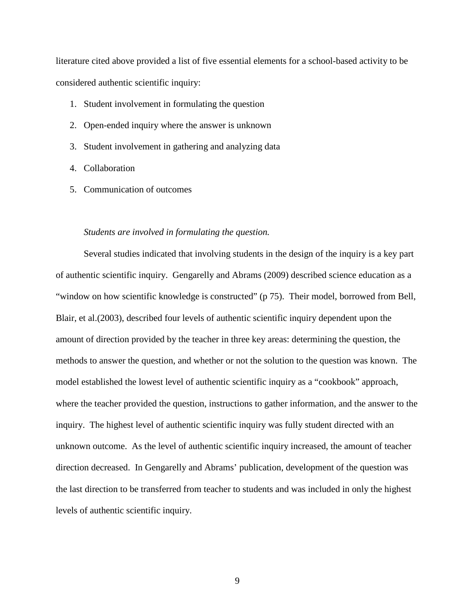literature cited above provided a list of five essential elements for a school-based activity to be considered authentic scientific inquiry:

- 1. Student involvement in formulating the question
- 2. Open-ended inquiry where the answer is unknown
- 3. Student involvement in gathering and analyzing data
- 4. Collaboration
- 5. Communication of outcomes

#### <span id="page-24-0"></span>*Students are involved in formulating the question.*

Several studies indicated that involving students in the design of the inquiry is a key part of authentic scientific inquiry. Gengarelly and Abrams (2009) described science education as a "window on how scientific knowledge is constructed" (p 75). Their model, borrowed from Bell, Blair, et al.(2003), described four levels of authentic scientific inquiry dependent upon the amount of direction provided by the teacher in three key areas: determining the question, the methods to answer the question, and whether or not the solution to the question was known. The model established the lowest level of authentic scientific inquiry as a "cookbook" approach, where the teacher provided the question, instructions to gather information, and the answer to the inquiry. The highest level of authentic scientific inquiry was fully student directed with an unknown outcome. As the level of authentic scientific inquiry increased, the amount of teacher direction decreased. In Gengarelly and Abrams' publication, development of the question was the last direction to be transferred from teacher to students and was included in only the highest levels of authentic scientific inquiry.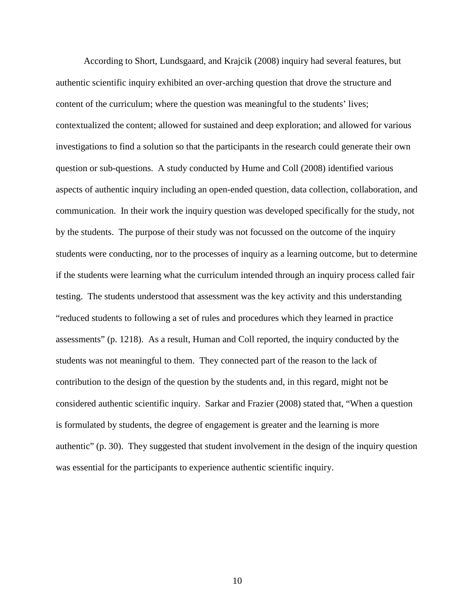According to Short, Lundsgaard, and Krajcik (2008) inquiry had several features, but authentic scientific inquiry exhibited an over-arching question that drove the structure and content of the curriculum; where the question was meaningful to the students' lives; contextualized the content; allowed for sustained and deep exploration; and allowed for various investigations to find a solution so that the participants in the research could generate their own question or sub-questions. A study conducted by Hume and Coll (2008) identified various aspects of authentic inquiry including an open-ended question, data collection, collaboration, and communication. In their work the inquiry question was developed specifically for the study, not by the students. The purpose of their study was not focussed on the outcome of the inquiry students were conducting, nor to the processes of inquiry as a learning outcome, but to determine if the students were learning what the curriculum intended through an inquiry process called fair testing. The students understood that assessment was the key activity and this understanding "reduced students to following a set of rules and procedures which they learned in practice assessments" (p. 1218). As a result, Human and Coll reported, the inquiry conducted by the students was not meaningful to them. They connected part of the reason to the lack of contribution to the design of the question by the students and, in this regard, might not be considered authentic scientific inquiry. Sarkar and Frazier (2008) stated that, "When a question is formulated by students, the degree of engagement is greater and the learning is more authentic" (p. 30). They suggested that student involvement in the design of the inquiry question was essential for the participants to experience authentic scientific inquiry.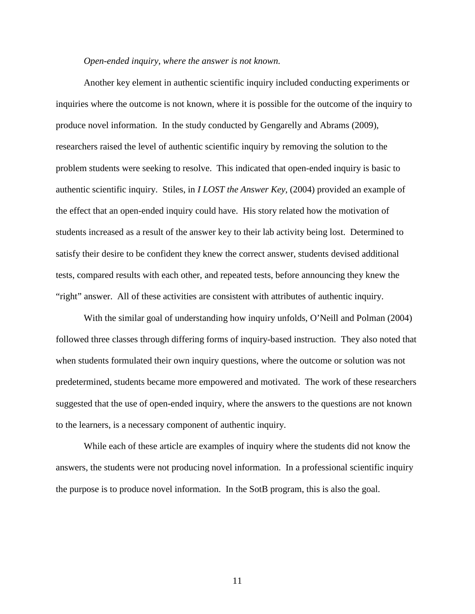#### <span id="page-26-0"></span>*Open-ended inquiry, where the answer is not known.*

Another key element in authentic scientific inquiry included conducting experiments or inquiries where the outcome is not known, where it is possible for the outcome of the inquiry to produce novel information. In the study conducted by Gengarelly and Abrams (2009), researchers raised the level of authentic scientific inquiry by removing the solution to the problem students were seeking to resolve. This indicated that open-ended inquiry is basic to authentic scientific inquiry. Stiles, in *I LOST the Answer Key*, (2004) provided an example of the effect that an open-ended inquiry could have. His story related how the motivation of students increased as a result of the answer key to their lab activity being lost. Determined to satisfy their desire to be confident they knew the correct answer, students devised additional tests, compared results with each other, and repeated tests, before announcing they knew the "right" answer. All of these activities are consistent with attributes of authentic inquiry.

With the similar goal of understanding how inquiry unfolds, O'Neill and Polman (2004) followed three classes through differing forms of inquiry-based instruction. They also noted that when students formulated their own inquiry questions, where the outcome or solution was not predetermined, students became more empowered and motivated. The work of these researchers suggested that the use of open-ended inquiry, where the answers to the questions are not known to the learners, is a necessary component of authentic inquiry.

While each of these article are examples of inquiry where the students did not know the answers, the students were not producing novel information. In a professional scientific inquiry the purpose is to produce novel information. In the SotB program, this is also the goal.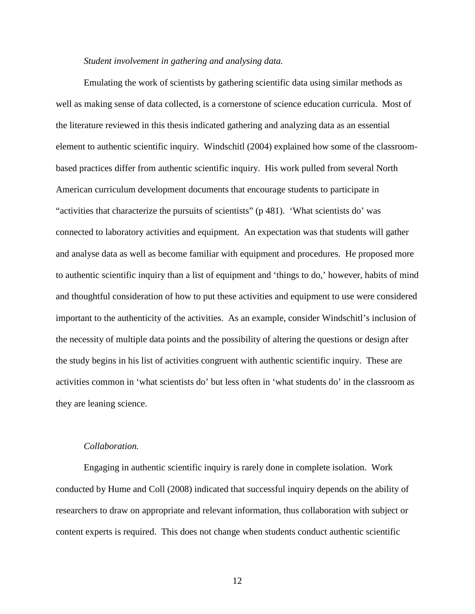#### <span id="page-27-0"></span>*Student involvement in gathering and analysing data.*

Emulating the work of scientists by gathering scientific data using similar methods as well as making sense of data collected, is a cornerstone of science education curricula. Most of the literature reviewed in this thesis indicated gathering and analyzing data as an essential element to authentic scientific inquiry. Windschitl (2004) explained how some of the classroombased practices differ from authentic scientific inquiry. His work pulled from several North American curriculum development documents that encourage students to participate in "activities that characterize the pursuits of scientists" (p 481). 'What scientists do' was connected to laboratory activities and equipment. An expectation was that students will gather and analyse data as well as become familiar with equipment and procedures. He proposed more to authentic scientific inquiry than a list of equipment and 'things to do,' however, habits of mind and thoughtful consideration of how to put these activities and equipment to use were considered important to the authenticity of the activities. As an example, consider Windschitl's inclusion of the necessity of multiple data points and the possibility of altering the questions or design after the study begins in his list of activities congruent with authentic scientific inquiry. These are activities common in 'what scientists do' but less often in 'what students do' in the classroom as they are leaning science.

#### <span id="page-27-1"></span>*Collaboration.*

Engaging in authentic scientific inquiry is rarely done in complete isolation. Work conducted by Hume and Coll (2008) indicated that successful inquiry depends on the ability of researchers to draw on appropriate and relevant information, thus collaboration with subject or content experts is required. This does not change when students conduct authentic scientific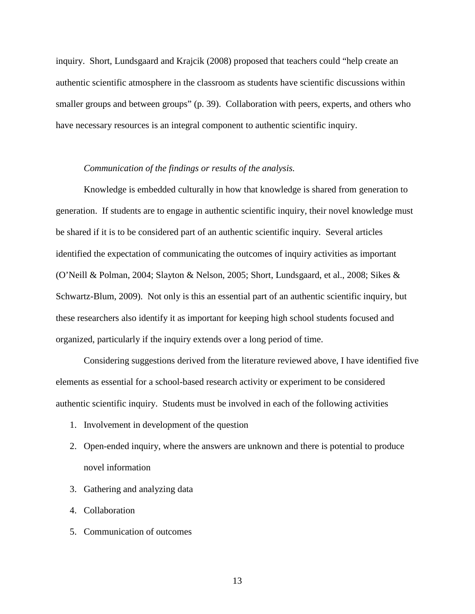inquiry. Short, Lundsgaard and Krajcik (2008) proposed that teachers could "help create an authentic scientific atmosphere in the classroom as students have scientific discussions within smaller groups and between groups" (p. 39). Collaboration with peers, experts, and others who have necessary resources is an integral component to authentic scientific inquiry.

#### <span id="page-28-0"></span>*Communication of the findings or results of the analysis.*

Knowledge is embedded culturally in how that knowledge is shared from generation to generation. If students are to engage in authentic scientific inquiry, their novel knowledge must be shared if it is to be considered part of an authentic scientific inquiry. Several articles identified the expectation of communicating the outcomes of inquiry activities as important (O'Neill & Polman, 2004; Slayton & Nelson, 2005; Short, Lundsgaard, et al., 2008; Sikes & Schwartz-Blum, 2009). Not only is this an essential part of an authentic scientific inquiry, but these researchers also identify it as important for keeping high school students focused and organized, particularly if the inquiry extends over a long period of time.

Considering suggestions derived from the literature reviewed above, I have identified five elements as essential for a school-based research activity or experiment to be considered authentic scientific inquiry. Students must be involved in each of the following activities

- 1. Involvement in development of the question
- 2. Open-ended inquiry, where the answers are unknown and there is potential to produce novel information
- 3. Gathering and analyzing data
- 4. Collaboration
- 5. Communication of outcomes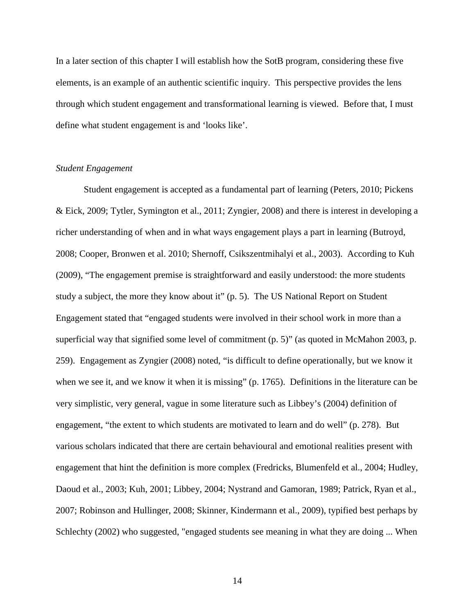In a later section of this chapter I will establish how the SotB program, considering these five elements, is an example of an authentic scientific inquiry. This perspective provides the lens through which student engagement and transformational learning is viewed. Before that, I must define what student engagement is and 'looks like'.

#### <span id="page-29-0"></span>*Student Engagement*

Student engagement is accepted as a fundamental part of learning (Peters, 2010; Pickens & Eick, 2009; Tytler, Symington et al., 2011; Zyngier, 2008) and there is interest in developing a richer understanding of when and in what ways engagement plays a part in learning (Butroyd, 2008; Cooper, Bronwen et al. 2010; Shernoff, Csikszentmihalyi et al., 2003). According to Kuh (2009), "The engagement premise is straightforward and easily understood: the more students study a subject, the more they know about it" (p. 5). The US National Report on Student Engagement stated that "engaged students were involved in their school work in more than a superficial way that signified some level of commitment (p. 5)" (as quoted in McMahon 2003, p. 259). Engagement as Zyngier (2008) noted, "is difficult to define operationally, but we know it when we see it, and we know it when it is missing" (p. 1765). Definitions in the literature can be very simplistic, very general, vague in some literature such as Libbey's (2004) definition of engagement, "the extent to which students are motivated to learn and do well" (p. 278). But various scholars indicated that there are certain behavioural and emotional realities present with engagement that hint the definition is more complex (Fredricks, Blumenfeld et al., 2004; Hudley, Daoud et al., 2003; Kuh, 2001; Libbey, 2004; Nystrand and Gamoran, 1989; Patrick, Ryan et al., 2007; Robinson and Hullinger, 2008; Skinner, Kindermann et al., 2009), typified best perhaps by Schlechty (2002) who suggested, "engaged students see meaning in what they are doing ... When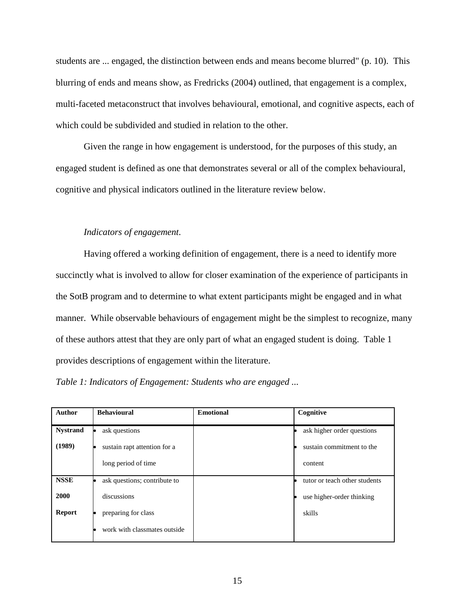students are ... engaged, the distinction between ends and means become blurred" (p. 10). This blurring of ends and means show, as Fredricks (2004) outlined, that engagement is a complex, multi-faceted metaconstruct that involves behavioural, emotional, and cognitive aspects, each of which could be subdivided and studied in relation to the other.

Given the range in how engagement is understood, for the purposes of this study, an engaged student is defined as one that demonstrates several or all of the complex behavioural, cognitive and physical indicators outlined in the literature review below.

### <span id="page-30-0"></span>*Indicators of engagement.*

Having offered a working definition of engagement, there is a need to identify more succinctly what is involved to allow for closer examination of the experience of participants in the SotB program and to determine to what extent participants might be engaged and in what manner. While observable behaviours of engagement might be the simplest to recognize, many of these authors attest that they are only part of what an engaged student is doing. Table 1 provides descriptions of engagement within the literature.

| <b>Author</b>   | <b>Behavioural</b>           | <b>Emotional</b> | Cognitive                     |
|-----------------|------------------------------|------------------|-------------------------------|
| <b>Nystrand</b> | ask questions                |                  | ask higher order questions    |
| (1989)          | sustain rapt attention for a |                  | sustain commitment to the     |
|                 | long period of time          |                  | content                       |
| <b>NSSE</b>     | ask questions; contribute to |                  | tutor or teach other students |
| 2000            | discussions                  |                  | use higher-order thinking     |
| <b>Report</b>   | preparing for class          |                  | skills                        |
|                 | work with classmates outside |                  |                               |

<span id="page-30-1"></span>*Table 1: Indicators of Engagement: Students who are engaged ...*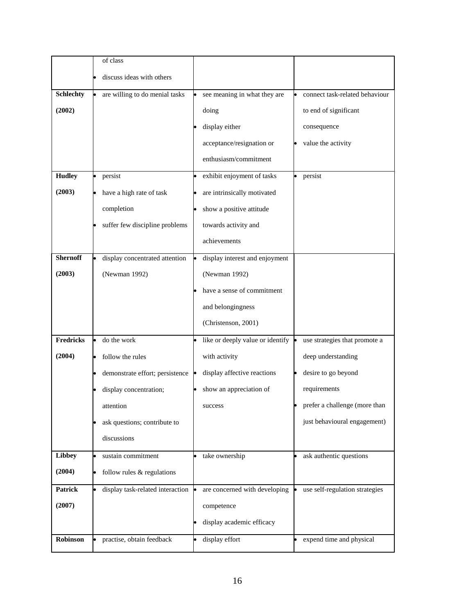|                  | of class                               |                                  |                                |
|------------------|----------------------------------------|----------------------------------|--------------------------------|
|                  | discuss ideas with others              |                                  |                                |
| <b>Schlechty</b> | are willing to do menial tasks         | see meaning in what they are     | connect task-related behaviour |
| (2002)           |                                        | doing                            | to end of significant          |
|                  |                                        | display either                   | consequence                    |
|                  |                                        |                                  |                                |
|                  |                                        | acceptance/resignation or        | value the activity             |
|                  |                                        | enthusiasm/commitment            |                                |
| <b>Hudley</b>    | persist                                | exhibit enjoyment of tasks       | persist                        |
| (2003)           | have a high rate of task               | are intrinsically motivated      |                                |
|                  | completion                             | show a positive attitude         |                                |
|                  | suffer few discipline problems         | towards activity and             |                                |
|                  |                                        | achievements                     |                                |
| <b>Shernoff</b>  | display concentrated attention         | display interest and enjoyment   |                                |
| (2003)           | (Newman 1992)                          | (Newman 1992)                    |                                |
|                  |                                        | have a sense of commitment       |                                |
|                  |                                        |                                  |                                |
|                  |                                        | and belongingness                |                                |
|                  |                                        | (Christenson, 2001)              |                                |
| <b>Fredricks</b> | do the work                            | like or deeply value or identify | use strategies that promote a  |
| (2004)           | follow the rules                       | with activity                    | deep understanding             |
|                  | demonstrate effort; persistence        | display affective reactions      | desire to go beyond            |
|                  | display concentration;                 | show an appreciation of          | requirements                   |
|                  | attention                              | success                          | prefer a challenge (more than  |
|                  | ask questions; contribute to           |                                  | just behavioural engagement)   |
|                  | discussions                            |                                  |                                |
| <b>Libbey</b>    | sustain commitment                     | take ownership                   | ask authentic questions        |
|                  |                                        |                                  |                                |
| (2004)           | l.<br>follow rules & regulations       |                                  |                                |
| <b>Patrick</b>   | display task-related interaction<br>l. | are concerned with developing    | use self-regulation strategies |
| (2007)           |                                        | competence                       |                                |
|                  |                                        | display academic efficacy        |                                |
| Robinson         | practise, obtain feedback              | display effort                   | expend time and physical       |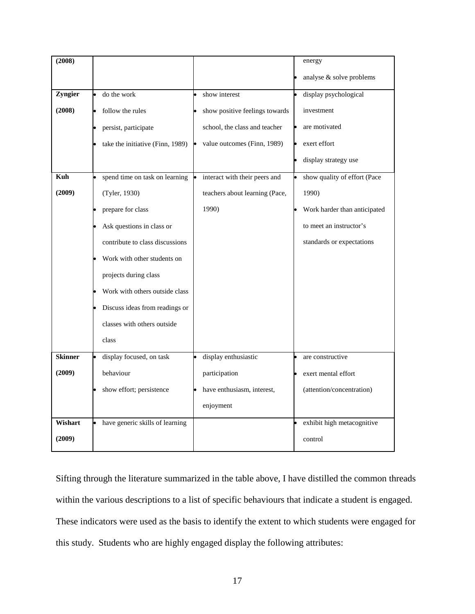| (2008)         |                                  |                                | energy                       |
|----------------|----------------------------------|--------------------------------|------------------------------|
|                |                                  |                                | analyse & solve problems     |
| Zyngier        | do the work                      | show interest                  | display psychological        |
| (2008)         | follow the rules                 | show positive feelings towards | investment                   |
|                | persist, participate             | school, the class and teacher  | are motivated                |
|                | take the initiative (Finn, 1989) | value outcomes (Finn, 1989)    | exert effort                 |
|                |                                  |                                | display strategy use         |
| Kuh            | spend time on task on learning   | interact with their peers and  | show quality of effort (Pace |
| (2009)         | (Tyler, 1930)                    | teachers about learning (Pace, | 1990)                        |
|                | prepare for class                | 1990)                          | Work harder than anticipated |
|                | Ask questions in class or        |                                | to meet an instructor's      |
|                | contribute to class discussions  |                                | standards or expectations    |
|                | Work with other students on      |                                |                              |
|                | projects during class            |                                |                              |
|                | Work with others outside class   |                                |                              |
|                | Discuss ideas from readings or   |                                |                              |
|                | classes with others outside      |                                |                              |
|                | class                            |                                |                              |
| <b>Skinner</b> | display focused, on task         | display enthusiastic           | are constructive             |
| (2009)         | behaviour                        | participation                  | exert mental effort          |
|                | show effort; persistence         | have enthusiasm, interest,     | (attention/concentration)    |
|                |                                  | enjoyment                      |                              |
| Wishart        | have generic skills of learning  |                                | exhibit high metacognitive   |
| (2009)         |                                  |                                | control                      |

Sifting through the literature summarized in the table above, I have distilled the common threads within the various descriptions to a list of specific behaviours that indicate a student is engaged. These indicators were used as the basis to identify the extent to which students were engaged for this study. Students who are highly engaged display the following attributes: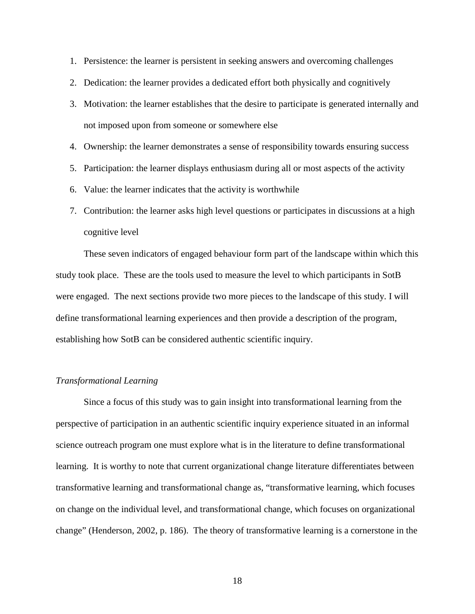- 1. Persistence: the learner is persistent in seeking answers and overcoming challenges
- 2. Dedication: the learner provides a dedicated effort both physically and cognitively
- 3. Motivation: the learner establishes that the desire to participate is generated internally and not imposed upon from someone or somewhere else
- 4. Ownership: the learner demonstrates a sense of responsibility towards ensuring success
- 5. Participation: the learner displays enthusiasm during all or most aspects of the activity
- 6. Value: the learner indicates that the activity is worthwhile
- 7. Contribution: the learner asks high level questions or participates in discussions at a high cognitive level

These seven indicators of engaged behaviour form part of the landscape within which this study took place. These are the tools used to measure the level to which participants in SotB were engaged. The next sections provide two more pieces to the landscape of this study. I will define transformational learning experiences and then provide a description of the program, establishing how SotB can be considered authentic scientific inquiry.

#### <span id="page-33-0"></span>*Transformational Learning*

Since a focus of this study was to gain insight into transformational learning from the perspective of participation in an authentic scientific inquiry experience situated in an informal science outreach program one must explore what is in the literature to define transformational learning. It is worthy to note that current organizational change literature differentiates between transformative learning and transformational change as, "transformative learning, which focuses on change on the individual level, and transformational change, which focuses on organizational change" (Henderson, 2002, p. 186). The theory of transformative learning is a cornerstone in the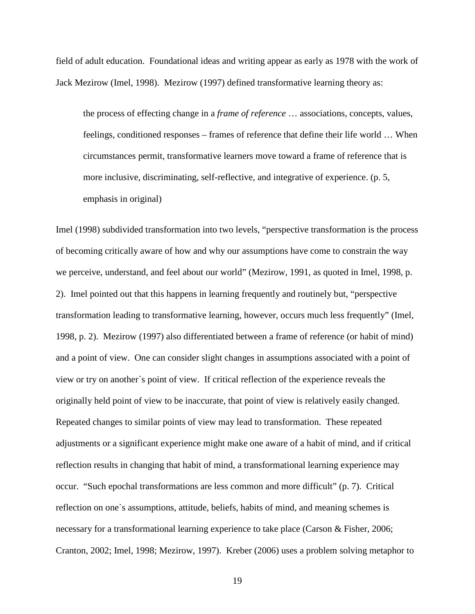field of adult education. Foundational ideas and writing appear as early as 1978 with the work of Jack Mezirow (Imel, 1998). Mezirow (1997) defined transformative learning theory as:

the process of effecting change in a *frame of reference* … associations, concepts, values, feelings, conditioned responses – frames of reference that define their life world … When circumstances permit, transformative learners move toward a frame of reference that is more inclusive, discriminating, self-reflective, and integrative of experience. (p. 5, emphasis in original)

Imel (1998) subdivided transformation into two levels, "perspective transformation is the process of becoming critically aware of how and why our assumptions have come to constrain the way we perceive, understand, and feel about our world" (Mezirow, 1991, as quoted in Imel, 1998, p. 2). Imel pointed out that this happens in learning frequently and routinely but, "perspective transformation leading to transformative learning, however, occurs much less frequently" (Imel, 1998, p. 2). Mezirow (1997) also differentiated between a frame of reference (or habit of mind) and a point of view. One can consider slight changes in assumptions associated with a point of view or try on another`s point of view. If critical reflection of the experience reveals the originally held point of view to be inaccurate, that point of view is relatively easily changed. Repeated changes to similar points of view may lead to transformation. These repeated adjustments or a significant experience might make one aware of a habit of mind, and if critical reflection results in changing that habit of mind, a transformational learning experience may occur. "Such epochal transformations are less common and more difficult" (p. 7). Critical reflection on one`s assumptions, attitude, beliefs, habits of mind, and meaning schemes is necessary for a transformational learning experience to take place (Carson & Fisher, 2006; Cranton, 2002; Imel, 1998; Mezirow, 1997). Kreber (2006) uses a problem solving metaphor to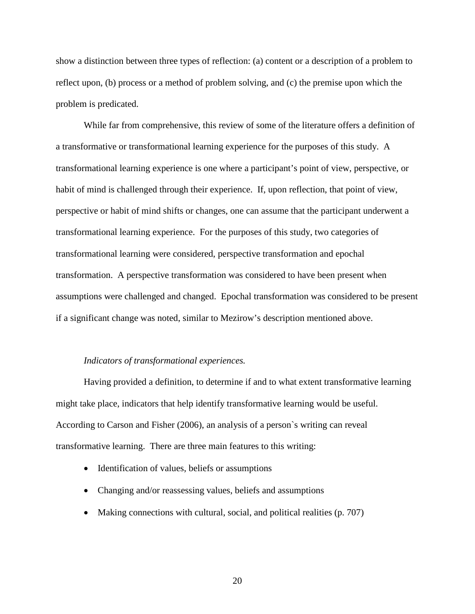show a distinction between three types of reflection: (a) content or a description of a problem to reflect upon, (b) process or a method of problem solving, and (c) the premise upon which the problem is predicated.

While far from comprehensive, this review of some of the literature offers a definition of a transformative or transformational learning experience for the purposes of this study. A transformational learning experience is one where a participant's point of view, perspective, or habit of mind is challenged through their experience. If, upon reflection, that point of view, perspective or habit of mind shifts or changes, one can assume that the participant underwent a transformational learning experience. For the purposes of this study, two categories of transformational learning were considered, perspective transformation and epochal transformation. A perspective transformation was considered to have been present when assumptions were challenged and changed. Epochal transformation was considered to be present if a significant change was noted, similar to Mezirow's description mentioned above.

#### <span id="page-35-0"></span>*Indicators of transformational experiences.*

Having provided a definition, to determine if and to what extent transformative learning might take place, indicators that help identify transformative learning would be useful. According to Carson and Fisher (2006), an analysis of a person`s writing can reveal transformative learning. There are three main features to this writing:

- Identification of values, beliefs or assumptions
- Changing and/or reassessing values, beliefs and assumptions
- Making connections with cultural, social, and political realities (p. 707)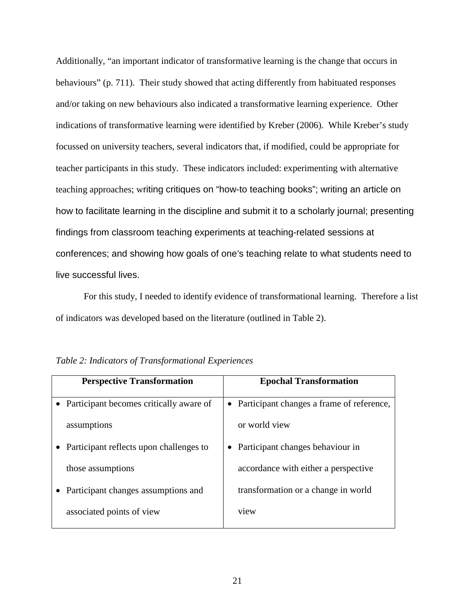Additionally, "an important indicator of transformative learning is the change that occurs in behaviours" (p. 711). Their study showed that acting differently from habituated responses and/or taking on new behaviours also indicated a transformative learning experience. Other indications of transformative learning were identified by Kreber (2006). While Kreber's study focussed on university teachers, several indicators that, if modified, could be appropriate for teacher participants in this study. These indicators included: experimenting with alternative teaching approaches; writing critiques on "how-to teaching books"; writing an article on how to facilitate learning in the discipline and submit it to a scholarly journal; presenting findings from classroom teaching experiments at teaching-related sessions at conferences; and showing how goals of one's teaching relate to what students need to live successful lives.

For this study, I needed to identify evidence of transformational learning. Therefore a list of indicators was developed based on the literature (outlined in Table 2).

| <b>Perspective Transformation</b>       | <b>Epochal Transformation</b>             |
|-----------------------------------------|-------------------------------------------|
| Participant becomes critically aware of | Participant changes a frame of reference, |
| assumptions                             | or world view                             |
| Participant reflects upon challenges to | Participant changes behaviour in          |
| those assumptions                       | accordance with either a perspective      |
| Participant changes assumptions and     | transformation or a change in world       |
| associated points of view               | view                                      |

| Table 2: Indicators of Transformational Experiences |  |  |
|-----------------------------------------------------|--|--|
|-----------------------------------------------------|--|--|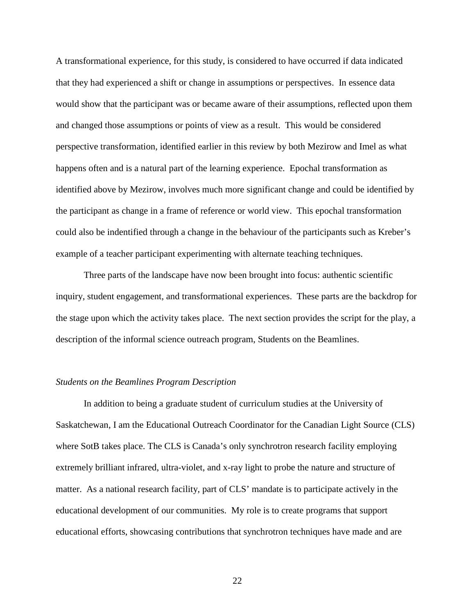A transformational experience, for this study, is considered to have occurred if data indicated that they had experienced a shift or change in assumptions or perspectives. In essence data would show that the participant was or became aware of their assumptions, reflected upon them and changed those assumptions or points of view as a result. This would be considered perspective transformation, identified earlier in this review by both Mezirow and Imel as what happens often and is a natural part of the learning experience. Epochal transformation as identified above by Mezirow, involves much more significant change and could be identified by the participant as change in a frame of reference or world view. This epochal transformation could also be indentified through a change in the behaviour of the participants such as Kreber's example of a teacher participant experimenting with alternate teaching techniques.

Three parts of the landscape have now been brought into focus: authentic scientific inquiry, student engagement, and transformational experiences. These parts are the backdrop for the stage upon which the activity takes place. The next section provides the script for the play, a description of the informal science outreach program, Students on the Beamlines.

# *Students on the Beamlines Program Description*

In addition to being a graduate student of curriculum studies at the University of Saskatchewan, I am the Educational Outreach Coordinator for the Canadian Light Source (CLS) where SotB takes place. The CLS is Canada's only synchrotron research facility employing extremely brilliant infrared, ultra-violet, and x-ray light to probe the nature and structure of matter. As a national research facility, part of CLS' mandate is to participate actively in the educational development of our communities. My role is to create programs that support educational efforts, showcasing contributions that synchrotron techniques have made and are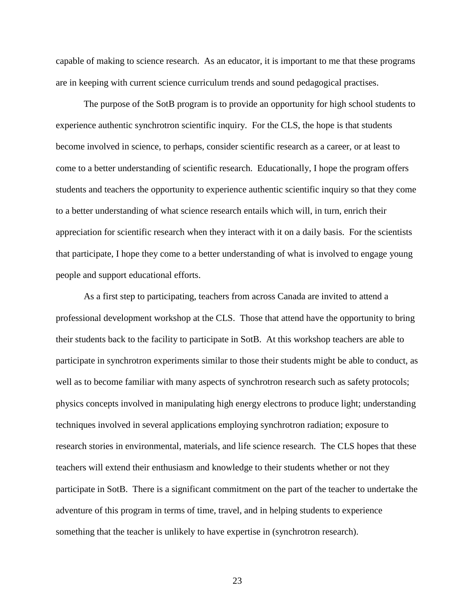capable of making to science research. As an educator, it is important to me that these programs are in keeping with current science curriculum trends and sound pedagogical practises.

The purpose of the SotB program is to provide an opportunity for high school students to experience authentic synchrotron scientific inquiry. For the CLS, the hope is that students become involved in science, to perhaps, consider scientific research as a career, or at least to come to a better understanding of scientific research. Educationally, I hope the program offers students and teachers the opportunity to experience authentic scientific inquiry so that they come to a better understanding of what science research entails which will, in turn, enrich their appreciation for scientific research when they interact with it on a daily basis. For the scientists that participate, I hope they come to a better understanding of what is involved to engage young people and support educational efforts.

As a first step to participating, teachers from across Canada are invited to attend a professional development workshop at the CLS. Those that attend have the opportunity to bring their students back to the facility to participate in SotB. At this workshop teachers are able to participate in synchrotron experiments similar to those their students might be able to conduct, as well as to become familiar with many aspects of synchrotron research such as safety protocols; physics concepts involved in manipulating high energy electrons to produce light; understanding techniques involved in several applications employing synchrotron radiation; exposure to research stories in environmental, materials, and life science research. The CLS hopes that these teachers will extend their enthusiasm and knowledge to their students whether or not they participate in SotB. There is a significant commitment on the part of the teacher to undertake the adventure of this program in terms of time, travel, and in helping students to experience something that the teacher is unlikely to have expertise in (synchrotron research).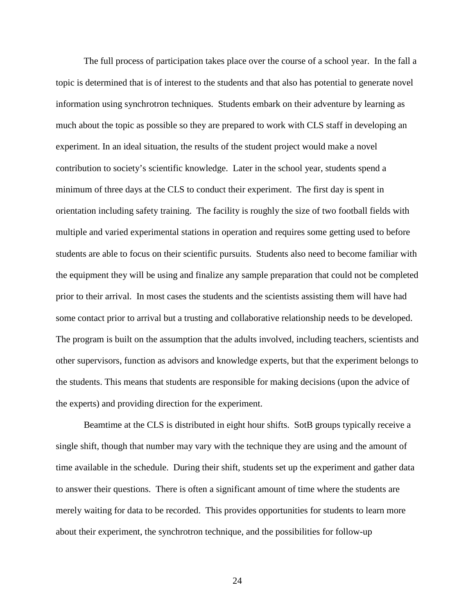The full process of participation takes place over the course of a school year. In the fall a topic is determined that is of interest to the students and that also has potential to generate novel information using synchrotron techniques. Students embark on their adventure by learning as much about the topic as possible so they are prepared to work with CLS staff in developing an experiment. In an ideal situation, the results of the student project would make a novel contribution to society's scientific knowledge. Later in the school year, students spend a minimum of three days at the CLS to conduct their experiment. The first day is spent in orientation including safety training. The facility is roughly the size of two football fields with multiple and varied experimental stations in operation and requires some getting used to before students are able to focus on their scientific pursuits. Students also need to become familiar with the equipment they will be using and finalize any sample preparation that could not be completed prior to their arrival. In most cases the students and the scientists assisting them will have had some contact prior to arrival but a trusting and collaborative relationship needs to be developed. The program is built on the assumption that the adults involved, including teachers, scientists and other supervisors, function as advisors and knowledge experts, but that the experiment belongs to the students. This means that students are responsible for making decisions (upon the advice of the experts) and providing direction for the experiment.

Beamtime at the CLS is distributed in eight hour shifts. SotB groups typically receive a single shift, though that number may vary with the technique they are using and the amount of time available in the schedule. During their shift, students set up the experiment and gather data to answer their questions. There is often a significant amount of time where the students are merely waiting for data to be recorded. This provides opportunities for students to learn more about their experiment, the synchrotron technique, and the possibilities for follow-up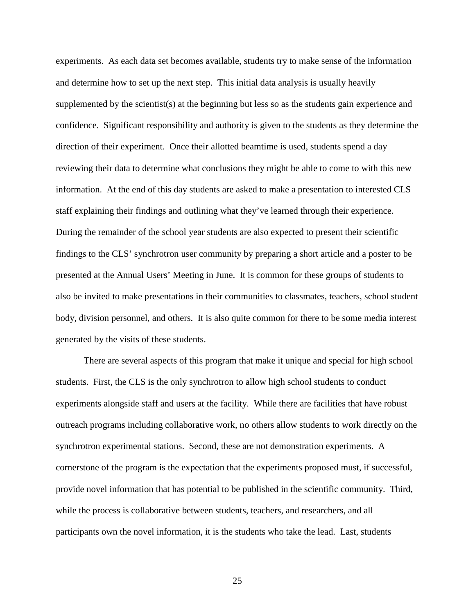experiments. As each data set becomes available, students try to make sense of the information and determine how to set up the next step. This initial data analysis is usually heavily supplemented by the scientist(s) at the beginning but less so as the students gain experience and confidence. Significant responsibility and authority is given to the students as they determine the direction of their experiment. Once their allotted beamtime is used, students spend a day reviewing their data to determine what conclusions they might be able to come to with this new information. At the end of this day students are asked to make a presentation to interested CLS staff explaining their findings and outlining what they've learned through their experience. During the remainder of the school year students are also expected to present their scientific findings to the CLS' synchrotron user community by preparing a short article and a poster to be presented at the Annual Users' Meeting in June. It is common for these groups of students to also be invited to make presentations in their communities to classmates, teachers, school student body, division personnel, and others. It is also quite common for there to be some media interest generated by the visits of these students.

There are several aspects of this program that make it unique and special for high school students. First, the CLS is the only synchrotron to allow high school students to conduct experiments alongside staff and users at the facility. While there are facilities that have robust outreach programs including collaborative work, no others allow students to work directly on the synchrotron experimental stations. Second, these are not demonstration experiments. A cornerstone of the program is the expectation that the experiments proposed must, if successful, provide novel information that has potential to be published in the scientific community. Third, while the process is collaborative between students, teachers, and researchers, and all participants own the novel information, it is the students who take the lead. Last, students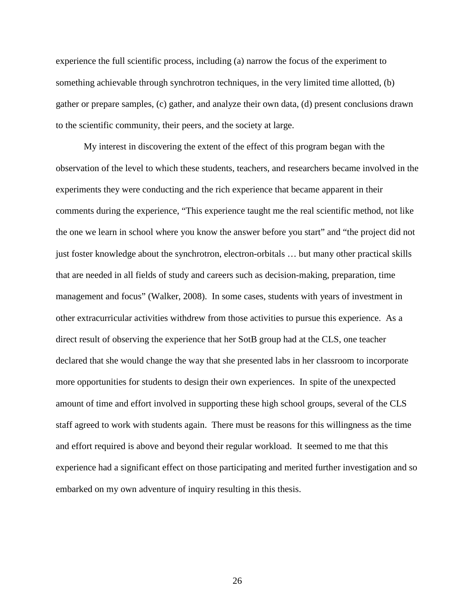experience the full scientific process, including (a) narrow the focus of the experiment to something achievable through synchrotron techniques, in the very limited time allotted, (b) gather or prepare samples, (c) gather, and analyze their own data, (d) present conclusions drawn to the scientific community, their peers, and the society at large.

My interest in discovering the extent of the effect of this program began with the observation of the level to which these students, teachers, and researchers became involved in the experiments they were conducting and the rich experience that became apparent in their comments during the experience, "This experience taught me the real scientific method, not like the one we learn in school where you know the answer before you start" and "the project did not just foster knowledge about the synchrotron, electron-orbitals … but many other practical skills that are needed in all fields of study and careers such as decision-making, preparation, time management and focus" (Walker, 2008). In some cases, students with years of investment in other extracurricular activities withdrew from those activities to pursue this experience. As a direct result of observing the experience that her SotB group had at the CLS, one teacher declared that she would change the way that she presented labs in her classroom to incorporate more opportunities for students to design their own experiences. In spite of the unexpected amount of time and effort involved in supporting these high school groups, several of the CLS staff agreed to work with students again. There must be reasons for this willingness as the time and effort required is above and beyond their regular workload. It seemed to me that this experience had a significant effect on those participating and merited further investigation and so embarked on my own adventure of inquiry resulting in this thesis.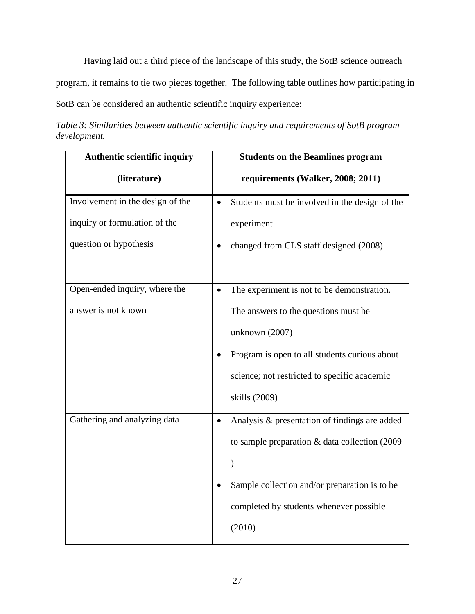Having laid out a third piece of the landscape of this study, the SotB science outreach

program, it remains to tie two pieces together. The following table outlines how participating in

SotB can be considered an authentic scientific inquiry experience:

*Table 3: Similarities between authentic scientific inquiry and requirements of SotB program development.*

| Authentic scientific inquiry     | <b>Students on the Beamlines program</b>                    |  |
|----------------------------------|-------------------------------------------------------------|--|
| (literature)                     | requirements (Walker, 2008; 2011)                           |  |
| Involvement in the design of the | Students must be involved in the design of the<br>$\bullet$ |  |
| inquiry or formulation of the    | experiment                                                  |  |
| question or hypothesis           | changed from CLS staff designed (2008)                      |  |
|                                  |                                                             |  |
| Open-ended inquiry, where the    | The experiment is not to be demonstration.<br>$\bullet$     |  |
| answer is not known              | The answers to the questions must be                        |  |
|                                  | unknown (2007)                                              |  |
|                                  | Program is open to all students curious about               |  |
|                                  | science; not restricted to specific academic                |  |
|                                  | skills (2009)                                               |  |
| Gathering and analyzing data     | Analysis & presentation of findings are added<br>$\bullet$  |  |
|                                  | to sample preparation $\&$ data collection (2009)           |  |
|                                  | $\lambda$                                                   |  |
|                                  | Sample collection and/or preparation is to be               |  |
|                                  | completed by students whenever possible                     |  |
|                                  | (2010)                                                      |  |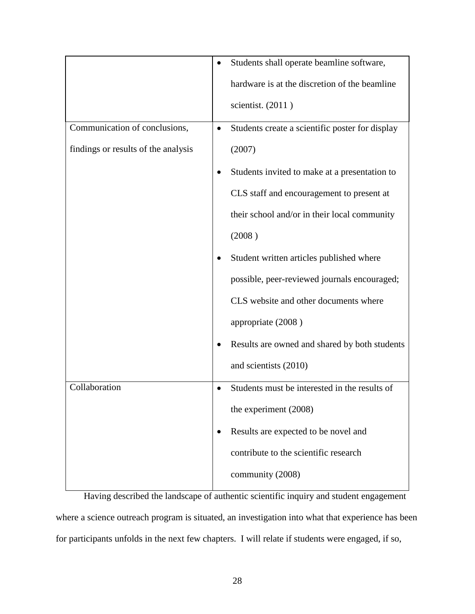|                                     | $\bullet$ | Students shall operate beamline software,       |  |
|-------------------------------------|-----------|-------------------------------------------------|--|
|                                     |           | hardware is at the discretion of the beamline   |  |
|                                     |           | scientist. $(2011)$                             |  |
| Communication of conclusions,       | $\bullet$ | Students create a scientific poster for display |  |
| findings or results of the analysis |           | (2007)                                          |  |
|                                     |           | Students invited to make at a presentation to   |  |
|                                     |           | CLS staff and encouragement to present at       |  |
|                                     |           | their school and/or in their local community    |  |
|                                     |           | (2008)                                          |  |
|                                     |           | Student written articles published where        |  |
|                                     |           | possible, peer-reviewed journals encouraged;    |  |
|                                     |           | CLS website and other documents where           |  |
|                                     |           | appropriate (2008)                              |  |
|                                     |           | Results are owned and shared by both students   |  |
|                                     |           | and scientists (2010)                           |  |
| Collaboration                       | $\bullet$ | Students must be interested in the results of   |  |
|                                     |           | the experiment (2008)                           |  |
|                                     | ٠         | Results are expected to be novel and            |  |
|                                     |           | contribute to the scientific research           |  |
|                                     |           | community (2008)                                |  |

Having described the landscape of authentic scientific inquiry and student engagement where a science outreach program is situated, an investigation into what that experience has been for participants unfolds in the next few chapters. I will relate if students were engaged, if so,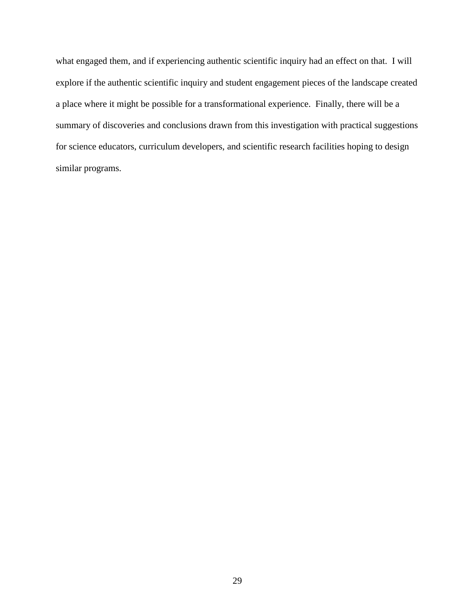what engaged them, and if experiencing authentic scientific inquiry had an effect on that. I will explore if the authentic scientific inquiry and student engagement pieces of the landscape created a place where it might be possible for a transformational experience. Finally, there will be a summary of discoveries and conclusions drawn from this investigation with practical suggestions for science educators, curriculum developers, and scientific research facilities hoping to design similar programs.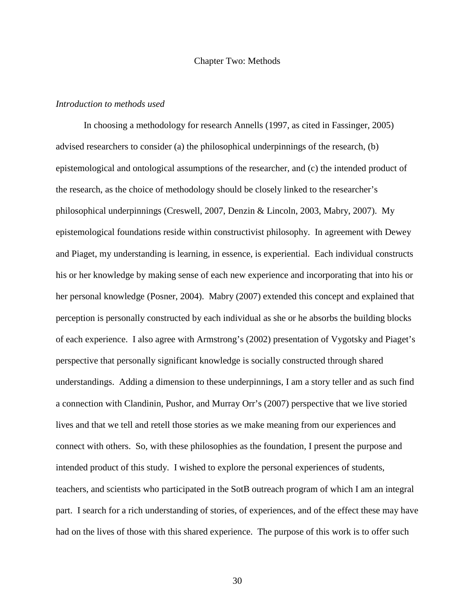### Chapter Two: Methods

# *Introduction to methods used*

In choosing a methodology for research Annells (1997, as cited in Fassinger, 2005) advised researchers to consider (a) the philosophical underpinnings of the research, (b) epistemological and ontological assumptions of the researcher, and (c) the intended product of the research, as the choice of methodology should be closely linked to the researcher's philosophical underpinnings (Creswell, 2007, Denzin & Lincoln, 2003, Mabry, 2007). My epistemological foundations reside within constructivist philosophy. In agreement with Dewey and Piaget, my understanding is learning, in essence, is experiential. Each individual constructs his or her knowledge by making sense of each new experience and incorporating that into his or her personal knowledge (Posner, 2004). Mabry (2007) extended this concept and explained that perception is personally constructed by each individual as she or he absorbs the building blocks of each experience. I also agree with Armstrong's (2002) presentation of Vygotsky and Piaget's perspective that personally significant knowledge is socially constructed through shared understandings. Adding a dimension to these underpinnings, I am a story teller and as such find a connection with Clandinin, Pushor, and Murray Orr's (2007) perspective that we live storied lives and that we tell and retell those stories as we make meaning from our experiences and connect with others. So, with these philosophies as the foundation, I present the purpose and intended product of this study. I wished to explore the personal experiences of students, teachers, and scientists who participated in the SotB outreach program of which I am an integral part. I search for a rich understanding of stories, of experiences, and of the effect these may have had on the lives of those with this shared experience. The purpose of this work is to offer such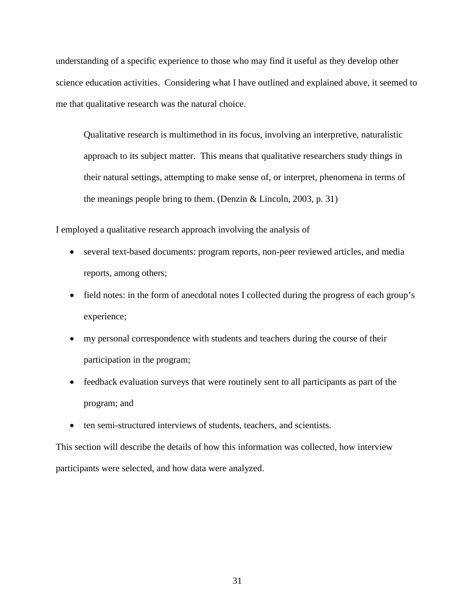understanding of a specific experience to those who may find it useful as they develop other science education activities. Considering what I have outlined and explained above, it seemed to me that qualitative research was the natural choice.

Qualitative research is multimethod in its focus, involving an interpretive, naturalistic approach to its subject matter. This means that qualitative researchers study things in their natural settings, attempting to make sense of, or interpret, phenomena in terms of the meanings people bring to them. (Denzin & Lincoln, 2003, p. 31)

I employed a qualitative research approach involving the analysis of

- several text-based documents: program reports, non-peer reviewed articles, and media reports, among others;
- field notes: in the form of anecdotal notes I collected during the progress of each group's experience;
- my personal correspondence with students and teachers during the course of their participation in the program;
- feedback evaluation surveys that were routinely sent to all participants as part of the program; and
- ten semi-structured interviews of students, teachers, and scientists.

This section will describe the details of how this information was collected, how interview participants were selected, and how data were analyzed.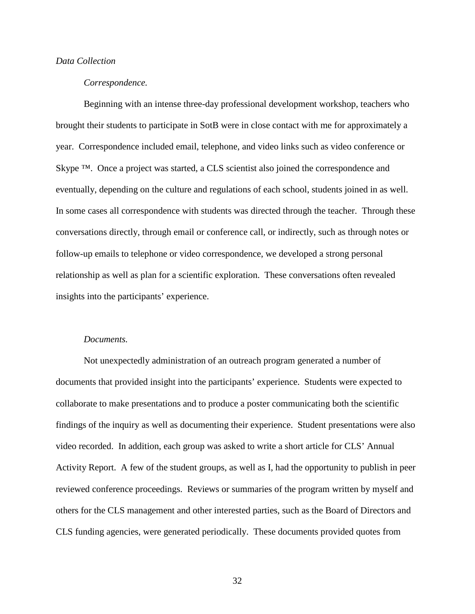# *Data Collection*

# *Correspondence.*

Beginning with an intense three-day professional development workshop, teachers who brought their students to participate in SotB were in close contact with me for approximately a year. Correspondence included email, telephone, and video links such as video conference or Skype ™. Once a project was started, a CLS scientist also joined the correspondence and eventually, depending on the culture and regulations of each school, students joined in as well. In some cases all correspondence with students was directed through the teacher. Through these conversations directly, through email or conference call, or indirectly, such as through notes or follow-up emails to telephone or video correspondence, we developed a strong personal relationship as well as plan for a scientific exploration. These conversations often revealed insights into the participants' experience.

#### *Documents.*

Not unexpectedly administration of an outreach program generated a number of documents that provided insight into the participants' experience. Students were expected to collaborate to make presentations and to produce a poster communicating both the scientific findings of the inquiry as well as documenting their experience. Student presentations were also video recorded. In addition, each group was asked to write a short article for CLS' Annual Activity Report. A few of the student groups, as well as I, had the opportunity to publish in peer reviewed conference proceedings. Reviews or summaries of the program written by myself and others for the CLS management and other interested parties, such as the Board of Directors and CLS funding agencies, were generated periodically. These documents provided quotes from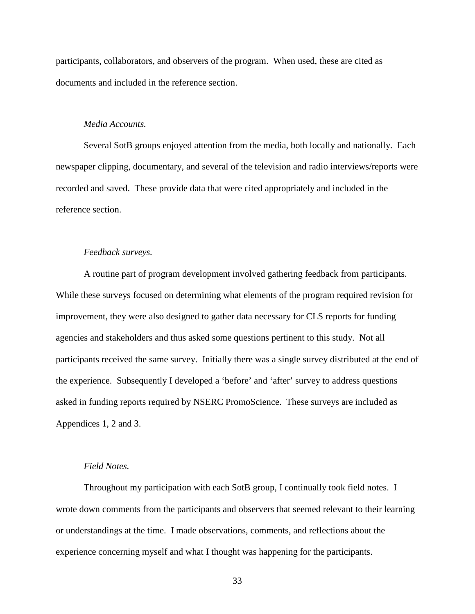participants, collaborators, and observers of the program. When used, these are cited as documents and included in the reference section.

# *Media Accounts.*

Several SotB groups enjoyed attention from the media, both locally and nationally. Each newspaper clipping, documentary, and several of the television and radio interviews/reports were recorded and saved. These provide data that were cited appropriately and included in the reference section.

# *Feedback surveys.*

A routine part of program development involved gathering feedback from participants. While these surveys focused on determining what elements of the program required revision for improvement, they were also designed to gather data necessary for CLS reports for funding agencies and stakeholders and thus asked some questions pertinent to this study. Not all participants received the same survey. Initially there was a single survey distributed at the end of the experience. Subsequently I developed a 'before' and 'after' survey to address questions asked in funding reports required by NSERC PromoScience. These surveys are included as Appendices 1, 2 and 3.

# *Field Notes.*

Throughout my participation with each SotB group, I continually took field notes. I wrote down comments from the participants and observers that seemed relevant to their learning or understandings at the time. I made observations, comments, and reflections about the experience concerning myself and what I thought was happening for the participants.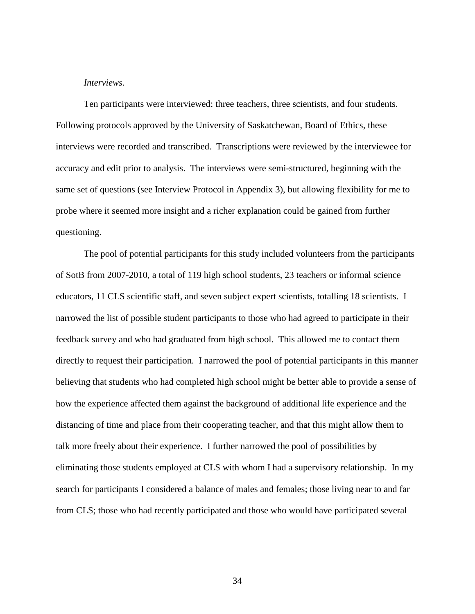### *Interviews.*

Ten participants were interviewed: three teachers, three scientists, and four students. Following protocols approved by the University of Saskatchewan, Board of Ethics, these interviews were recorded and transcribed. Transcriptions were reviewed by the interviewee for accuracy and edit prior to analysis. The interviews were semi-structured, beginning with the same set of questions (see Interview Protocol in Appendix 3), but allowing flexibility for me to probe where it seemed more insight and a richer explanation could be gained from further questioning.

The pool of potential participants for this study included volunteers from the participants of SotB from 2007-2010, a total of 119 high school students, 23 teachers or informal science educators, 11 CLS scientific staff, and seven subject expert scientists, totalling 18 scientists. I narrowed the list of possible student participants to those who had agreed to participate in their feedback survey and who had graduated from high school. This allowed me to contact them directly to request their participation. I narrowed the pool of potential participants in this manner believing that students who had completed high school might be better able to provide a sense of how the experience affected them against the background of additional life experience and the distancing of time and place from their cooperating teacher, and that this might allow them to talk more freely about their experience. I further narrowed the pool of possibilities by eliminating those students employed at CLS with whom I had a supervisory relationship. In my search for participants I considered a balance of males and females; those living near to and far from CLS; those who had recently participated and those who would have participated several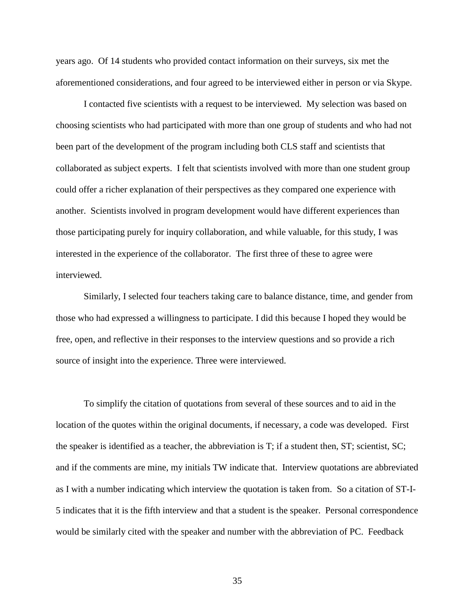years ago. Of 14 students who provided contact information on their surveys, six met the aforementioned considerations, and four agreed to be interviewed either in person or via Skype.

I contacted five scientists with a request to be interviewed. My selection was based on choosing scientists who had participated with more than one group of students and who had not been part of the development of the program including both CLS staff and scientists that collaborated as subject experts. I felt that scientists involved with more than one student group could offer a richer explanation of their perspectives as they compared one experience with another. Scientists involved in program development would have different experiences than those participating purely for inquiry collaboration, and while valuable, for this study, I was interested in the experience of the collaborator. The first three of these to agree were interviewed.

Similarly, I selected four teachers taking care to balance distance, time, and gender from those who had expressed a willingness to participate. I did this because I hoped they would be free, open, and reflective in their responses to the interview questions and so provide a rich source of insight into the experience. Three were interviewed.

To simplify the citation of quotations from several of these sources and to aid in the location of the quotes within the original documents, if necessary, a code was developed. First the speaker is identified as a teacher, the abbreviation is T; if a student then, ST; scientist, SC; and if the comments are mine, my initials TW indicate that. Interview quotations are abbreviated as I with a number indicating which interview the quotation is taken from. So a citation of ST-I-5 indicates that it is the fifth interview and that a student is the speaker. Personal correspondence would be similarly cited with the speaker and number with the abbreviation of PC. Feedback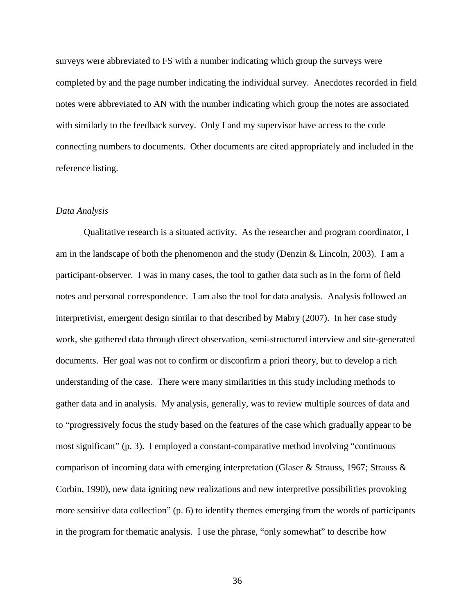surveys were abbreviated to FS with a number indicating which group the surveys were completed by and the page number indicating the individual survey. Anecdotes recorded in field notes were abbreviated to AN with the number indicating which group the notes are associated with similarly to the feedback survey. Only I and my supervisor have access to the code connecting numbers to documents. Other documents are cited appropriately and included in the reference listing.

#### *Data Analysis*

Qualitative research is a situated activity. As the researcher and program coordinator, I am in the landscape of both the phenomenon and the study (Denzin  $& Lincoln, 2003$ ). I am a participant-observer. I was in many cases, the tool to gather data such as in the form of field notes and personal correspondence. I am also the tool for data analysis. Analysis followed an interpretivist, emergent design similar to that described by Mabry (2007). In her case study work, she gathered data through direct observation, semi-structured interview and site-generated documents. Her goal was not to confirm or disconfirm a priori theory, but to develop a rich understanding of the case. There were many similarities in this study including methods to gather data and in analysis. My analysis, generally, was to review multiple sources of data and to "progressively focus the study based on the features of the case which gradually appear to be most significant" (p. 3). I employed a constant-comparative method involving "continuous comparison of incoming data with emerging interpretation (Glaser & Strauss, 1967; Strauss & Corbin, 1990), new data igniting new realizations and new interpretive possibilities provoking more sensitive data collection" (p. 6) to identify themes emerging from the words of participants in the program for thematic analysis. I use the phrase, "only somewhat" to describe how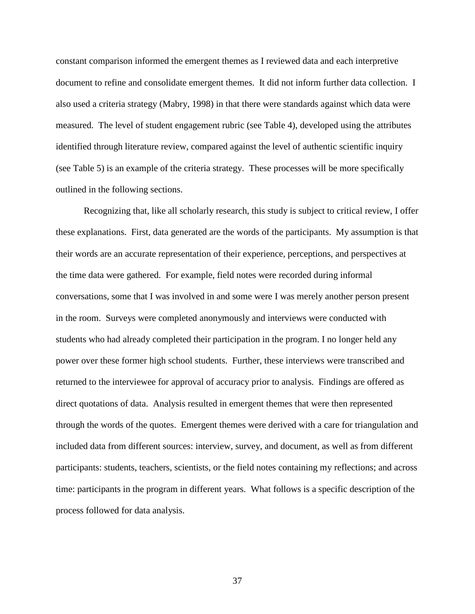constant comparison informed the emergent themes as I reviewed data and each interpretive document to refine and consolidate emergent themes. It did not inform further data collection. I also used a criteria strategy (Mabry, 1998) in that there were standards against which data were measured. The level of student engagement rubric (see Table 4), developed using the attributes identified through literature review, compared against the level of authentic scientific inquiry (see Table 5) is an example of the criteria strategy. These processes will be more specifically outlined in the following sections.

Recognizing that, like all scholarly research, this study is subject to critical review, I offer these explanations. First, data generated are the words of the participants. My assumption is that their words are an accurate representation of their experience, perceptions, and perspectives at the time data were gathered. For example, field notes were recorded during informal conversations, some that I was involved in and some were I was merely another person present in the room. Surveys were completed anonymously and interviews were conducted with students who had already completed their participation in the program. I no longer held any power over these former high school students. Further, these interviews were transcribed and returned to the interviewee for approval of accuracy prior to analysis. Findings are offered as direct quotations of data. Analysis resulted in emergent themes that were then represented through the words of the quotes. Emergent themes were derived with a care for triangulation and included data from different sources: interview, survey, and document, as well as from different participants: students, teachers, scientists, or the field notes containing my reflections; and across time: participants in the program in different years. What follows is a specific description of the process followed for data analysis.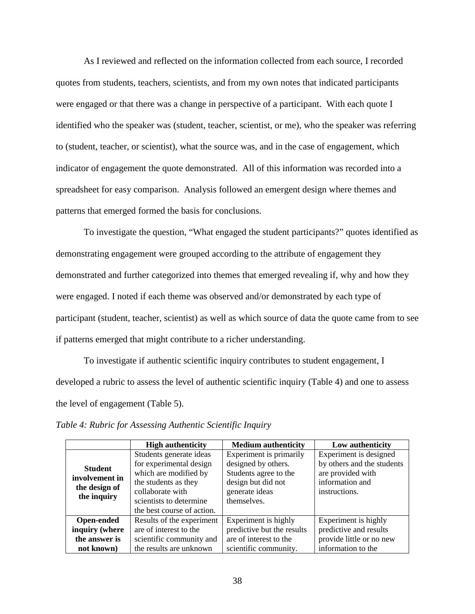As I reviewed and reflected on the information collected from each source, I recorded quotes from students, teachers, scientists, and from my own notes that indicated participants were engaged or that there was a change in perspective of a participant. With each quote I identified who the speaker was (student, teacher, scientist, or me), who the speaker was referring to (student, teacher, or scientist), what the source was, and in the case of engagement, which indicator of engagement the quote demonstrated. All of this information was recorded into a spreadsheet for easy comparison. Analysis followed an emergent design where themes and patterns that emerged formed the basis for conclusions.

To investigate the question, "What engaged the student participants?" quotes identified as demonstrating engagement were grouped according to the attribute of engagement they demonstrated and further categorized into themes that emerged revealing if, why and how they were engaged. I noted if each theme was observed and/or demonstrated by each type of participant (student, teacher, scientist) as well as which source of data the quote came from to see if patterns emerged that might contribute to a richer understanding.

To investigate if authentic scientific inquiry contributes to student engagement, I developed a rubric to assess the level of authentic scientific inquiry (Table 4) and one to assess the level of engagement (Table 5).

|                   | <b>High authenticity</b>   | <b>Medium authenticity</b> | Low authenticity           |
|-------------------|----------------------------|----------------------------|----------------------------|
|                   | Students generate ideas    | Experiment is primarily    | Experiment is designed     |
| <b>Student</b>    | for experimental design    | designed by others.        | by others and the students |
|                   | which are modified by      | Students agree to the      | are provided with          |
| involvement in    | the students as they       | design but did not         | information and            |
| the design of     | collaborate with           | generate ideas             | instructions.              |
| the inquiry       | scientists to determine    | themselves.                |                            |
|                   | the best course of action. |                            |                            |
| <b>Open-ended</b> | Results of the experiment  | Experiment is highly       | Experiment is highly       |
| inquiry (where    | are of interest to the     | predictive but the results | predictive and results     |
| the answer is     | scientific community and   | are of interest to the     | provide little or no new   |
| not known)        | the results are unknown    | scientific community.      | information to the         |

*Table 4: Rubric for Assessing Authentic Scientific Inquiry*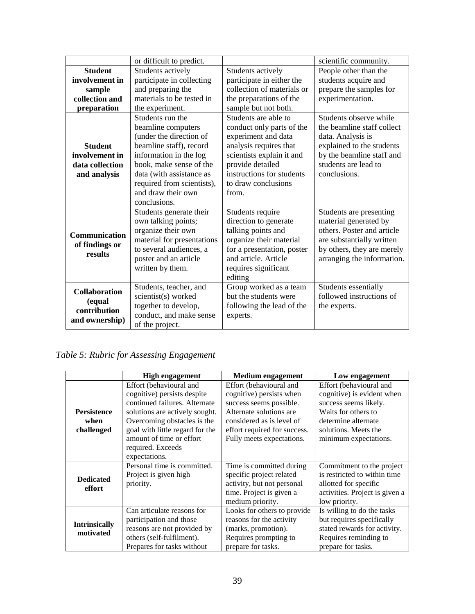|                      | or difficult to predict.   |                            | scientific community.      |
|----------------------|----------------------------|----------------------------|----------------------------|
| <b>Student</b>       | Students actively          | Students actively          | People other than the      |
| involvement in       | participate in collecting  | participate in either the  | students acquire and       |
| sample               | and preparing the          | collection of materials or | prepare the samples for    |
| collection and       | materials to be tested in  | the preparations of the    | experimentation.           |
| preparation          | the experiment.            | sample but not both.       |                            |
|                      | Students run the           | Students are able to       | Students observe while     |
|                      | beamline computers         | conduct only parts of the  | the beamline staff collect |
|                      | (under the direction of    | experiment and data        | data. Analysis is          |
| <b>Student</b>       | beamline staff), record    | analysis requires that     | explained to the students  |
| involvement in       | information in the log     | scientists explain it and  | by the beamline staff and  |
| data collection      | book, make sense of the    | provide detailed           | students are lead to       |
| and analysis         | data (with assistance as   | instructions for students  | conclusions.               |
|                      | required from scientists), | to draw conclusions        |                            |
|                      | and draw their own         | from.                      |                            |
|                      | conclusions.               |                            |                            |
|                      | Students generate their    | Students require           | Students are presenting    |
|                      | own talking points;        | direction to generate      | material generated by      |
| Communication        | organize their own         | talking points and         | others. Poster and article |
| of findings or       | material for presentations | organize their material    | are substantially written  |
| results              | to several audiences, a    | for a presentation, poster | by others, they are merely |
|                      | poster and an article      | and article. Article       | arranging the information. |
|                      | written by them.           | requires significant       |                            |
|                      |                            | editing                    |                            |
| <b>Collaboration</b> | Students, teacher, and     | Group worked as a team     | Students essentially       |
| (equal               | scientist(s) worked        | but the students were      | followed instructions of   |
| contribution         | together to develop,       | following the lead of the  | the experts.               |
| and ownership)       | conduct, and make sense    | experts.                   |                            |
|                      | of the project.            |                            |                            |

*Table 5: Rubric for Assessing Engagement*

|                                          | <b>High engagement</b>                                                                                                                                                                                                                                        | Medium engagement                                                                                                                                                                                   | Low engagement                                                                                                                                                                |
|------------------------------------------|---------------------------------------------------------------------------------------------------------------------------------------------------------------------------------------------------------------------------------------------------------------|-----------------------------------------------------------------------------------------------------------------------------------------------------------------------------------------------------|-------------------------------------------------------------------------------------------------------------------------------------------------------------------------------|
| <b>Persistence</b><br>when<br>challenged | Effort (behavioural and<br>cognitive) persists despite<br>continued failures. Alternate<br>solutions are actively sought.<br>Overcoming obstacles is the<br>goal with little regard for the<br>amount of time or effort<br>required. Exceeds<br>expectations. | Effort (behavioural and<br>cognitive) persists when<br>success seems possible.<br>Alternate solutions are<br>considered as is level of<br>effort required for success.<br>Fully meets expectations. | Effort (behavioural and<br>cognitive) is evident when<br>success seems likely.<br>Waits for others to<br>determine alternate<br>solutions. Meets the<br>minimum expectations. |
| <b>Dedicated</b><br>effort               | Personal time is committed.<br>Project is given high<br>priority.                                                                                                                                                                                             | Time is committed during<br>specific project related<br>activity, but not personal<br>time. Project is given a<br>medium priority.                                                                  | Commitment to the project<br>is restricted to within time.<br>allotted for specific<br>activities. Project is given a<br>low priority.                                        |
| <b>Intrinsically</b><br>motivated        | Can articulate reasons for<br>participation and those<br>reasons are not provided by<br>others (self-fulfilment).<br>Prepares for tasks without                                                                                                               | Looks for others to provide<br>reasons for the activity<br>(marks, promotion).<br>Requires prompting to<br>prepare for tasks.                                                                       | Is willing to do the tasks<br>but requires specifically<br>stated rewards for activity.<br>Requires reminding to<br>prepare for tasks.                                        |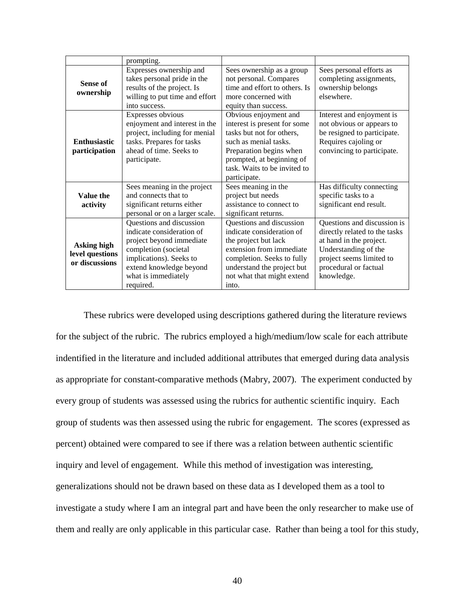|                     | prompting.                     |                               |                               |
|---------------------|--------------------------------|-------------------------------|-------------------------------|
|                     | Expresses ownership and        | Sees ownership as a group     | Sees personal efforts as      |
| <b>Sense of</b>     | takes personal pride in the    | not personal. Compares        | completing assignments,       |
| ownership           | results of the project. Is     | time and effort to others. Is | ownership belongs             |
|                     | willing to put time and effort | more concerned with           | elsewhere.                    |
|                     | into success.                  | equity than success.          |                               |
|                     | Expresses obvious              | Obvious enjoyment and         | Interest and enjoyment is     |
|                     | enjoyment and interest in the  | interest is present for some  | not obvious or appears to     |
|                     | project, including for menial  | tasks but not for others,     | be resigned to participate.   |
| <b>Enthusiastic</b> | tasks. Prepares for tasks      | such as menial tasks.         | Requires cajoling or          |
| participation       | ahead of time. Seeks to        | Preparation begins when       | convincing to participate.    |
|                     | participate.                   | prompted, at beginning of     |                               |
|                     |                                | task. Waits to be invited to  |                               |
|                     |                                | participate.                  |                               |
|                     | Sees meaning in the project    | Sees meaning in the           | Has difficulty connecting     |
| Value the           | and connects that to           | project but needs             | specific tasks to a           |
| activity            | significant returns either     | assistance to connect to      | significant end result.       |
|                     | personal or on a larger scale. | significant returns.          |                               |
|                     | Questions and discussion       | Questions and discussion      | Questions and discussion is   |
|                     | indicate consideration of      | indicate consideration of     | directly related to the tasks |
| <b>Asking high</b>  | project beyond immediate       | the project but lack          | at hand in the project.       |
| level questions     | completion (societal           | extension from immediate      | Understanding of the          |
| or discussions      | implications). Seeks to        | completion. Seeks to fully    | project seems limited to      |
|                     | extend knowledge beyond        | understand the project but    | procedural or factual         |
|                     | what is immediately            | not what that might extend    | knowledge.                    |
|                     | required.                      | into.                         |                               |

These rubrics were developed using descriptions gathered during the literature reviews for the subject of the rubric. The rubrics employed a high/medium/low scale for each attribute indentified in the literature and included additional attributes that emerged during data analysis as appropriate for constant-comparative methods (Mabry, 2007). The experiment conducted by every group of students was assessed using the rubrics for authentic scientific inquiry. Each group of students was then assessed using the rubric for engagement. The scores (expressed as percent) obtained were compared to see if there was a relation between authentic scientific inquiry and level of engagement. While this method of investigation was interesting, generalizations should not be drawn based on these data as I developed them as a tool to investigate a study where I am an integral part and have been the only researcher to make use of them and really are only applicable in this particular case. Rather than being a tool for this study,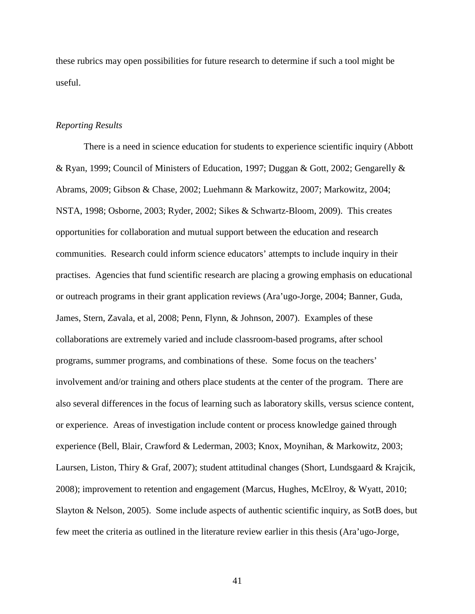these rubrics may open possibilities for future research to determine if such a tool might be useful.

# *Reporting Results*

There is a need in science education for students to experience scientific inquiry (Abbott & Ryan, 1999; Council of Ministers of Education, 1997; Duggan & Gott, 2002; Gengarelly & Abrams, 2009; Gibson & Chase, 2002; Luehmann & Markowitz, 2007; Markowitz, 2004; NSTA, 1998; Osborne, 2003; Ryder, 2002; Sikes & Schwartz-Bloom, 2009). This creates opportunities for collaboration and mutual support between the education and research communities. Research could inform science educators' attempts to include inquiry in their practises. Agencies that fund scientific research are placing a growing emphasis on educational or outreach programs in their grant application reviews (Ara'ugo-Jorge, 2004; Banner, Guda, James, Stern, Zavala, et al, 2008; Penn, Flynn, & Johnson, 2007). Examples of these collaborations are extremely varied and include classroom-based programs, after school programs, summer programs, and combinations of these. Some focus on the teachers' involvement and/or training and others place students at the center of the program. There are also several differences in the focus of learning such as laboratory skills, versus science content, or experience. Areas of investigation include content or process knowledge gained through experience (Bell, Blair, Crawford & Lederman, 2003; Knox, Moynihan, & Markowitz, 2003; Laursen, Liston, Thiry & Graf, 2007); student attitudinal changes (Short, Lundsgaard & Krajcik, 2008); improvement to retention and engagement (Marcus, Hughes, McElroy, & Wyatt, 2010; Slayton & Nelson, 2005). Some include aspects of authentic scientific inquiry, as SotB does, but few meet the criteria as outlined in the literature review earlier in this thesis (Ara'ugo-Jorge,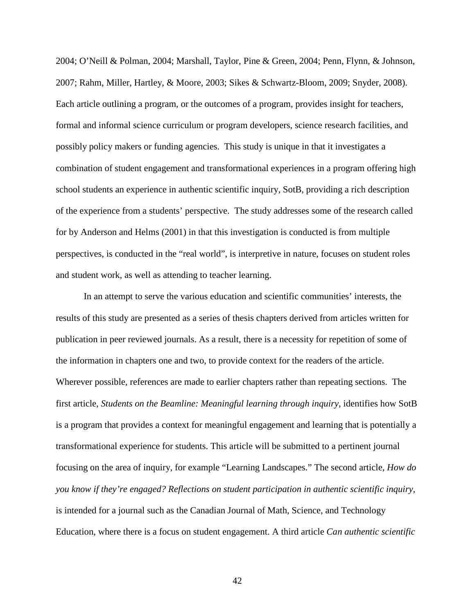2004; O'Neill & Polman, 2004; Marshall, Taylor, Pine & Green, 2004; Penn, Flynn, & Johnson, 2007; Rahm, Miller, Hartley, & Moore, 2003; Sikes & Schwartz-Bloom, 2009; Snyder, 2008). Each article outlining a program, or the outcomes of a program, provides insight for teachers, formal and informal science curriculum or program developers, science research facilities, and possibly policy makers or funding agencies. This study is unique in that it investigates a combination of student engagement and transformational experiences in a program offering high school students an experience in authentic scientific inquiry, SotB, providing a rich description of the experience from a students' perspective. The study addresses some of the research called for by Anderson and Helms (2001) in that this investigation is conducted is from multiple perspectives, is conducted in the "real world", is interpretive in nature, focuses on student roles and student work, as well as attending to teacher learning.

In an attempt to serve the various education and scientific communities' interests, the results of this study are presented as a series of thesis chapters derived from articles written for publication in peer reviewed journals. As a result, there is a necessity for repetition of some of the information in chapters one and two, to provide context for the readers of the article. Wherever possible, references are made to earlier chapters rather than repeating sections. The first article, *Students on the Beamline: Meaningful learning through inquiry*, identifies how SotB is a program that provides a context for meaningful engagement and learning that is potentially a transformational experience for students. This article will be submitted to a pertinent journal focusing on the area of inquiry, for example "Learning Landscapes." The second article, *How do you know if they're engaged? Reflections on student participation in authentic scientific inquiry,*  is intended for a journal such as the Canadian Journal of Math, Science, and Technology Education, where there is a focus on student engagement. A third article *Can authentic scientific*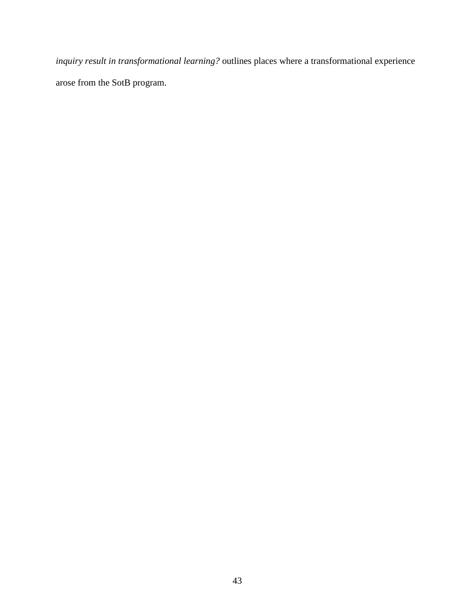*inquiry result in transformational learning?* outlines places where a transformational experience arose from the SotB program.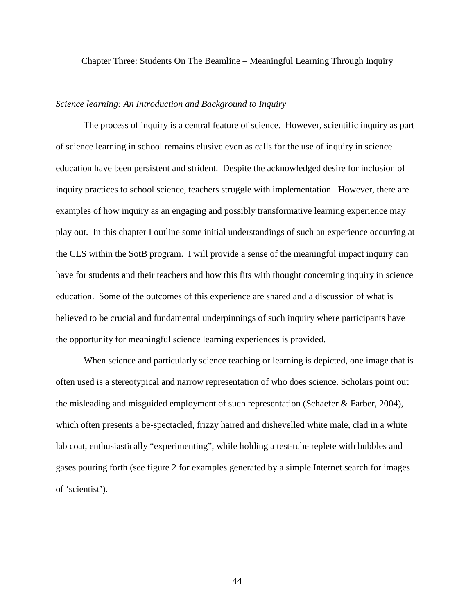Chapter Three: Students On The Beamline – Meaningful Learning Through Inquiry

# *Science learning: An Introduction and Background to Inquiry*

The process of inquiry is a central feature of science. However, scientific inquiry as part of science learning in school remains elusive even as calls for the use of inquiry in science education have been persistent and strident. Despite the acknowledged desire for inclusion of inquiry practices to school science, teachers struggle with implementation. However, there are examples of how inquiry as an engaging and possibly transformative learning experience may play out. In this chapter I outline some initial understandings of such an experience occurring at the CLS within the SotB program. I will provide a sense of the meaningful impact inquiry can have for students and their teachers and how this fits with thought concerning inquiry in science education. Some of the outcomes of this experience are shared and a discussion of what is believed to be crucial and fundamental underpinnings of such inquiry where participants have the opportunity for meaningful science learning experiences is provided.

When science and particularly science teaching or learning is depicted, one image that is often used is a stereotypical and narrow representation of who does science. Scholars point out the misleading and misguided employment of such representation (Schaefer & Farber, 2004), which often presents a be-spectacled, frizzy haired and dishevelled white male, clad in a white lab coat, enthusiastically "experimenting", while holding a test-tube replete with bubbles and gases pouring forth (see figure 2 for examples generated by a simple Internet search for images of 'scientist').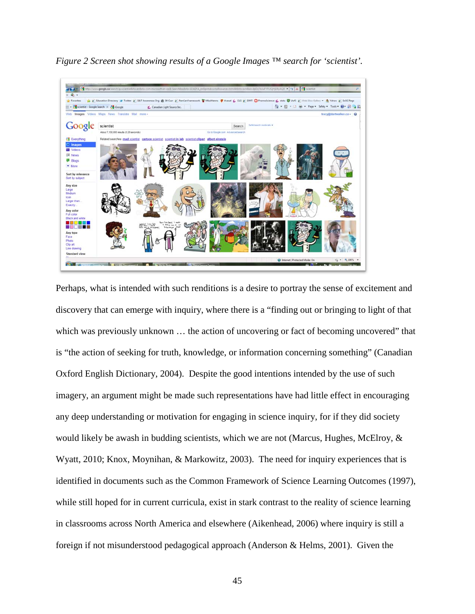

*Figure 2 Screen shot showing results of a Google Images ™ search for 'scientist'.*

Perhaps, what is intended with such renditions is a desire to portray the sense of excitement and discovery that can emerge with inquiry, where there is a "finding out or bringing to light of that which was previously unknown ... the action of uncovering or fact of becoming uncovered" that is "the action of seeking for truth, knowledge, or information concerning something" (Canadian Oxford English Dictionary, 2004). Despite the good intentions intended by the use of such imagery, an argument might be made such representations have had little effect in encouraging any deep understanding or motivation for engaging in science inquiry, for if they did society would likely be awash in budding scientists, which we are not (Marcus, Hughes, McElroy, & Wyatt, 2010; Knox, Moynihan, & Markowitz, 2003). The need for inquiry experiences that is identified in documents such as the Common Framework of Science Learning Outcomes (1997), while still hoped for in current curricula, exist in stark contrast to the reality of science learning in classrooms across North America and elsewhere (Aikenhead, 2006) where inquiry is still a foreign if not misunderstood pedagogical approach (Anderson & Helms, 2001). Given the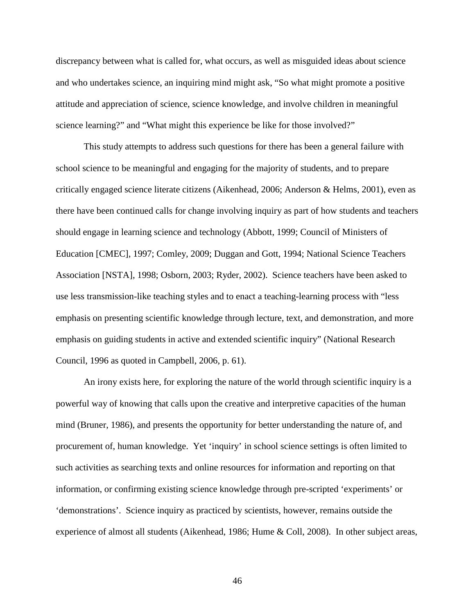discrepancy between what is called for, what occurs, as well as misguided ideas about science and who undertakes science, an inquiring mind might ask, "So what might promote a positive attitude and appreciation of science, science knowledge, and involve children in meaningful science learning?" and "What might this experience be like for those involved?"

This study attempts to address such questions for there has been a general failure with school science to be meaningful and engaging for the majority of students, and to prepare critically engaged science literate citizens (Aikenhead, 2006; Anderson & Helms, 2001), even as there have been continued calls for change involving inquiry as part of how students and teachers should engage in learning science and technology (Abbott, 1999; Council of Ministers of Education [CMEC], 1997; Comley, 2009; Duggan and Gott, 1994; National Science Teachers Association [NSTA], 1998; Osborn, 2003; Ryder, 2002). Science teachers have been asked to use less transmission-like teaching styles and to enact a teaching-learning process with "less emphasis on presenting scientific knowledge through lecture, text, and demonstration, and more emphasis on guiding students in active and extended scientific inquiry" (National Research Council, 1996 as quoted in Campbell, 2006, p. 61).

An irony exists here, for exploring the nature of the world through scientific inquiry is a powerful way of knowing that calls upon the creative and interpretive capacities of the human mind (Bruner, 1986), and presents the opportunity for better understanding the nature of, and procurement of, human knowledge. Yet 'inquiry' in school science settings is often limited to such activities as searching texts and online resources for information and reporting on that information, or confirming existing science knowledge through pre-scripted 'experiments' or 'demonstrations'. Science inquiry as practiced by scientists, however, remains outside the experience of almost all students (Aikenhead, 1986; Hume & Coll, 2008). In other subject areas,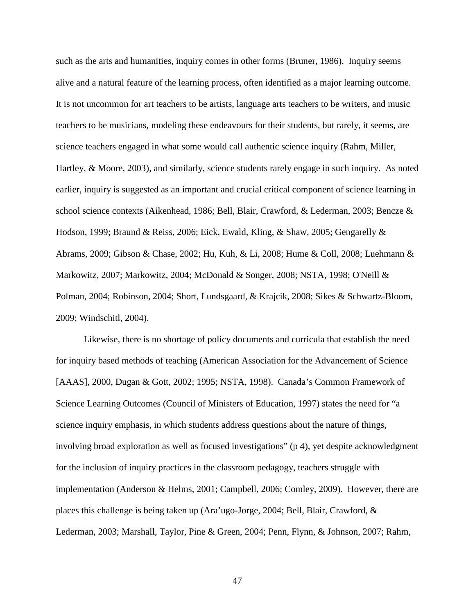such as the arts and humanities, inquiry comes in other forms (Bruner, 1986). Inquiry seems alive and a natural feature of the learning process, often identified as a major learning outcome. It is not uncommon for art teachers to be artists, language arts teachers to be writers, and music teachers to be musicians, modeling these endeavours for their students, but rarely, it seems, are science teachers engaged in what some would call authentic science inquiry (Rahm, Miller, Hartley, & Moore, 2003), and similarly, science students rarely engage in such inquiry. As noted earlier, inquiry is suggested as an important and crucial critical component of science learning in school science contexts (Aikenhead, 1986; Bell, Blair, Crawford, & Lederman, 2003; Bencze & Hodson, 1999; Braund & Reiss, 2006; Eick, Ewald, Kling, & Shaw, 2005; Gengarelly & Abrams, 2009; Gibson & Chase, 2002; Hu, Kuh, & Li, 2008; Hume & Coll, 2008; Luehmann & Markowitz, 2007; Markowitz, 2004; McDonald & Songer, 2008; NSTA, 1998; O'Neill & Polman, 2004; Robinson, 2004; Short, Lundsgaard, & Krajcik, 2008; Sikes & Schwartz-Bloom, 2009; Windschitl, 2004).

Likewise, there is no shortage of policy documents and curricula that establish the need for inquiry based methods of teaching (American Association for the Advancement of Science [AAAS], 2000, Dugan & Gott, 2002; 1995; NSTA, 1998). Canada's Common Framework of Science Learning Outcomes (Council of Ministers of Education, 1997) states the need for "a science inquiry emphasis, in which students address questions about the nature of things, involving broad exploration as well as focused investigations" (p 4), yet despite acknowledgment for the inclusion of inquiry practices in the classroom pedagogy, teachers struggle with implementation (Anderson & Helms, 2001; Campbell, 2006; Comley, 2009). However, there are places this challenge is being taken up (Ara'ugo-Jorge, 2004; Bell, Blair, Crawford, & Lederman, 2003; Marshall, Taylor, Pine & Green, 2004; Penn, Flynn, & Johnson, 2007; Rahm,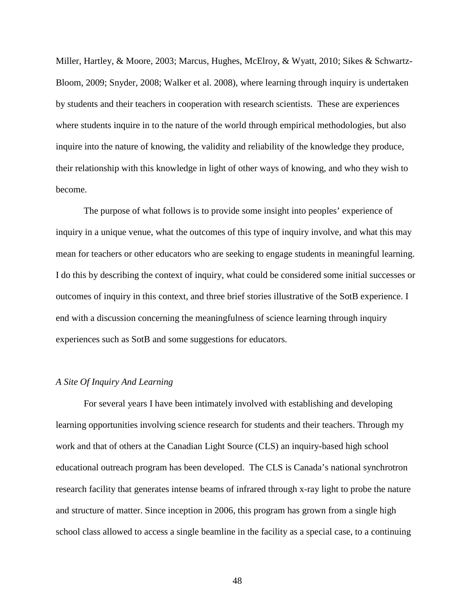Miller, Hartley, & Moore, 2003; Marcus, Hughes, McElroy, & Wyatt, 2010; Sikes & Schwartz-Bloom, 2009; Snyder, 2008; Walker et al. 2008), where learning through inquiry is undertaken by students and their teachers in cooperation with research scientists. These are experiences where students inquire in to the nature of the world through empirical methodologies, but also inquire into the nature of knowing, the validity and reliability of the knowledge they produce, their relationship with this knowledge in light of other ways of knowing, and who they wish to become.

The purpose of what follows is to provide some insight into peoples' experience of inquiry in a unique venue, what the outcomes of this type of inquiry involve, and what this may mean for teachers or other educators who are seeking to engage students in meaningful learning. I do this by describing the context of inquiry, what could be considered some initial successes or outcomes of inquiry in this context, and three brief stories illustrative of the SotB experience. I end with a discussion concerning the meaningfulness of science learning through inquiry experiences such as SotB and some suggestions for educators.

# *A Site Of Inquiry And Learning*

For several years I have been intimately involved with establishing and developing learning opportunities involving science research for students and their teachers. Through my work and that of others at the Canadian Light Source (CLS) an inquiry-based high school educational outreach program has been developed. The CLS is Canada's national synchrotron research facility that generates intense beams of infrared through x-ray light to probe the nature and structure of matter. Since inception in 2006, this program has grown from a single high school class allowed to access a single beamline in the facility as a special case, to a continuing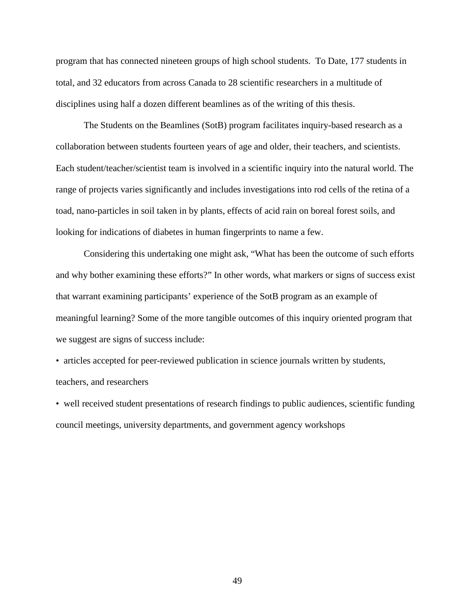program that has connected nineteen groups of high school students. To Date, 177 students in total, and 32 educators from across Canada to 28 scientific researchers in a multitude of disciplines using half a dozen different beamlines as of the writing of this thesis.

The Students on the Beamlines (SotB) program facilitates inquiry-based research as a collaboration between students fourteen years of age and older, their teachers, and scientists. Each student/teacher/scientist team is involved in a scientific inquiry into the natural world. The range of projects varies significantly and includes investigations into rod cells of the retina of a toad, nano-particles in soil taken in by plants, effects of acid rain on boreal forest soils, and looking for indications of diabetes in human fingerprints to name a few.

Considering this undertaking one might ask, "What has been the outcome of such efforts and why bother examining these efforts?" In other words, what markers or signs of success exist that warrant examining participants' experience of the SotB program as an example of meaningful learning? Some of the more tangible outcomes of this inquiry oriented program that we suggest are signs of success include:

• articles accepted for peer-reviewed publication in science journals written by students, teachers, and researchers

• well received student presentations of research findings to public audiences, scientific funding council meetings, university departments, and government agency workshops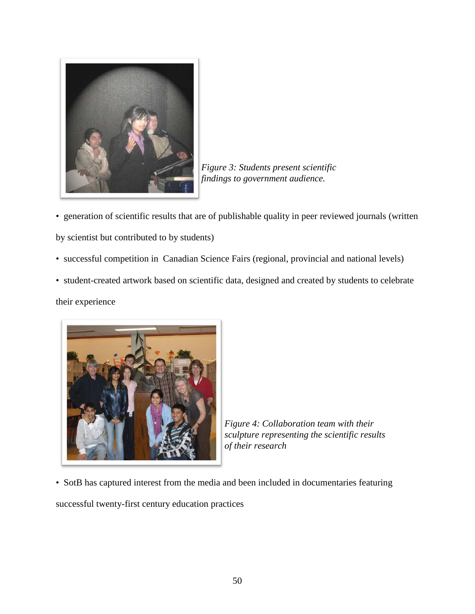

*Figure 3: Students present scientific findings to government audience.*

- generation of scientific results that are of publishable quality in peer reviewed journals (written by scientist but contributed to by students)
- successful competition in Canadian Science Fairs (regional, provincial and national levels)
- student-created artwork based on scientific data, designed and created by students to celebrate

their experience



*Figure 4: Collaboration team with their sculpture representing the scientific results of their research*

• SotB has captured interest from the media and been included in documentaries featuring

successful twenty-first century education practices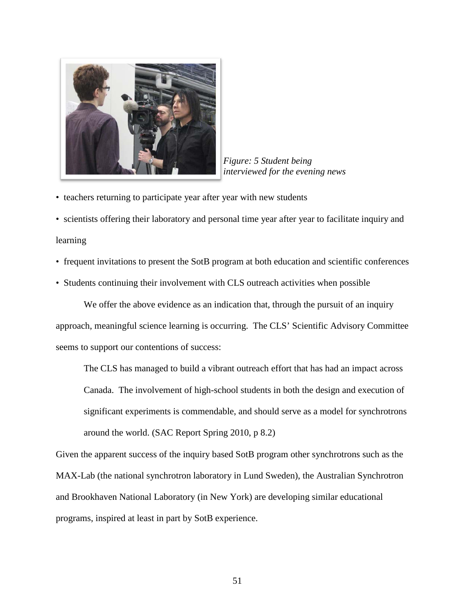

*Figure: 5 Student being interviewed for the evening news*

• teachers returning to participate year after year with new students

• scientists offering their laboratory and personal time year after year to facilitate inquiry and learning

• frequent invitations to present the SotB program at both education and scientific conferences

• Students continuing their involvement with CLS outreach activities when possible

We offer the above evidence as an indication that, through the pursuit of an inquiry approach, meaningful science learning is occurring. The CLS' Scientific Advisory Committee seems to support our contentions of success:

The CLS has managed to build a vibrant outreach effort that has had an impact across Canada. The involvement of high-school students in both the design and execution of significant experiments is commendable, and should serve as a model for synchrotrons around the world. (SAC Report Spring 2010, p 8.2)

Given the apparent success of the inquiry based SotB program other synchrotrons such as the MAX-Lab (the national synchrotron laboratory in Lund Sweden), the Australian Synchrotron and Brookhaven National Laboratory (in New York) are developing similar educational programs, inspired at least in part by SotB experience.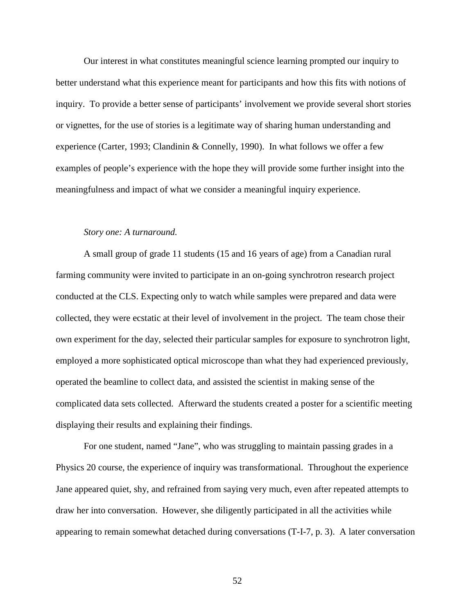Our interest in what constitutes meaningful science learning prompted our inquiry to better understand what this experience meant for participants and how this fits with notions of inquiry. To provide a better sense of participants' involvement we provide several short stories or vignettes, for the use of stories is a legitimate way of sharing human understanding and experience (Carter, 1993; Clandinin & Connelly, 1990). In what follows we offer a few examples of people's experience with the hope they will provide some further insight into the meaningfulness and impact of what we consider a meaningful inquiry experience.

# *Story one: A turnaround.*

A small group of grade 11 students (15 and 16 years of age) from a Canadian rural farming community were invited to participate in an on-going synchrotron research project conducted at the CLS. Expecting only to watch while samples were prepared and data were collected, they were ecstatic at their level of involvement in the project. The team chose their own experiment for the day, selected their particular samples for exposure to synchrotron light, employed a more sophisticated optical microscope than what they had experienced previously, operated the beamline to collect data, and assisted the scientist in making sense of the complicated data sets collected. Afterward the students created a poster for a scientific meeting displaying their results and explaining their findings.

For one student, named "Jane", who was struggling to maintain passing grades in a Physics 20 course, the experience of inquiry was transformational. Throughout the experience Jane appeared quiet, shy, and refrained from saying very much, even after repeated attempts to draw her into conversation. However, she diligently participated in all the activities while appearing to remain somewhat detached during conversations (T-I-7, p. 3). A later conversation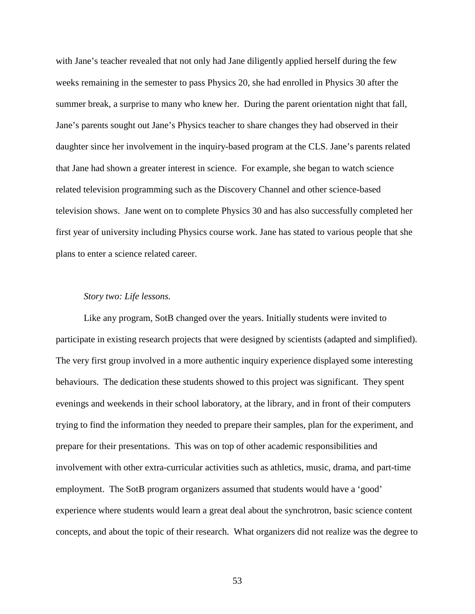with Jane's teacher revealed that not only had Jane diligently applied herself during the few weeks remaining in the semester to pass Physics 20, she had enrolled in Physics 30 after the summer break, a surprise to many who knew her. During the parent orientation night that fall, Jane's parents sought out Jane's Physics teacher to share changes they had observed in their daughter since her involvement in the inquiry-based program at the CLS. Jane's parents related that Jane had shown a greater interest in science. For example, she began to watch science related television programming such as the Discovery Channel and other science-based television shows. Jane went on to complete Physics 30 and has also successfully completed her first year of university including Physics course work. Jane has stated to various people that she plans to enter a science related career.

#### *Story two: Life lessons.*

Like any program, SotB changed over the years. Initially students were invited to participate in existing research projects that were designed by scientists (adapted and simplified). The very first group involved in a more authentic inquiry experience displayed some interesting behaviours. The dedication these students showed to this project was significant. They spent evenings and weekends in their school laboratory, at the library, and in front of their computers trying to find the information they needed to prepare their samples, plan for the experiment, and prepare for their presentations. This was on top of other academic responsibilities and involvement with other extra-curricular activities such as athletics, music, drama, and part-time employment. The SotB program organizers assumed that students would have a 'good' experience where students would learn a great deal about the synchrotron, basic science content concepts, and about the topic of their research. What organizers did not realize was the degree to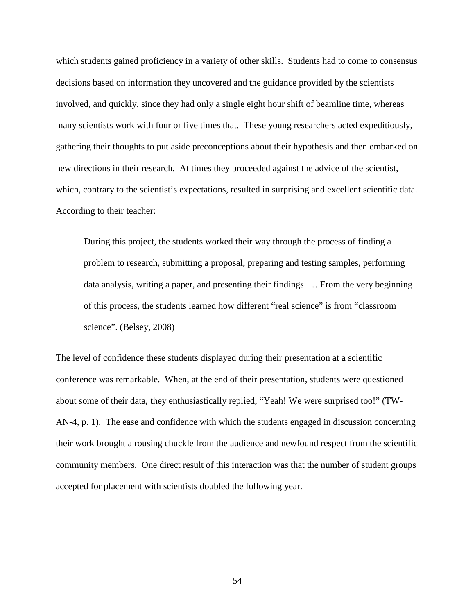which students gained proficiency in a variety of other skills. Students had to come to consensus decisions based on information they uncovered and the guidance provided by the scientists involved, and quickly, since they had only a single eight hour shift of beamline time, whereas many scientists work with four or five times that. These young researchers acted expeditiously, gathering their thoughts to put aside preconceptions about their hypothesis and then embarked on new directions in their research. At times they proceeded against the advice of the scientist, which, contrary to the scientist's expectations, resulted in surprising and excellent scientific data. According to their teacher:

During this project, the students worked their way through the process of finding a problem to research, submitting a proposal, preparing and testing samples, performing data analysis, writing a paper, and presenting their findings. … From the very beginning of this process, the students learned how different "real science" is from "classroom science". (Belsey, 2008)

The level of confidence these students displayed during their presentation at a scientific conference was remarkable. When, at the end of their presentation, students were questioned about some of their data, they enthusiastically replied, "Yeah! We were surprised too!" (TW-AN-4, p. 1). The ease and confidence with which the students engaged in discussion concerning their work brought a rousing chuckle from the audience and newfound respect from the scientific community members. One direct result of this interaction was that the number of student groups accepted for placement with scientists doubled the following year.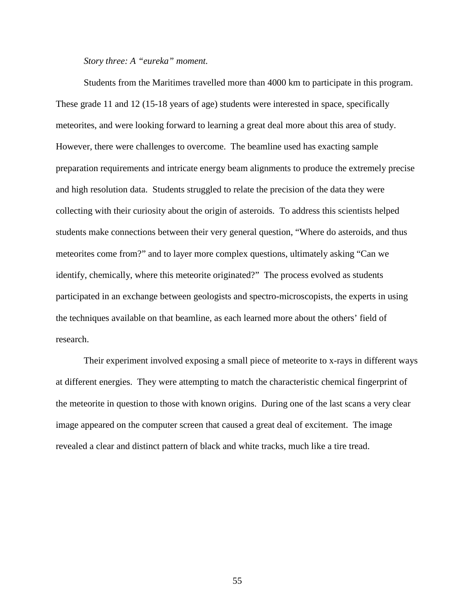#### *Story three: A "eureka" moment.*

Students from the Maritimes travelled more than 4000 km to participate in this program. These grade 11 and 12 (15-18 years of age) students were interested in space, specifically meteorites, and were looking forward to learning a great deal more about this area of study. However, there were challenges to overcome. The beamline used has exacting sample preparation requirements and intricate energy beam alignments to produce the extremely precise and high resolution data. Students struggled to relate the precision of the data they were collecting with their curiosity about the origin of asteroids. To address this scientists helped students make connections between their very general question, "Where do asteroids, and thus meteorites come from?" and to layer more complex questions, ultimately asking "Can we identify, chemically, where this meteorite originated?" The process evolved as students participated in an exchange between geologists and spectro-microscopists, the experts in using the techniques available on that beamline, as each learned more about the others' field of research.

Their experiment involved exposing a small piece of meteorite to x-rays in different ways at different energies. They were attempting to match the characteristic chemical fingerprint of the meteorite in question to those with known origins. During one of the last scans a very clear image appeared on the computer screen that caused a great deal of excitement. The image revealed a clear and distinct pattern of black and white tracks, much like a tire tread.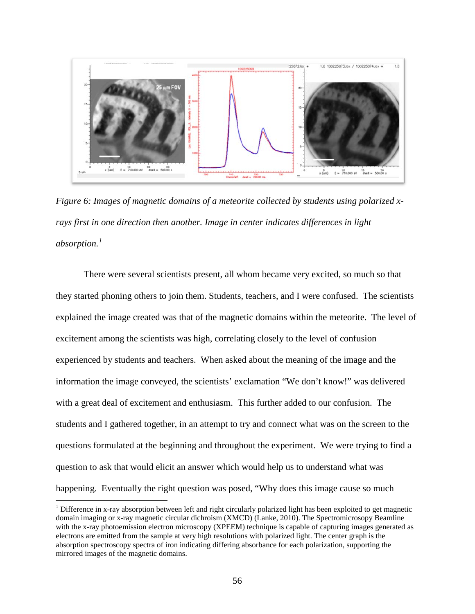

*Figure 6: Images of magnetic domains of a meteorite collected by students using polarized xrays first in one direction then another. Image in center indicates differences in light absorption.[1](#page-71-0)*

There were several scientists present, all whom became very excited, so much so that they started phoning others to join them. Students, teachers, and I were confused. The scientists explained the image created was that of the magnetic domains within the meteorite. The level of excitement among the scientists was high, correlating closely to the level of confusion experienced by students and teachers. When asked about the meaning of the image and the information the image conveyed, the scientists' exclamation "We don't know!" was delivered with a great deal of excitement and enthusiasm. This further added to our confusion. The students and I gathered together, in an attempt to try and connect what was on the screen to the questions formulated at the beginning and throughout the experiment. We were trying to find a question to ask that would elicit an answer which would help us to understand what was happening. Eventually the right question was posed, "Why does this image cause so much

<span id="page-71-0"></span><sup>&</sup>lt;sup>1</sup> Difference in x-ray absorption between left and right circularly polarized light has been exploited to get magnetic domain imaging or x-ray magnetic circular dichroism (XMCD) (Lanke, 2010). The Spectromicrosopy Beamline with the x-ray photoemission electron microscopy (XPEEM) technique is capable of capturing images generated as electrons are emitted from the sample at very high resolutions with polarized light. The center graph is the absorption spectroscopy spectra of iron indicating differing absorbance for each polarization, supporting the mirrored images of the magnetic domains.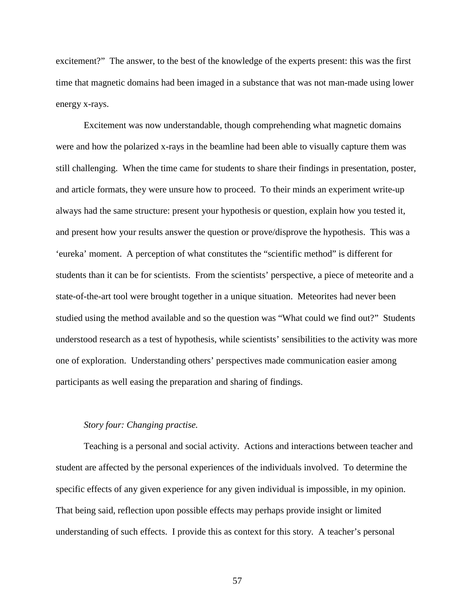excitement?" The answer, to the best of the knowledge of the experts present: this was the first time that magnetic domains had been imaged in a substance that was not man-made using lower energy x-rays.

Excitement was now understandable, though comprehending what magnetic domains were and how the polarized x-rays in the beamline had been able to visually capture them was still challenging. When the time came for students to share their findings in presentation, poster, and article formats, they were unsure how to proceed. To their minds an experiment write-up always had the same structure: present your hypothesis or question, explain how you tested it, and present how your results answer the question or prove/disprove the hypothesis. This was a 'eureka' moment. A perception of what constitutes the "scientific method" is different for students than it can be for scientists. From the scientists' perspective, a piece of meteorite and a state-of-the-art tool were brought together in a unique situation. Meteorites had never been studied using the method available and so the question was "What could we find out?" Students understood research as a test of hypothesis, while scientists' sensibilities to the activity was more one of exploration. Understanding others' perspectives made communication easier among participants as well easing the preparation and sharing of findings.

#### *Story four: Changing practise.*

Teaching is a personal and social activity. Actions and interactions between teacher and student are affected by the personal experiences of the individuals involved. To determine the specific effects of any given experience for any given individual is impossible, in my opinion. That being said, reflection upon possible effects may perhaps provide insight or limited understanding of such effects. I provide this as context for this story. A teacher's personal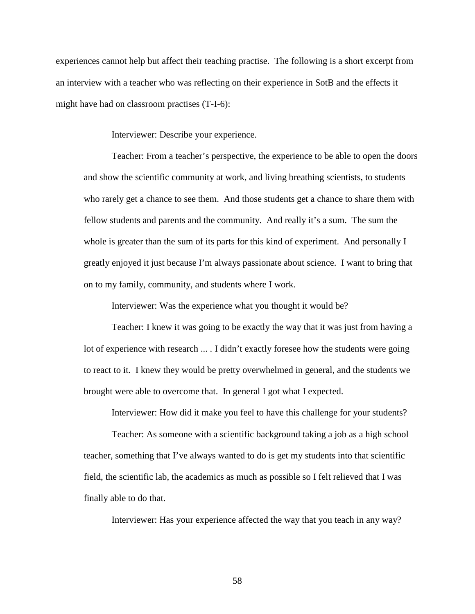experiences cannot help but affect their teaching practise. The following is a short excerpt from an interview with a teacher who was reflecting on their experience in SotB and the effects it might have had on classroom practises (T-I-6):

Interviewer: Describe your experience.

Teacher: From a teacher's perspective, the experience to be able to open the doors and show the scientific community at work, and living breathing scientists, to students who rarely get a chance to see them. And those students get a chance to share them with fellow students and parents and the community. And really it's a sum. The sum the whole is greater than the sum of its parts for this kind of experiment. And personally I greatly enjoyed it just because I'm always passionate about science. I want to bring that on to my family, community, and students where I work.

Interviewer: Was the experience what you thought it would be?

Teacher: I knew it was going to be exactly the way that it was just from having a lot of experience with research ... . I didn't exactly foresee how the students were going to react to it. I knew they would be pretty overwhelmed in general, and the students we brought were able to overcome that. In general I got what I expected.

Interviewer: How did it make you feel to have this challenge for your students?

Teacher: As someone with a scientific background taking a job as a high school teacher, something that I've always wanted to do is get my students into that scientific field, the scientific lab, the academics as much as possible so I felt relieved that I was finally able to do that.

Interviewer: Has your experience affected the way that you teach in any way?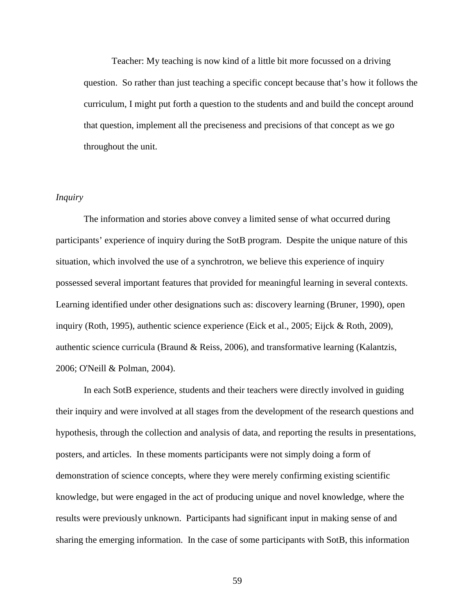Teacher: My teaching is now kind of a little bit more focussed on a driving question. So rather than just teaching a specific concept because that's how it follows the curriculum, I might put forth a question to the students and and build the concept around that question, implement all the preciseness and precisions of that concept as we go throughout the unit.

# *Inquiry*

The information and stories above convey a limited sense of what occurred during participants' experience of inquiry during the SotB program. Despite the unique nature of this situation, which involved the use of a synchrotron, we believe this experience of inquiry possessed several important features that provided for meaningful learning in several contexts. Learning identified under other designations such as: discovery learning (Bruner, 1990), open inquiry (Roth, 1995), authentic science experience (Eick et al., 2005; Eijck & Roth, 2009), authentic science curricula (Braund & Reiss, 2006), and transformative learning (Kalantzis, 2006; O'Neill & Polman, 2004).

In each SotB experience, students and their teachers were directly involved in guiding their inquiry and were involved at all stages from the development of the research questions and hypothesis, through the collection and analysis of data, and reporting the results in presentations, posters, and articles. In these moments participants were not simply doing a form of demonstration of science concepts, where they were merely confirming existing scientific knowledge, but were engaged in the act of producing unique and novel knowledge, where the results were previously unknown. Participants had significant input in making sense of and sharing the emerging information. In the case of some participants with SotB, this information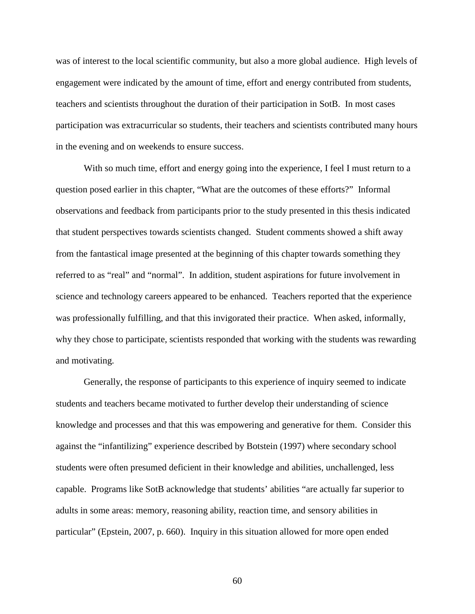was of interest to the local scientific community, but also a more global audience. High levels of engagement were indicated by the amount of time, effort and energy contributed from students, teachers and scientists throughout the duration of their participation in SotB. In most cases participation was extracurricular so students, their teachers and scientists contributed many hours in the evening and on weekends to ensure success.

With so much time, effort and energy going into the experience, I feel I must return to a question posed earlier in this chapter, "What are the outcomes of these efforts?" Informal observations and feedback from participants prior to the study presented in this thesis indicated that student perspectives towards scientists changed. Student comments showed a shift away from the fantastical image presented at the beginning of this chapter towards something they referred to as "real" and "normal". In addition, student aspirations for future involvement in science and technology careers appeared to be enhanced. Teachers reported that the experience was professionally fulfilling, and that this invigorated their practice. When asked, informally, why they chose to participate, scientists responded that working with the students was rewarding and motivating.

Generally, the response of participants to this experience of inquiry seemed to indicate students and teachers became motivated to further develop their understanding of science knowledge and processes and that this was empowering and generative for them. Consider this against the "infantilizing" experience described by Botstein (1997) where secondary school students were often presumed deficient in their knowledge and abilities, unchallenged, less capable. Programs like SotB acknowledge that students' abilities "are actually far superior to adults in some areas: memory, reasoning ability, reaction time, and sensory abilities in particular" (Epstein, 2007, p. 660). Inquiry in this situation allowed for more open ended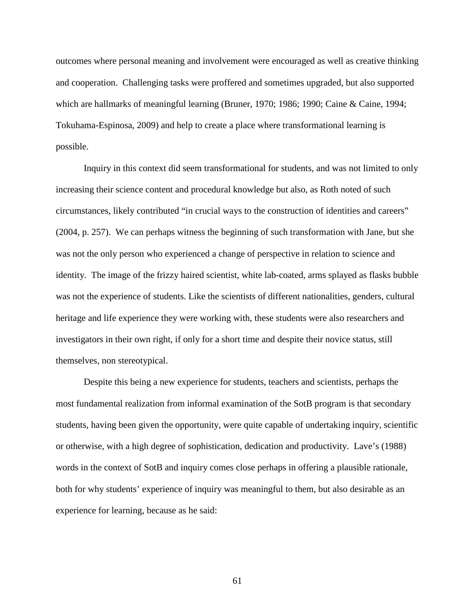outcomes where personal meaning and involvement were encouraged as well as creative thinking and cooperation. Challenging tasks were proffered and sometimes upgraded, but also supported which are hallmarks of meaningful learning (Bruner, 1970; 1986; 1990; Caine & Caine, 1994; Tokuhama-Espinosa, 2009) and help to create a place where transformational learning is possible.

Inquiry in this context did seem transformational for students, and was not limited to only increasing their science content and procedural knowledge but also, as Roth noted of such circumstances, likely contributed "in crucial ways to the construction of identities and careers" (2004, p. 257). We can perhaps witness the beginning of such transformation with Jane, but she was not the only person who experienced a change of perspective in relation to science and identity. The image of the frizzy haired scientist, white lab-coated, arms splayed as flasks bubble was not the experience of students. Like the scientists of different nationalities, genders, cultural heritage and life experience they were working with, these students were also researchers and investigators in their own right, if only for a short time and despite their novice status, still themselves, non stereotypical.

Despite this being a new experience for students, teachers and scientists, perhaps the most fundamental realization from informal examination of the SotB program is that secondary students, having been given the opportunity, were quite capable of undertaking inquiry, scientific or otherwise, with a high degree of sophistication, dedication and productivity. Lave's (1988) words in the context of SotB and inquiry comes close perhaps in offering a plausible rationale, both for why students' experience of inquiry was meaningful to them, but also desirable as an experience for learning, because as he said: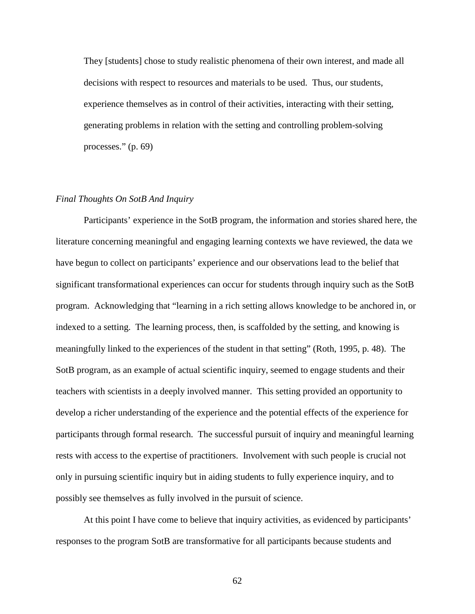They [students] chose to study realistic phenomena of their own interest, and made all decisions with respect to resources and materials to be used. Thus, our students, experience themselves as in control of their activities, interacting with their setting, generating problems in relation with the setting and controlling problem-solving processes." (p. 69)

### *Final Thoughts On SotB And Inquiry*

Participants' experience in the SotB program, the information and stories shared here, the literature concerning meaningful and engaging learning contexts we have reviewed, the data we have begun to collect on participants' experience and our observations lead to the belief that significant transformational experiences can occur for students through inquiry such as the SotB program. Acknowledging that "learning in a rich setting allows knowledge to be anchored in, or indexed to a setting. The learning process, then, is scaffolded by the setting, and knowing is meaningfully linked to the experiences of the student in that setting" (Roth, 1995, p. 48). The SotB program, as an example of actual scientific inquiry, seemed to engage students and their teachers with scientists in a deeply involved manner. This setting provided an opportunity to develop a richer understanding of the experience and the potential effects of the experience for participants through formal research. The successful pursuit of inquiry and meaningful learning rests with access to the expertise of practitioners. Involvement with such people is crucial not only in pursuing scientific inquiry but in aiding students to fully experience inquiry, and to possibly see themselves as fully involved in the pursuit of science.

At this point I have come to believe that inquiry activities, as evidenced by participants' responses to the program SotB are transformative for all participants because students and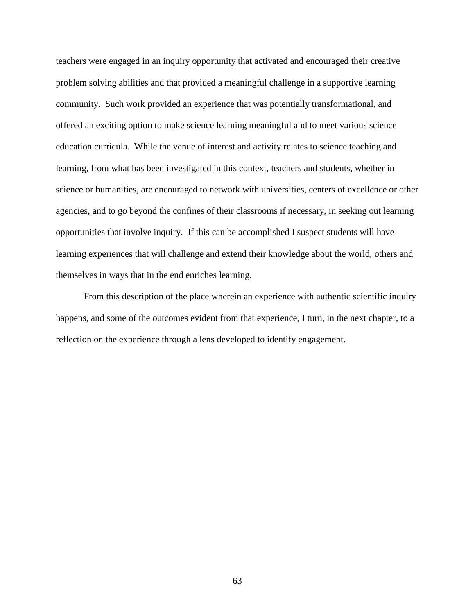teachers were engaged in an inquiry opportunity that activated and encouraged their creative problem solving abilities and that provided a meaningful challenge in a supportive learning community. Such work provided an experience that was potentially transformational, and offered an exciting option to make science learning meaningful and to meet various science education curricula. While the venue of interest and activity relates to science teaching and learning, from what has been investigated in this context, teachers and students, whether in science or humanities, are encouraged to network with universities, centers of excellence or other agencies, and to go beyond the confines of their classrooms if necessary, in seeking out learning opportunities that involve inquiry. If this can be accomplished I suspect students will have learning experiences that will challenge and extend their knowledge about the world, others and themselves in ways that in the end enriches learning.

From this description of the place wherein an experience with authentic scientific inquiry happens, and some of the outcomes evident from that experience, I turn, in the next chapter, to a reflection on the experience through a lens developed to identify engagement.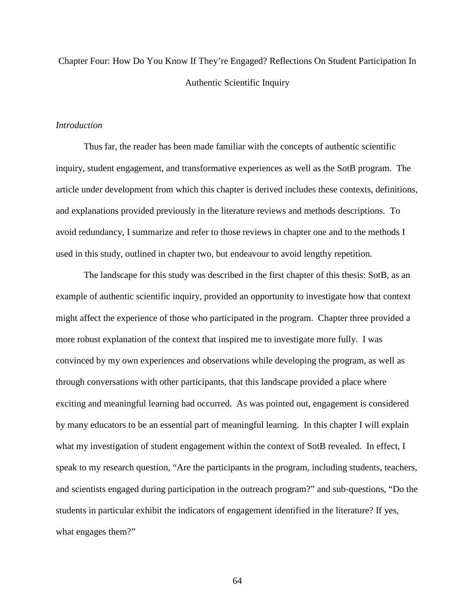Chapter Four: How Do You Know If They're Engaged? Reflections On Student Participation In Authentic Scientific Inquiry

### *Introduction*

Thus far, the reader has been made familiar with the concepts of authentic scientific inquiry, student engagement, and transformative experiences as well as the SotB program. The article under development from which this chapter is derived includes these contexts, definitions, and explanations provided previously in the literature reviews and methods descriptions. To avoid redundancy, I summarize and refer to those reviews in chapter one and to the methods I used in this study, outlined in chapter two, but endeavour to avoid lengthy repetition.

The landscape for this study was described in the first chapter of this thesis: SotB, as an example of authentic scientific inquiry, provided an opportunity to investigate how that context might affect the experience of those who participated in the program. Chapter three provided a more robust explanation of the context that inspired me to investigate more fully. I was convinced by my own experiences and observations while developing the program, as well as through conversations with other participants, that this landscape provided a place where exciting and meaningful learning had occurred. As was pointed out, engagement is considered by many educators to be an essential part of meaningful learning. In this chapter I will explain what my investigation of student engagement within the context of SotB revealed. In effect, I speak to my research question, "Are the participants in the program, including students, teachers, and scientists engaged during participation in the outreach program?" and sub-questions, "Do the students in particular exhibit the indicators of engagement identified in the literature? If yes, what engages them?"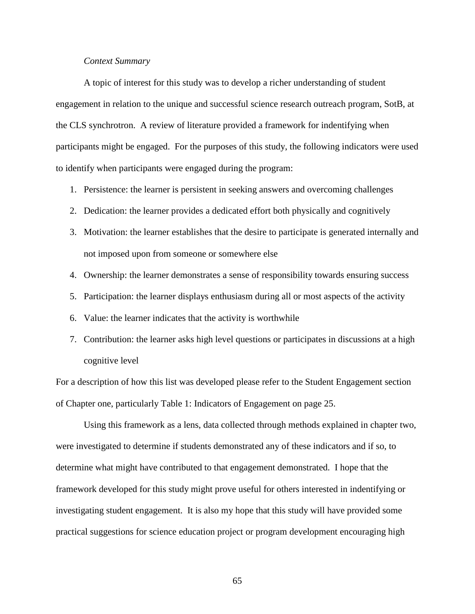## *Context Summary*

A topic of interest for this study was to develop a richer understanding of student engagement in relation to the unique and successful science research outreach program, SotB, at the CLS synchrotron. A review of literature provided a framework for indentifying when participants might be engaged. For the purposes of this study, the following indicators were used to identify when participants were engaged during the program:

- 1. Persistence: the learner is persistent in seeking answers and overcoming challenges
- 2. Dedication: the learner provides a dedicated effort both physically and cognitively
- 3. Motivation: the learner establishes that the desire to participate is generated internally and not imposed upon from someone or somewhere else
- 4. Ownership: the learner demonstrates a sense of responsibility towards ensuring success
- 5. Participation: the learner displays enthusiasm during all or most aspects of the activity
- 6. Value: the learner indicates that the activity is worthwhile
- 7. Contribution: the learner asks high level questions or participates in discussions at a high cognitive level

For a description of how this list was developed please refer to the Student Engagement section of Chapter one, particularly Table 1: Indicators of Engagement on page 25.

Using this framework as a lens, data collected through methods explained in chapter two, were investigated to determine if students demonstrated any of these indicators and if so, to determine what might have contributed to that engagement demonstrated. I hope that the framework developed for this study might prove useful for others interested in indentifying or investigating student engagement. It is also my hope that this study will have provided some practical suggestions for science education project or program development encouraging high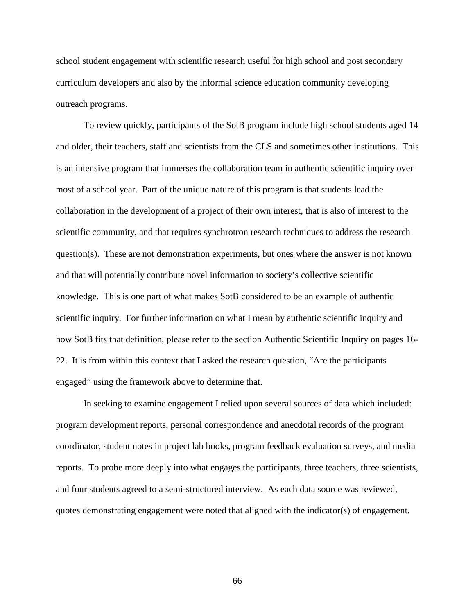school student engagement with scientific research useful for high school and post secondary curriculum developers and also by the informal science education community developing outreach programs.

To review quickly, participants of the SotB program include high school students aged 14 and older, their teachers, staff and scientists from the CLS and sometimes other institutions. This is an intensive program that immerses the collaboration team in authentic scientific inquiry over most of a school year. Part of the unique nature of this program is that students lead the collaboration in the development of a project of their own interest, that is also of interest to the scientific community, and that requires synchrotron research techniques to address the research question(s). These are not demonstration experiments, but ones where the answer is not known and that will potentially contribute novel information to society's collective scientific knowledge. This is one part of what makes SotB considered to be an example of authentic scientific inquiry. For further information on what I mean by authentic scientific inquiry and how SotB fits that definition, please refer to the section Authentic Scientific Inquiry on pages 16- 22. It is from within this context that I asked the research question, "Are the participants engaged" using the framework above to determine that.

In seeking to examine engagement I relied upon several sources of data which included: program development reports, personal correspondence and anecdotal records of the program coordinator, student notes in project lab books, program feedback evaluation surveys, and media reports. To probe more deeply into what engages the participants, three teachers, three scientists, and four students agreed to a semi-structured interview. As each data source was reviewed, quotes demonstrating engagement were noted that aligned with the indicator(s) of engagement.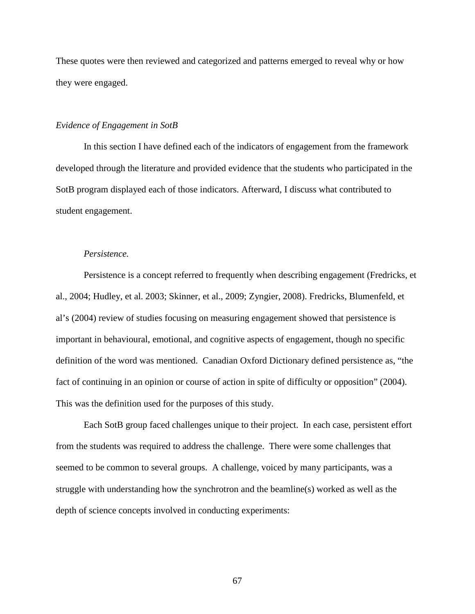These quotes were then reviewed and categorized and patterns emerged to reveal why or how they were engaged.

## *Evidence of Engagement in SotB*

In this section I have defined each of the indicators of engagement from the framework developed through the literature and provided evidence that the students who participated in the SotB program displayed each of those indicators. Afterward, I discuss what contributed to student engagement.

## *Persistence.*

Persistence is a concept referred to frequently when describing engagement (Fredricks, et al., 2004; Hudley, et al. 2003; Skinner, et al., 2009; Zyngier, 2008). Fredricks, Blumenfeld, et al's (2004) review of studies focusing on measuring engagement showed that persistence is important in behavioural, emotional, and cognitive aspects of engagement, though no specific definition of the word was mentioned. Canadian Oxford Dictionary defined persistence as, "the fact of continuing in an opinion or course of action in spite of difficulty or opposition" (2004). This was the definition used for the purposes of this study.

Each SotB group faced challenges unique to their project. In each case, persistent effort from the students was required to address the challenge. There were some challenges that seemed to be common to several groups. A challenge, voiced by many participants, was a struggle with understanding how the synchrotron and the beamline(s) worked as well as the depth of science concepts involved in conducting experiments: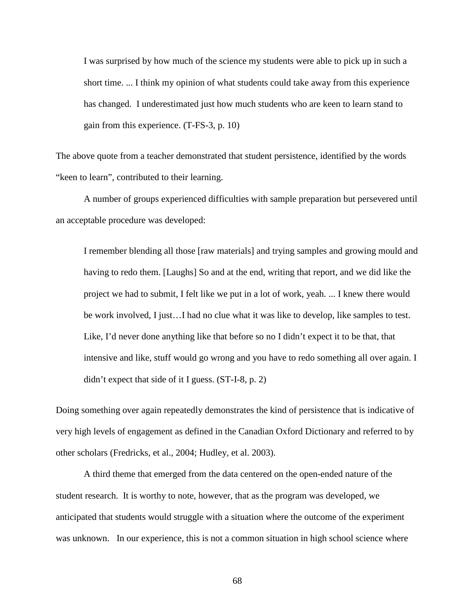I was surprised by how much of the science my students were able to pick up in such a short time. ... I think my opinion of what students could take away from this experience has changed. I underestimated just how much students who are keen to learn stand to gain from this experience. (T-FS-3, p. 10)

The above quote from a teacher demonstrated that student persistence, identified by the words "keen to learn", contributed to their learning.

A number of groups experienced difficulties with sample preparation but persevered until an acceptable procedure was developed:

I remember blending all those [raw materials] and trying samples and growing mould and having to redo them. [Laughs] So and at the end, writing that report, and we did like the project we had to submit, I felt like we put in a lot of work, yeah. ... I knew there would be work involved, I just…I had no clue what it was like to develop, like samples to test. Like, I'd never done anything like that before so no I didn't expect it to be that, that intensive and like, stuff would go wrong and you have to redo something all over again. I didn't expect that side of it I guess. (ST-I-8, p. 2)

Doing something over again repeatedly demonstrates the kind of persistence that is indicative of very high levels of engagement as defined in the Canadian Oxford Dictionary and referred to by other scholars (Fredricks, et al., 2004; Hudley, et al. 2003).

A third theme that emerged from the data centered on the open-ended nature of the student research. It is worthy to note, however, that as the program was developed, we anticipated that students would struggle with a situation where the outcome of the experiment was unknown. In our experience, this is not a common situation in high school science where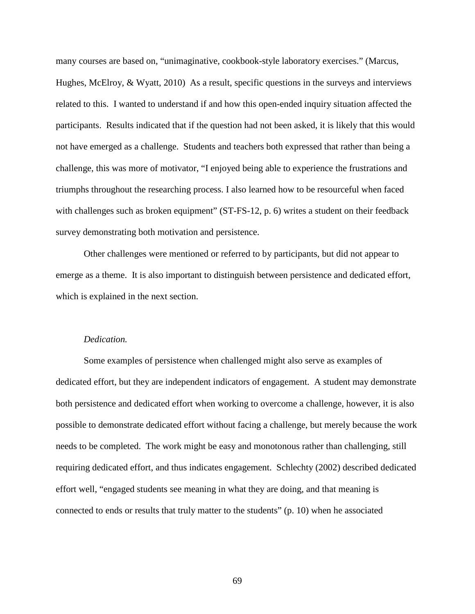many courses are based on, "unimaginative, cookbook-style laboratory exercises." (Marcus, Hughes, McElroy, & Wyatt, 2010) As a result, specific questions in the surveys and interviews related to this. I wanted to understand if and how this open-ended inquiry situation affected the participants. Results indicated that if the question had not been asked, it is likely that this would not have emerged as a challenge. Students and teachers both expressed that rather than being a challenge, this was more of motivator, "I enjoyed being able to experience the frustrations and triumphs throughout the researching process. I also learned how to be resourceful when faced with challenges such as broken equipment" (ST-FS-12, p. 6) writes a student on their feedback survey demonstrating both motivation and persistence.

Other challenges were mentioned or referred to by participants, but did not appear to emerge as a theme. It is also important to distinguish between persistence and dedicated effort, which is explained in the next section.

### *Dedication.*

Some examples of persistence when challenged might also serve as examples of dedicated effort, but they are independent indicators of engagement. A student may demonstrate both persistence and dedicated effort when working to overcome a challenge, however, it is also possible to demonstrate dedicated effort without facing a challenge, but merely because the work needs to be completed. The work might be easy and monotonous rather than challenging, still requiring dedicated effort, and thus indicates engagement. Schlechty (2002) described dedicated effort well, "engaged students see meaning in what they are doing, and that meaning is connected to ends or results that truly matter to the students" (p. 10) when he associated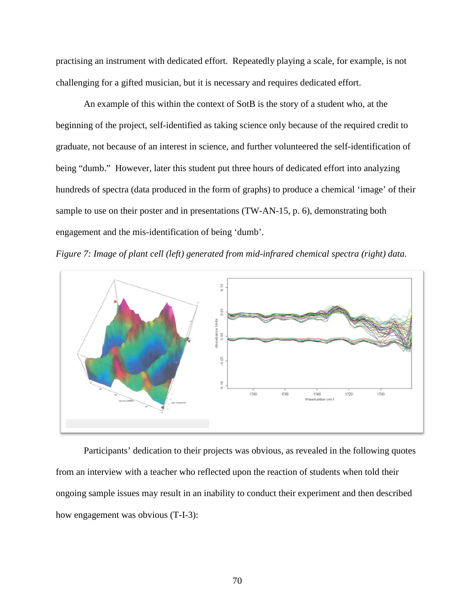practising an instrument with dedicated effort. Repeatedly playing a scale, for example, is not challenging for a gifted musician, but it is necessary and requires dedicated effort.

An example of this within the context of SotB is the story of a student who, at the beginning of the project, self-identified as taking science only because of the required credit to graduate, not because of an interest in science, and further volunteered the self-identification of being "dumb." However, later this student put three hours of dedicated effort into analyzing hundreds of spectra (data produced in the form of graphs) to produce a chemical 'image' of their sample to use on their poster and in presentations (TW-AN-15, p. 6), demonstrating both engagement and the mis-identification of being 'dumb'.





Participants' dedication to their projects was obvious, as revealed in the following quotes from an interview with a teacher who reflected upon the reaction of students when told their ongoing sample issues may result in an inability to conduct their experiment and then described how engagement was obvious (T-I-3):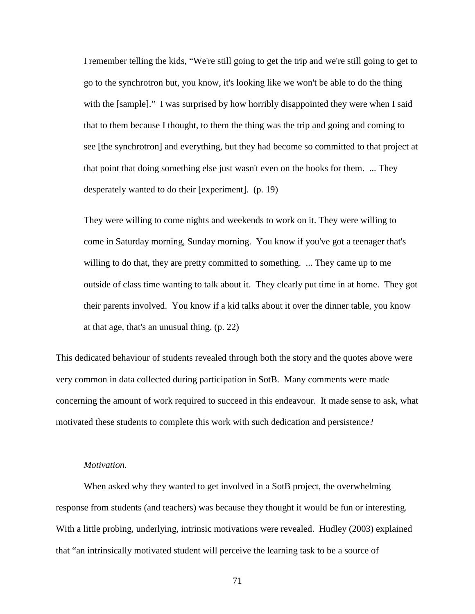I remember telling the kids, "We're still going to get the trip and we're still going to get to go to the synchrotron but, you know, it's looking like we won't be able to do the thing with the [sample]." I was surprised by how horribly disappointed they were when I said that to them because I thought, to them the thing was the trip and going and coming to see [the synchrotron] and everything, but they had become so committed to that project at that point that doing something else just wasn't even on the books for them. ... They desperately wanted to do their [experiment]. (p. 19)

They were willing to come nights and weekends to work on it. They were willing to come in Saturday morning, Sunday morning. You know if you've got a teenager that's willing to do that, they are pretty committed to something. ... They came up to me outside of class time wanting to talk about it. They clearly put time in at home. They got their parents involved. You know if a kid talks about it over the dinner table, you know at that age, that's an unusual thing. (p. 22)

This dedicated behaviour of students revealed through both the story and the quotes above were very common in data collected during participation in SotB. Many comments were made concerning the amount of work required to succeed in this endeavour. It made sense to ask, what motivated these students to complete this work with such dedication and persistence?

### *Motivation.*

When asked why they wanted to get involved in a SotB project, the overwhelming response from students (and teachers) was because they thought it would be fun or interesting. With a little probing, underlying, intrinsic motivations were revealed. Hudley (2003) explained that "an intrinsically motivated student will perceive the learning task to be a source of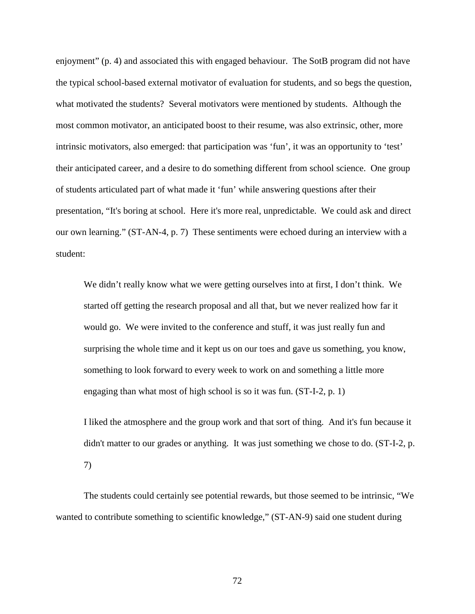enjoyment" (p. 4) and associated this with engaged behaviour. The SotB program did not have the typical school-based external motivator of evaluation for students, and so begs the question, what motivated the students? Several motivators were mentioned by students. Although the most common motivator, an anticipated boost to their resume, was also extrinsic, other, more intrinsic motivators, also emerged: that participation was 'fun', it was an opportunity to 'test' their anticipated career, and a desire to do something different from school science. One group of students articulated part of what made it 'fun' while answering questions after their presentation, "It's boring at school. Here it's more real, unpredictable. We could ask and direct our own learning." (ST-AN-4, p. 7) These sentiments were echoed during an interview with a student:

We didn't really know what we were getting ourselves into at first, I don't think. We started off getting the research proposal and all that, but we never realized how far it would go. We were invited to the conference and stuff, it was just really fun and surprising the whole time and it kept us on our toes and gave us something, you know, something to look forward to every week to work on and something a little more engaging than what most of high school is so it was fun. (ST-I-2, p. 1)

I liked the atmosphere and the group work and that sort of thing. And it's fun because it didn't matter to our grades or anything. It was just something we chose to do. (ST-I-2, p. 7)

The students could certainly see potential rewards, but those seemed to be intrinsic, "We wanted to contribute something to scientific knowledge," (ST-AN-9) said one student during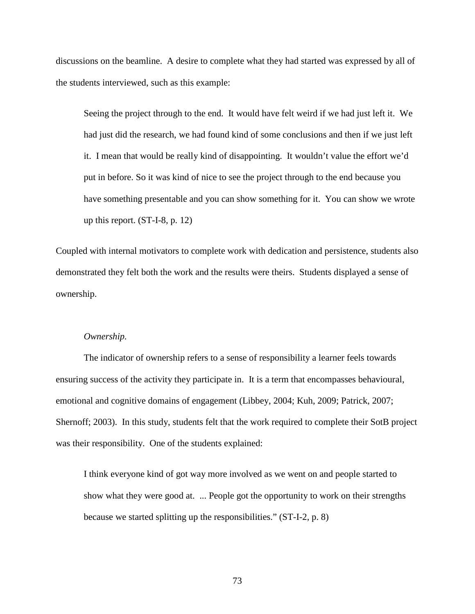discussions on the beamline. A desire to complete what they had started was expressed by all of the students interviewed, such as this example:

Seeing the project through to the end. It would have felt weird if we had just left it. We had just did the research, we had found kind of some conclusions and then if we just left it. I mean that would be really kind of disappointing. It wouldn't value the effort we'd put in before. So it was kind of nice to see the project through to the end because you have something presentable and you can show something for it. You can show we wrote up this report. (ST-I-8, p. 12)

Coupled with internal motivators to complete work with dedication and persistence, students also demonstrated they felt both the work and the results were theirs. Students displayed a sense of ownership.

### *Ownership.*

The indicator of ownership refers to a sense of responsibility a learner feels towards ensuring success of the activity they participate in. It is a term that encompasses behavioural, emotional and cognitive domains of engagement (Libbey, 2004; Kuh, 2009; Patrick, 2007; Shernoff; 2003). In this study, students felt that the work required to complete their SotB project was their responsibility. One of the students explained:

I think everyone kind of got way more involved as we went on and people started to show what they were good at. ... People got the opportunity to work on their strengths because we started splitting up the responsibilities." (ST-I-2, p. 8)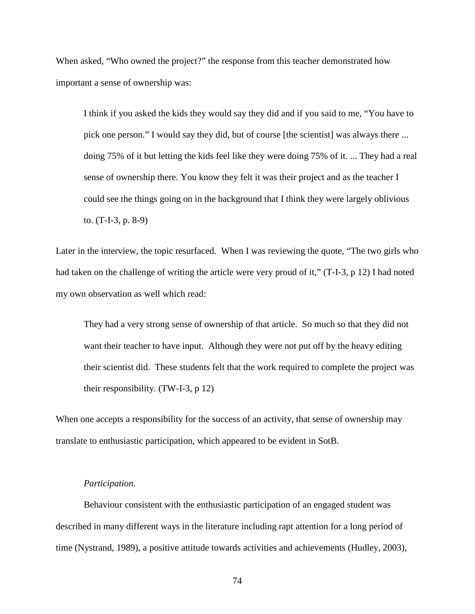When asked, "Who owned the project?" the response from this teacher demonstrated how important a sense of ownership was:

I think if you asked the kids they would say they did and if you said to me, "You have to pick one person." I would say they did, but of course [the scientist] was always there ... doing 75% of it but letting the kids feel like they were doing 75% of it. ... They had a real sense of ownership there. You know they felt it was their project and as the teacher I could see the things going on in the background that I think they were largely oblivious to. (T-I-3, p. 8-9)

Later in the interview, the topic resurfaced. When I was reviewing the quote, "The two girls who had taken on the challenge of writing the article were very proud of it," (T-I-3, p 12) I had noted my own observation as well which read:

They had a very strong sense of ownership of that article. So much so that they did not want their teacher to have input. Although they were not put off by the heavy editing their scientist did. These students felt that the work required to complete the project was their responsibility. (TW-I-3, p 12)

When one accepts a responsibility for the success of an activity, that sense of ownership may translate to enthusiastic participation, which appeared to be evident in SotB.

## *Participation.*

Behaviour consistent with the enthusiastic participation of an engaged student was described in many different ways in the literature including rapt attention for a long period of time (Nystrand, 1989), a positive attitude towards activities and achievements (Hudley, 2003),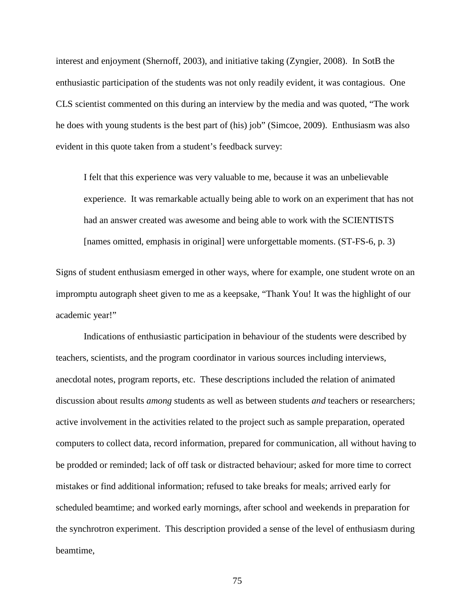interest and enjoyment (Shernoff, 2003), and initiative taking (Zyngier, 2008). In SotB the enthusiastic participation of the students was not only readily evident, it was contagious. One CLS scientist commented on this during an interview by the media and was quoted, "The work he does with young students is the best part of (his) job" (Simcoe, 2009). Enthusiasm was also evident in this quote taken from a student's feedback survey:

I felt that this experience was very valuable to me, because it was an unbelievable experience. It was remarkable actually being able to work on an experiment that has not had an answer created was awesome and being able to work with the SCIENTISTS [names omitted, emphasis in original] were unforgettable moments. (ST-FS-6, p. 3)

Signs of student enthusiasm emerged in other ways, where for example, one student wrote on an impromptu autograph sheet given to me as a keepsake, "Thank You! It was the highlight of our academic year!"

Indications of enthusiastic participation in behaviour of the students were described by teachers, scientists, and the program coordinator in various sources including interviews, anecdotal notes, program reports, etc. These descriptions included the relation of animated discussion about results *among* students as well as between students *and* teachers or researchers; active involvement in the activities related to the project such as sample preparation, operated computers to collect data, record information, prepared for communication, all without having to be prodded or reminded; lack of off task or distracted behaviour; asked for more time to correct mistakes or find additional information; refused to take breaks for meals; arrived early for scheduled beamtime; and worked early mornings, after school and weekends in preparation for the synchrotron experiment. This description provided a sense of the level of enthusiasm during beamtime,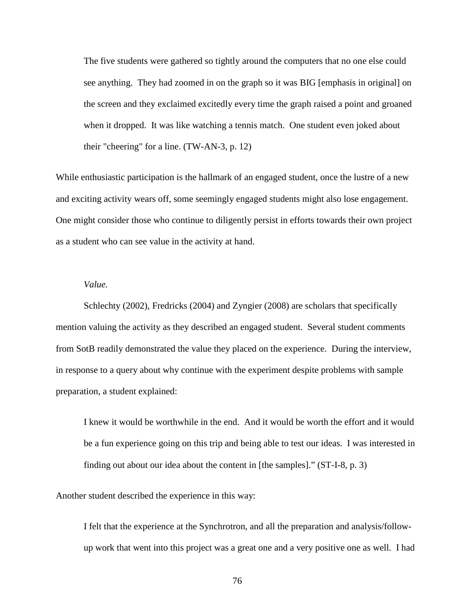The five students were gathered so tightly around the computers that no one else could see anything. They had zoomed in on the graph so it was BIG [emphasis in original] on the screen and they exclaimed excitedly every time the graph raised a point and groaned when it dropped. It was like watching a tennis match. One student even joked about their "cheering" for a line. (TW-AN-3, p. 12)

While enthusiastic participation is the hallmark of an engaged student, once the lustre of a new and exciting activity wears off, some seemingly engaged students might also lose engagement. One might consider those who continue to diligently persist in efforts towards their own project as a student who can see value in the activity at hand.

# *Value.*

Schlechty (2002), Fredricks (2004) and Zyngier (2008) are scholars that specifically mention valuing the activity as they described an engaged student. Several student comments from SotB readily demonstrated the value they placed on the experience. During the interview, in response to a query about why continue with the experiment despite problems with sample preparation, a student explained:

I knew it would be worthwhile in the end. And it would be worth the effort and it would be a fun experience going on this trip and being able to test our ideas. I was interested in finding out about our idea about the content in [the samples]." (ST-I-8, p. 3)

Another student described the experience in this way:

I felt that the experience at the Synchrotron, and all the preparation and analysis/followup work that went into this project was a great one and a very positive one as well. I had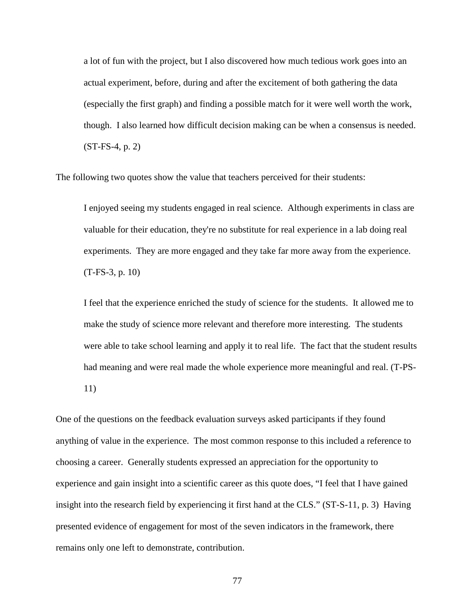a lot of fun with the project, but I also discovered how much tedious work goes into an actual experiment, before, during and after the excitement of both gathering the data (especially the first graph) and finding a possible match for it were well worth the work, though. I also learned how difficult decision making can be when a consensus is needed. (ST-FS-4, p. 2)

The following two quotes show the value that teachers perceived for their students:

I enjoyed seeing my students engaged in real science. Although experiments in class are valuable for their education, they're no substitute for real experience in a lab doing real experiments. They are more engaged and they take far more away from the experience. (T-FS-3, p. 10)

I feel that the experience enriched the study of science for the students. It allowed me to make the study of science more relevant and therefore more interesting. The students were able to take school learning and apply it to real life. The fact that the student results had meaning and were real made the whole experience more meaningful and real. (T-PS-11)

One of the questions on the feedback evaluation surveys asked participants if they found anything of value in the experience. The most common response to this included a reference to choosing a career. Generally students expressed an appreciation for the opportunity to experience and gain insight into a scientific career as this quote does, "I feel that I have gained insight into the research field by experiencing it first hand at the CLS." (ST-S-11, p. 3) Having presented evidence of engagement for most of the seven indicators in the framework, there remains only one left to demonstrate, contribution.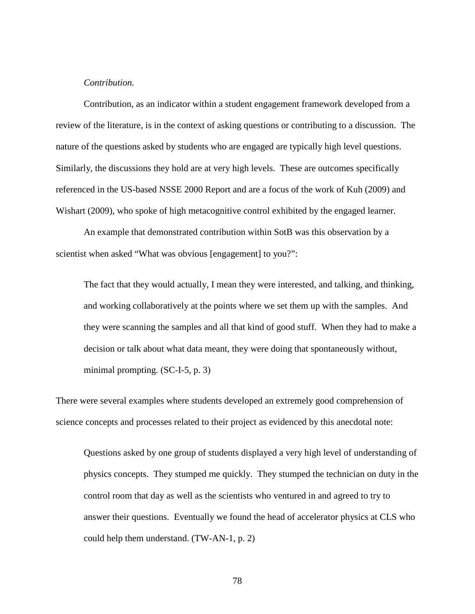## *Contribution.*

Contribution, as an indicator within a student engagement framework developed from a review of the literature, is in the context of asking questions or contributing to a discussion. The nature of the questions asked by students who are engaged are typically high level questions. Similarly, the discussions they hold are at very high levels. These are outcomes specifically referenced in the US-based NSSE 2000 Report and are a focus of the work of Kuh (2009) and Wishart (2009), who spoke of high metacognitive control exhibited by the engaged learner.

An example that demonstrated contribution within SotB was this observation by a scientist when asked "What was obvious [engagement] to you?":

The fact that they would actually, I mean they were interested, and talking, and thinking, and working collaboratively at the points where we set them up with the samples. And they were scanning the samples and all that kind of good stuff. When they had to make a decision or talk about what data meant, they were doing that spontaneously without, minimal prompting. (SC-I-5, p. 3)

There were several examples where students developed an extremely good comprehension of science concepts and processes related to their project as evidenced by this anecdotal note:

Questions asked by one group of students displayed a very high level of understanding of physics concepts. They stumped me quickly. They stumped the technician on duty in the control room that day as well as the scientists who ventured in and agreed to try to answer their questions. Eventually we found the head of accelerator physics at CLS who could help them understand. (TW-AN-1, p. 2)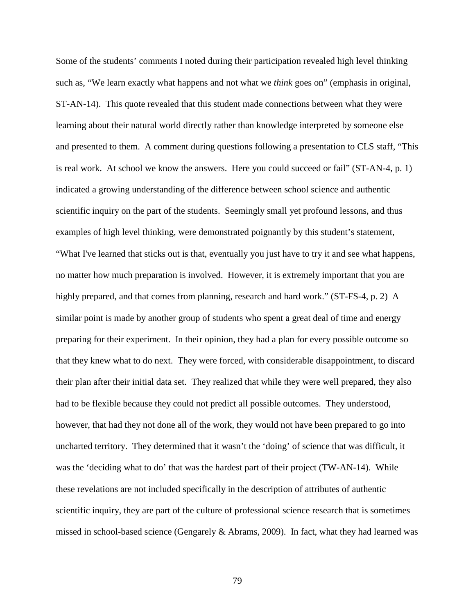Some of the students' comments I noted during their participation revealed high level thinking such as, "We learn exactly what happens and not what we *think* goes on" (emphasis in original, ST-AN-14). This quote revealed that this student made connections between what they were learning about their natural world directly rather than knowledge interpreted by someone else and presented to them. A comment during questions following a presentation to CLS staff, "This is real work. At school we know the answers. Here you could succeed or fail" (ST-AN-4, p. 1) indicated a growing understanding of the difference between school science and authentic scientific inquiry on the part of the students. Seemingly small yet profound lessons, and thus examples of high level thinking, were demonstrated poignantly by this student's statement, "What I've learned that sticks out is that, eventually you just have to try it and see what happens, no matter how much preparation is involved. However, it is extremely important that you are highly prepared, and that comes from planning, research and hard work." (ST-FS-4, p. 2) A similar point is made by another group of students who spent a great deal of time and energy preparing for their experiment. In their opinion, they had a plan for every possible outcome so that they knew what to do next. They were forced, with considerable disappointment, to discard their plan after their initial data set. They realized that while they were well prepared, they also had to be flexible because they could not predict all possible outcomes. They understood, however, that had they not done all of the work, they would not have been prepared to go into uncharted territory. They determined that it wasn't the 'doing' of science that was difficult, it was the 'deciding what to do' that was the hardest part of their project (TW-AN-14). While these revelations are not included specifically in the description of attributes of authentic scientific inquiry, they are part of the culture of professional science research that is sometimes missed in school-based science (Gengarely & Abrams, 2009). In fact, what they had learned was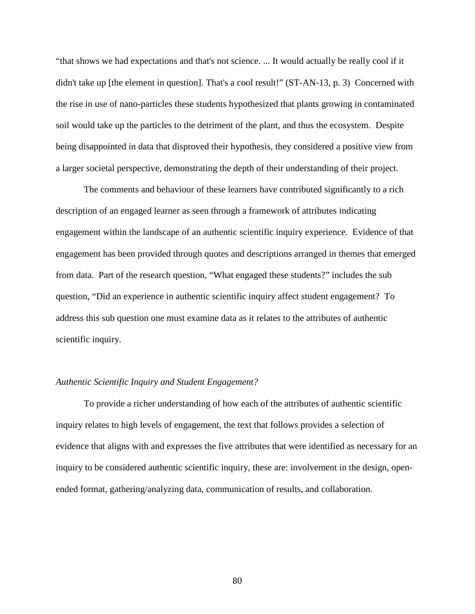"that shows we had expectations and that's not science. ... It would actually be really cool if it didn't take up [the element in question]. That's a cool result!" (ST-AN-13, p. 3) Concerned with the rise in use of nano-particles these students hypothesized that plants growing in contaminated soil would take up the particles to the detriment of the plant, and thus the ecosystem. Despite being disappointed in data that disproved their hypothesis, they considered a positive view from a larger societal perspective, demonstrating the depth of their understanding of their project.

The comments and behaviour of these learners have contributed significantly to a rich description of an engaged learner as seen through a framework of attributes indicating engagement within the landscape of an authentic scientific inquiry experience. Evidence of that engagement has been provided through quotes and descriptions arranged in themes that emerged from data. Part of the research question, "What engaged these students?" includes the sub question, "Did an experience in authentic scientific inquiry affect student engagement? To address this sub question one must examine data as it relates to the attributes of authentic scientific inquiry.

## *Authentic Scientific Inquiry and Student Engagement?*

To provide a richer understanding of how each of the attributes of authentic scientific inquiry relates to high levels of engagement, the text that follows provides a selection of evidence that aligns with and expresses the five attributes that were identified as necessary for an inquiry to be considered authentic scientific inquiry, these are: involvement in the design, openended format, gathering/analyzing data, communication of results, and collaboration.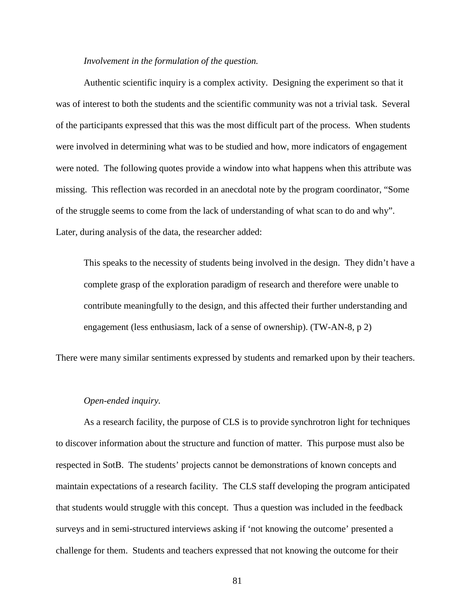#### *Involvement in the formulation of the question.*

Authentic scientific inquiry is a complex activity. Designing the experiment so that it was of interest to both the students and the scientific community was not a trivial task. Several of the participants expressed that this was the most difficult part of the process. When students were involved in determining what was to be studied and how, more indicators of engagement were noted. The following quotes provide a window into what happens when this attribute was missing. This reflection was recorded in an anecdotal note by the program coordinator, "Some of the struggle seems to come from the lack of understanding of what scan to do and why". Later, during analysis of the data, the researcher added:

This speaks to the necessity of students being involved in the design. They didn't have a complete grasp of the exploration paradigm of research and therefore were unable to contribute meaningfully to the design, and this affected their further understanding and engagement (less enthusiasm, lack of a sense of ownership). (TW-AN-8, p 2)

There were many similar sentiments expressed by students and remarked upon by their teachers.

# *Open-ended inquiry.*

As a research facility, the purpose of CLS is to provide synchrotron light for techniques to discover information about the structure and function of matter. This purpose must also be respected in SotB. The students' projects cannot be demonstrations of known concepts and maintain expectations of a research facility. The CLS staff developing the program anticipated that students would struggle with this concept. Thus a question was included in the feedback surveys and in semi-structured interviews asking if 'not knowing the outcome' presented a challenge for them. Students and teachers expressed that not knowing the outcome for their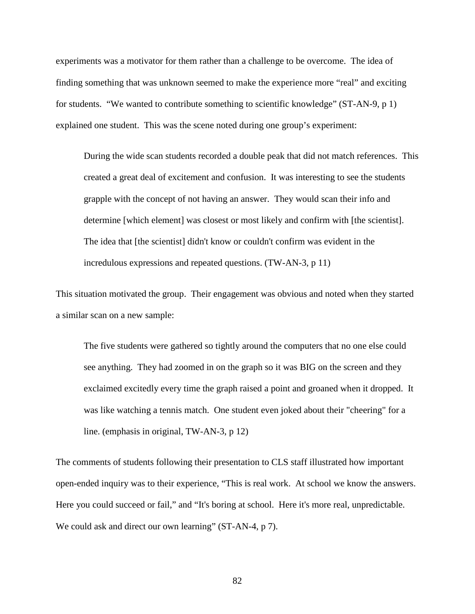experiments was a motivator for them rather than a challenge to be overcome. The idea of finding something that was unknown seemed to make the experience more "real" and exciting for students. "We wanted to contribute something to scientific knowledge" (ST-AN-9, p 1) explained one student. This was the scene noted during one group's experiment:

During the wide scan students recorded a double peak that did not match references. This created a great deal of excitement and confusion. It was interesting to see the students grapple with the concept of not having an answer. They would scan their info and determine [which element] was closest or most likely and confirm with [the scientist]. The idea that [the scientist] didn't know or couldn't confirm was evident in the incredulous expressions and repeated questions. (TW-AN-3, p 11)

This situation motivated the group. Their engagement was obvious and noted when they started a similar scan on a new sample:

The five students were gathered so tightly around the computers that no one else could see anything. They had zoomed in on the graph so it was BIG on the screen and they exclaimed excitedly every time the graph raised a point and groaned when it dropped. It was like watching a tennis match. One student even joked about their "cheering" for a line. (emphasis in original, TW-AN-3, p 12)

The comments of students following their presentation to CLS staff illustrated how important open-ended inquiry was to their experience, "This is real work. At school we know the answers. Here you could succeed or fail," and "It's boring at school. Here it's more real, unpredictable. We could ask and direct our own learning" (ST-AN-4, p 7).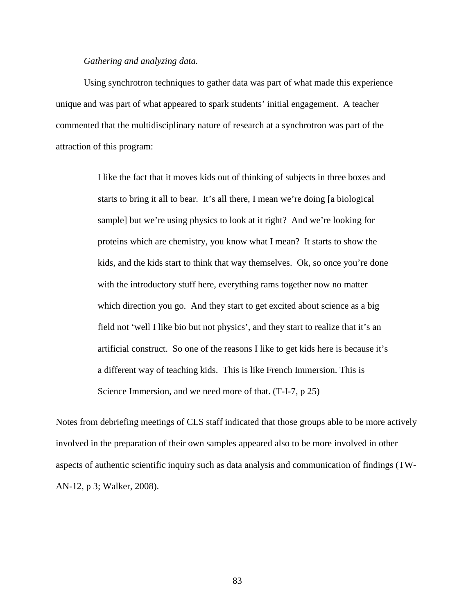### *Gathering and analyzing data.*

Using synchrotron techniques to gather data was part of what made this experience unique and was part of what appeared to spark students' initial engagement. A teacher commented that the multidisciplinary nature of research at a synchrotron was part of the attraction of this program:

> I like the fact that it moves kids out of thinking of subjects in three boxes and starts to bring it all to bear. It's all there, I mean we're doing [a biological sample] but we're using physics to look at it right? And we're looking for proteins which are chemistry, you know what I mean? It starts to show the kids, and the kids start to think that way themselves. Ok, so once you're done with the introductory stuff here, everything rams together now no matter which direction you go. And they start to get excited about science as a big field not 'well I like bio but not physics', and they start to realize that it's an artificial construct. So one of the reasons I like to get kids here is because it's a different way of teaching kids. This is like French Immersion. This is Science Immersion, and we need more of that. (T-I-7, p 25)

Notes from debriefing meetings of CLS staff indicated that those groups able to be more actively involved in the preparation of their own samples appeared also to be more involved in other aspects of authentic scientific inquiry such as data analysis and communication of findings (TW-AN-12, p 3; Walker, 2008).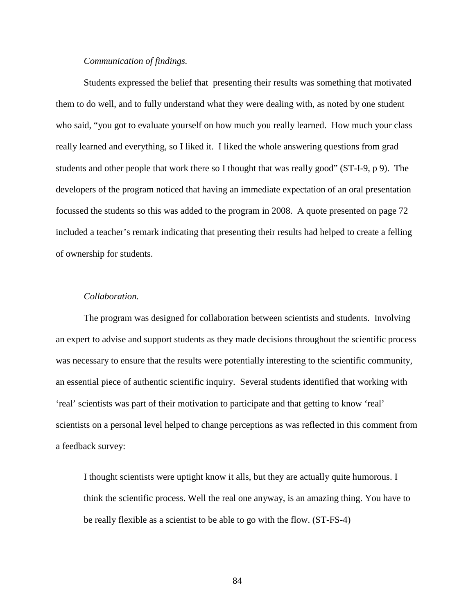# *Communication of findings.*

Students expressed the belief that presenting their results was something that motivated them to do well, and to fully understand what they were dealing with, as noted by one student who said, "you got to evaluate yourself on how much you really learned. How much your class really learned and everything, so I liked it. I liked the whole answering questions from grad students and other people that work there so I thought that was really good" (ST-I-9, p 9). The developers of the program noticed that having an immediate expectation of an oral presentation focussed the students so this was added to the program in 2008. A quote presented on page 72 included a teacher's remark indicating that presenting their results had helped to create a felling of ownership for students.

## *Collaboration.*

The program was designed for collaboration between scientists and students. Involving an expert to advise and support students as they made decisions throughout the scientific process was necessary to ensure that the results were potentially interesting to the scientific community, an essential piece of authentic scientific inquiry. Several students identified that working with 'real' scientists was part of their motivation to participate and that getting to know 'real' scientists on a personal level helped to change perceptions as was reflected in this comment from a feedback survey:

I thought scientists were uptight know it alls, but they are actually quite humorous. I think the scientific process. Well the real one anyway, is an amazing thing. You have to be really flexible as a scientist to be able to go with the flow. (ST-FS-4)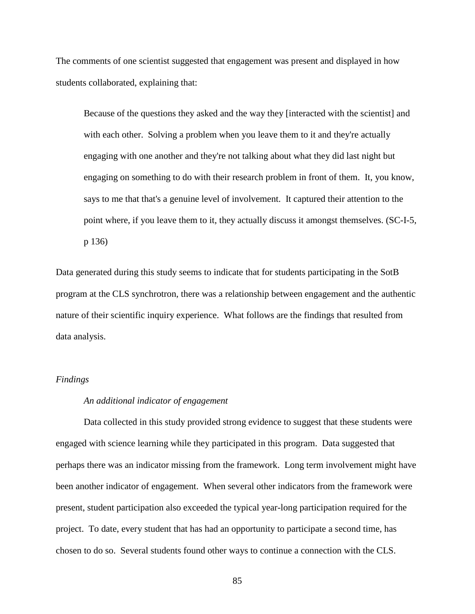The comments of one scientist suggested that engagement was present and displayed in how students collaborated, explaining that:

Because of the questions they asked and the way they [interacted with the scientist] and with each other. Solving a problem when you leave them to it and they're actually engaging with one another and they're not talking about what they did last night but engaging on something to do with their research problem in front of them. It, you know, says to me that that's a genuine level of involvement. It captured their attention to the point where, if you leave them to it, they actually discuss it amongst themselves. (SC-I-5, p 136)

Data generated during this study seems to indicate that for students participating in the SotB program at the CLS synchrotron, there was a relationship between engagement and the authentic nature of their scientific inquiry experience. What follows are the findings that resulted from data analysis.

# *Findings*

# *An additional indicator of engagement*

Data collected in this study provided strong evidence to suggest that these students were engaged with science learning while they participated in this program. Data suggested that perhaps there was an indicator missing from the framework. Long term involvement might have been another indicator of engagement. When several other indicators from the framework were present, student participation also exceeded the typical year-long participation required for the project. To date, every student that has had an opportunity to participate a second time, has chosen to do so. Several students found other ways to continue a connection with the CLS.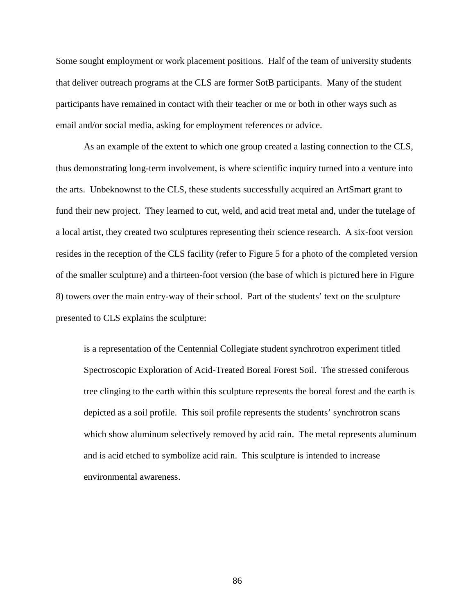Some sought employment or work placement positions. Half of the team of university students that deliver outreach programs at the CLS are former SotB participants. Many of the student participants have remained in contact with their teacher or me or both in other ways such as email and/or social media, asking for employment references or advice.

As an example of the extent to which one group created a lasting connection to the CLS, thus demonstrating long-term involvement, is where scientific inquiry turned into a venture into the arts. Unbeknownst to the CLS, these students successfully acquired an ArtSmart grant to fund their new project. They learned to cut, weld, and acid treat metal and, under the tutelage of a local artist, they created two sculptures representing their science research. A six-foot version resides in the reception of the CLS facility (refer to Figure 5 for a photo of the completed version of the smaller sculpture) and a thirteen-foot version (the base of which is pictured here in Figure 8) towers over the main entry-way of their school. Part of the students' text on the sculpture presented to CLS explains the sculpture:

is a representation of the Centennial Collegiate student synchrotron experiment titled Spectroscopic Exploration of Acid-Treated Boreal Forest Soil. The stressed coniferous tree clinging to the earth within this sculpture represents the boreal forest and the earth is depicted as a soil profile. This soil profile represents the students' synchrotron scans which show aluminum selectively removed by acid rain. The metal represents aluminum and is acid etched to symbolize acid rain. This sculpture is intended to increase environmental awareness.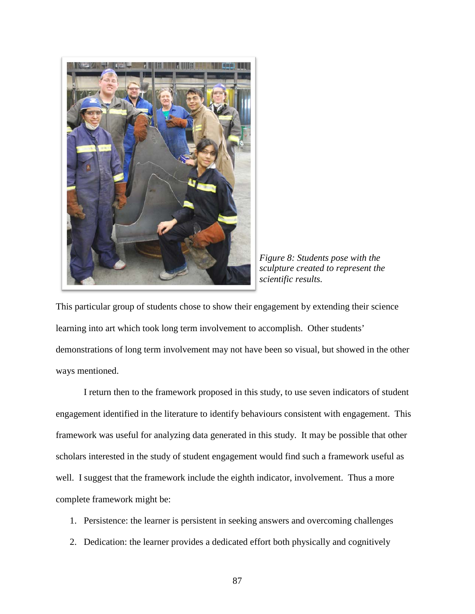

*Figure 8: Students pose with the sculpture created to represent the scientific results.*

This particular group of students chose to show their engagement by extending their science learning into art which took long term involvement to accomplish. Other students' demonstrations of long term involvement may not have been so visual, but showed in the other ways mentioned.

I return then to the framework proposed in this study, to use seven indicators of student engagement identified in the literature to identify behaviours consistent with engagement. This framework was useful for analyzing data generated in this study. It may be possible that other scholars interested in the study of student engagement would find such a framework useful as well. I suggest that the framework include the eighth indicator, involvement. Thus a more complete framework might be:

- 1. Persistence: the learner is persistent in seeking answers and overcoming challenges
- 2. Dedication: the learner provides a dedicated effort both physically and cognitively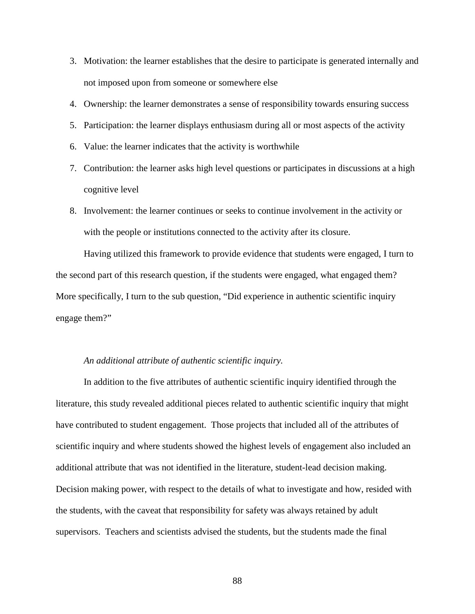- 3. Motivation: the learner establishes that the desire to participate is generated internally and not imposed upon from someone or somewhere else
- 4. Ownership: the learner demonstrates a sense of responsibility towards ensuring success
- 5. Participation: the learner displays enthusiasm during all or most aspects of the activity
- 6. Value: the learner indicates that the activity is worthwhile
- 7. Contribution: the learner asks high level questions or participates in discussions at a high cognitive level
- 8. Involvement: the learner continues or seeks to continue involvement in the activity or with the people or institutions connected to the activity after its closure.

Having utilized this framework to provide evidence that students were engaged, I turn to the second part of this research question, if the students were engaged, what engaged them? More specifically, I turn to the sub question, "Did experience in authentic scientific inquiry engage them?"

## *An additional attribute of authentic scientific inquiry.*

In addition to the five attributes of authentic scientific inquiry identified through the literature, this study revealed additional pieces related to authentic scientific inquiry that might have contributed to student engagement. Those projects that included all of the attributes of scientific inquiry and where students showed the highest levels of engagement also included an additional attribute that was not identified in the literature, student-lead decision making. Decision making power, with respect to the details of what to investigate and how, resided with the students, with the caveat that responsibility for safety was always retained by adult supervisors. Teachers and scientists advised the students, but the students made the final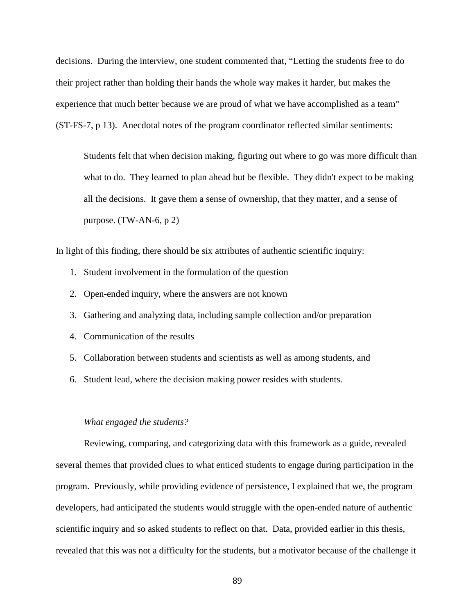decisions. During the interview, one student commented that, "Letting the students free to do their project rather than holding their hands the whole way makes it harder, but makes the experience that much better because we are proud of what we have accomplished as a team" (ST-FS-7, p 13). Anecdotal notes of the program coordinator reflected similar sentiments:

Students felt that when decision making, figuring out where to go was more difficult than what to do. They learned to plan ahead but be flexible. They didn't expect to be making all the decisions. It gave them a sense of ownership, that they matter, and a sense of purpose. (TW-AN-6, p 2)

In light of this finding, there should be six attributes of authentic scientific inquiry:

- 1. Student involvement in the formulation of the question
- 2. Open-ended inquiry, where the answers are not known
- 3. Gathering and analyzing data, including sample collection and/or preparation
- 4. Communication of the results
- 5. Collaboration between students and scientists as well as among students, and
- 6. Student lead, where the decision making power resides with students.

#### *What engaged the students?*

Reviewing, comparing, and categorizing data with this framework as a guide, revealed several themes that provided clues to what enticed students to engage during participation in the program. Previously, while providing evidence of persistence, I explained that we, the program developers, had anticipated the students would struggle with the open-ended nature of authentic scientific inquiry and so asked students to reflect on that. Data, provided earlier in this thesis, revealed that this was not a difficulty for the students, but a motivator because of the challenge it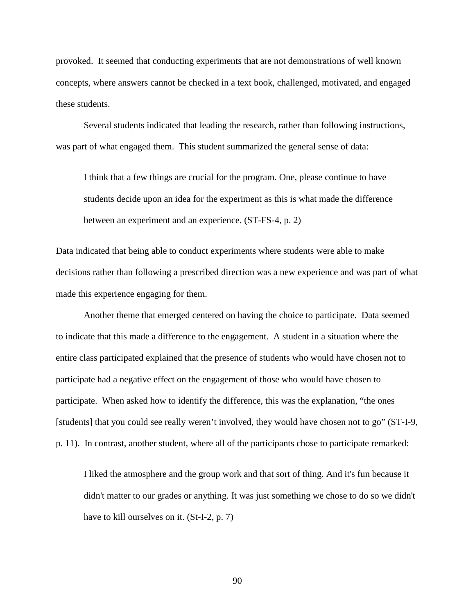provoked. It seemed that conducting experiments that are not demonstrations of well known concepts, where answers cannot be checked in a text book, challenged, motivated, and engaged these students.

Several students indicated that leading the research, rather than following instructions, was part of what engaged them. This student summarized the general sense of data:

I think that a few things are crucial for the program. One, please continue to have students decide upon an idea for the experiment as this is what made the difference between an experiment and an experience. (ST-FS-4, p. 2)

Data indicated that being able to conduct experiments where students were able to make decisions rather than following a prescribed direction was a new experience and was part of what made this experience engaging for them.

Another theme that emerged centered on having the choice to participate. Data seemed to indicate that this made a difference to the engagement. A student in a situation where the entire class participated explained that the presence of students who would have chosen not to participate had a negative effect on the engagement of those who would have chosen to participate. When asked how to identify the difference, this was the explanation, "the ones [students] that you could see really weren't involved, they would have chosen not to go" (ST-I-9, p. 11). In contrast, another student, where all of the participants chose to participate remarked:

I liked the atmosphere and the group work and that sort of thing. And it's fun because it didn't matter to our grades or anything. It was just something we chose to do so we didn't have to kill ourselves on it. (St-I-2, p. 7)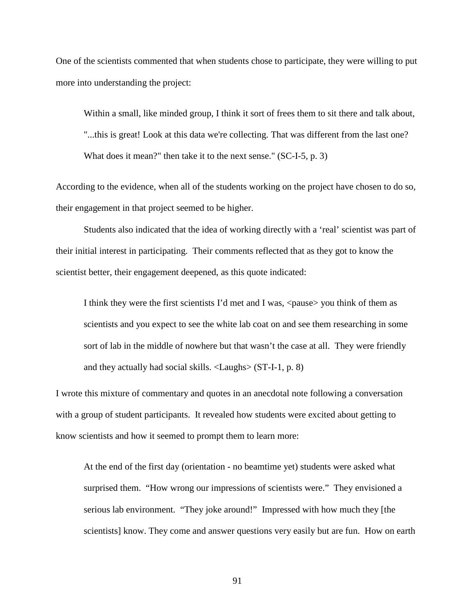One of the scientists commented that when students chose to participate, they were willing to put more into understanding the project:

Within a small, like minded group, I think it sort of frees them to sit there and talk about, "...this is great! Look at this data we're collecting. That was different from the last one? What does it mean?" then take it to the next sense." (SC-I-5, p. 3)

According to the evidence, when all of the students working on the project have chosen to do so, their engagement in that project seemed to be higher.

Students also indicated that the idea of working directly with a 'real' scientist was part of their initial interest in participating. Their comments reflected that as they got to know the scientist better, their engagement deepened, as this quote indicated:

I think they were the first scientists I'd met and I was, <pause> you think of them as scientists and you expect to see the white lab coat on and see them researching in some sort of lab in the middle of nowhere but that wasn't the case at all. They were friendly and they actually had social skills. <Laughs> (ST-I-1, p. 8)

I wrote this mixture of commentary and quotes in an anecdotal note following a conversation with a group of student participants. It revealed how students were excited about getting to know scientists and how it seemed to prompt them to learn more:

At the end of the first day (orientation - no beamtime yet) students were asked what surprised them. "How wrong our impressions of scientists were." They envisioned a serious lab environment. "They joke around!" Impressed with how much they [the scientists] know. They come and answer questions very easily but are fun. How on earth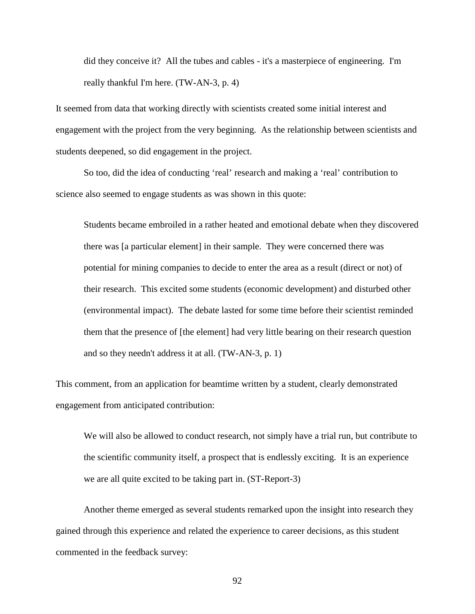did they conceive it? All the tubes and cables - it's a masterpiece of engineering. I'm really thankful I'm here. (TW-AN-3, p. 4)

It seemed from data that working directly with scientists created some initial interest and engagement with the project from the very beginning. As the relationship between scientists and students deepened, so did engagement in the project.

So too, did the idea of conducting 'real' research and making a 'real' contribution to science also seemed to engage students as was shown in this quote:

Students became embroiled in a rather heated and emotional debate when they discovered there was [a particular element] in their sample. They were concerned there was potential for mining companies to decide to enter the area as a result (direct or not) of their research. This excited some students (economic development) and disturbed other (environmental impact). The debate lasted for some time before their scientist reminded them that the presence of [the element] had very little bearing on their research question and so they needn't address it at all. (TW-AN-3, p. 1)

This comment, from an application for beamtime written by a student, clearly demonstrated engagement from anticipated contribution:

We will also be allowed to conduct research, not simply have a trial run, but contribute to the scientific community itself, a prospect that is endlessly exciting. It is an experience we are all quite excited to be taking part in. (ST-Report-3)

Another theme emerged as several students remarked upon the insight into research they gained through this experience and related the experience to career decisions, as this student commented in the feedback survey: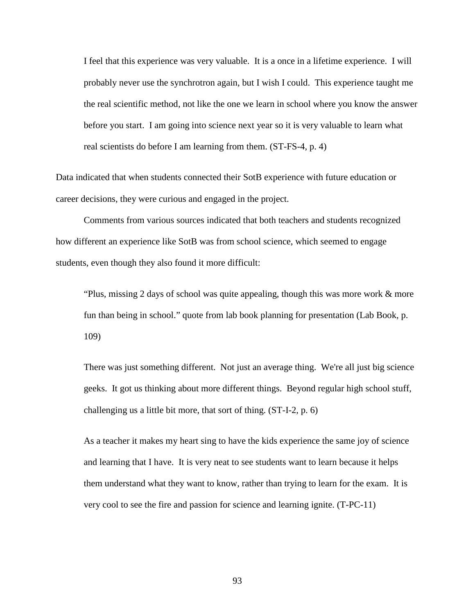I feel that this experience was very valuable. It is a once in a lifetime experience. I will probably never use the synchrotron again, but I wish I could. This experience taught me the real scientific method, not like the one we learn in school where you know the answer before you start. I am going into science next year so it is very valuable to learn what real scientists do before I am learning from them. (ST-FS-4, p. 4)

Data indicated that when students connected their SotB experience with future education or career decisions, they were curious and engaged in the project.

Comments from various sources indicated that both teachers and students recognized how different an experience like SotB was from school science, which seemed to engage students, even though they also found it more difficult:

"Plus, missing 2 days of school was quite appealing, though this was more work & more fun than being in school." quote from lab book planning for presentation (Lab Book, p. 109)

There was just something different. Not just an average thing. We're all just big science geeks. It got us thinking about more different things. Beyond regular high school stuff, challenging us a little bit more, that sort of thing. (ST-I-2, p. 6)

As a teacher it makes my heart sing to have the kids experience the same joy of science and learning that I have. It is very neat to see students want to learn because it helps them understand what they want to know, rather than trying to learn for the exam. It is very cool to see the fire and passion for science and learning ignite. (T-PC-11)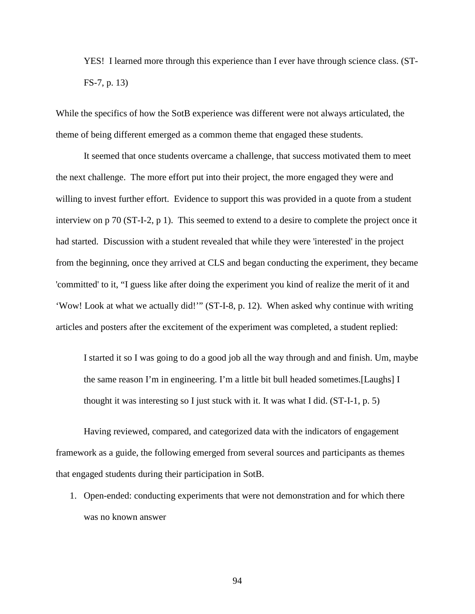YES! I learned more through this experience than I ever have through science class. (ST-FS-7, p. 13)

While the specifics of how the SotB experience was different were not always articulated, the theme of being different emerged as a common theme that engaged these students.

It seemed that once students overcame a challenge, that success motivated them to meet the next challenge. The more effort put into their project, the more engaged they were and willing to invest further effort. Evidence to support this was provided in a quote from a student interview on p 70 (ST-I-2, p 1). This seemed to extend to a desire to complete the project once it had started. Discussion with a student revealed that while they were 'interested' in the project from the beginning, once they arrived at CLS and began conducting the experiment, they became 'committed' to it, "I guess like after doing the experiment you kind of realize the merit of it and 'Wow! Look at what we actually did!'" (ST-I-8, p. 12). When asked why continue with writing articles and posters after the excitement of the experiment was completed, a student replied:

I started it so I was going to do a good job all the way through and and finish. Um, maybe the same reason I'm in engineering. I'm a little bit bull headed sometimes.[Laughs] I thought it was interesting so I just stuck with it. It was what I did. (ST-I-1, p. 5)

Having reviewed, compared, and categorized data with the indicators of engagement framework as a guide, the following emerged from several sources and participants as themes that engaged students during their participation in SotB.

1. Open-ended: conducting experiments that were not demonstration and for which there was no known answer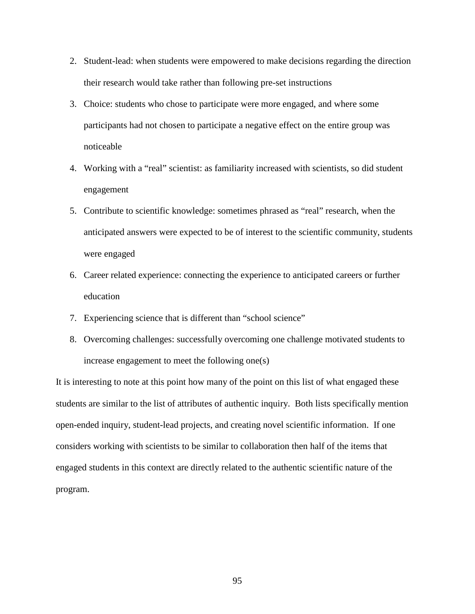- 2. Student-lead: when students were empowered to make decisions regarding the direction their research would take rather than following pre-set instructions
- 3. Choice: students who chose to participate were more engaged, and where some participants had not chosen to participate a negative effect on the entire group was noticeable
- 4. Working with a "real" scientist: as familiarity increased with scientists, so did student engagement
- 5. Contribute to scientific knowledge: sometimes phrased as "real" research, when the anticipated answers were expected to be of interest to the scientific community, students were engaged
- 6. Career related experience: connecting the experience to anticipated careers or further education
- 7. Experiencing science that is different than "school science"
- 8. Overcoming challenges: successfully overcoming one challenge motivated students to increase engagement to meet the following one(s)

It is interesting to note at this point how many of the point on this list of what engaged these students are similar to the list of attributes of authentic inquiry. Both lists specifically mention open-ended inquiry, student-lead projects, and creating novel scientific information. If one considers working with scientists to be similar to collaboration then half of the items that engaged students in this context are directly related to the authentic scientific nature of the program.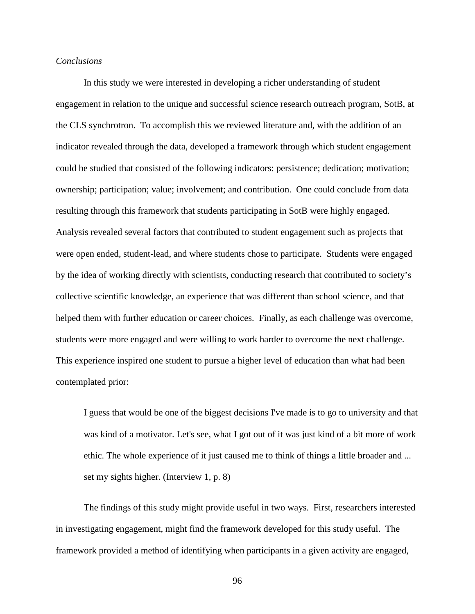### *Conclusions*

In this study we were interested in developing a richer understanding of student engagement in relation to the unique and successful science research outreach program, SotB, at the CLS synchrotron. To accomplish this we reviewed literature and, with the addition of an indicator revealed through the data, developed a framework through which student engagement could be studied that consisted of the following indicators: persistence; dedication; motivation; ownership; participation; value; involvement; and contribution. One could conclude from data resulting through this framework that students participating in SotB were highly engaged. Analysis revealed several factors that contributed to student engagement such as projects that were open ended, student-lead, and where students chose to participate. Students were engaged by the idea of working directly with scientists, conducting research that contributed to society's collective scientific knowledge, an experience that was different than school science, and that helped them with further education or career choices. Finally, as each challenge was overcome, students were more engaged and were willing to work harder to overcome the next challenge. This experience inspired one student to pursue a higher level of education than what had been contemplated prior:

I guess that would be one of the biggest decisions I've made is to go to university and that was kind of a motivator. Let's see, what I got out of it was just kind of a bit more of work ethic. The whole experience of it just caused me to think of things a little broader and ... set my sights higher. (Interview 1, p. 8)

The findings of this study might provide useful in two ways. First, researchers interested in investigating engagement, might find the framework developed for this study useful. The framework provided a method of identifying when participants in a given activity are engaged,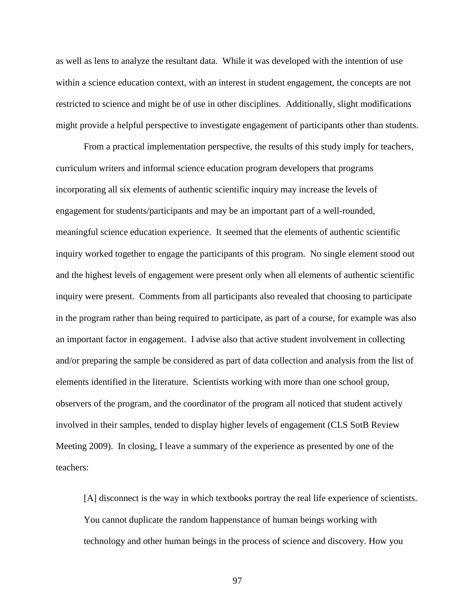as well as lens to analyze the resultant data. While it was developed with the intention of use within a science education context, with an interest in student engagement, the concepts are not restricted to science and might be of use in other disciplines. Additionally, slight modifications might provide a helpful perspective to investigate engagement of participants other than students.

From a practical implementation perspective, the results of this study imply for teachers, curriculum writers and informal science education program developers that programs incorporating all six elements of authentic scientific inquiry may increase the levels of engagement for students/participants and may be an important part of a well-rounded, meaningful science education experience. It seemed that the elements of authentic scientific inquiry worked together to engage the participants of this program. No single element stood out and the highest levels of engagement were present only when all elements of authentic scientific inquiry were present. Comments from all participants also revealed that choosing to participate in the program rather than being required to participate, as part of a course, for example was also an important factor in engagement. I advise also that active student involvement in collecting and/or preparing the sample be considered as part of data collection and analysis from the list of elements identified in the literature. Scientists working with more than one school group, observers of the program, and the coordinator of the program all noticed that student actively involved in their samples, tended to display higher levels of engagement (CLS SotB Review Meeting 2009). In closing, I leave a summary of the experience as presented by one of the teachers:

[A] disconnect is the way in which textbooks portray the real life experience of scientists. You cannot duplicate the random happenstance of human beings working with technology and other human beings in the process of science and discovery. How you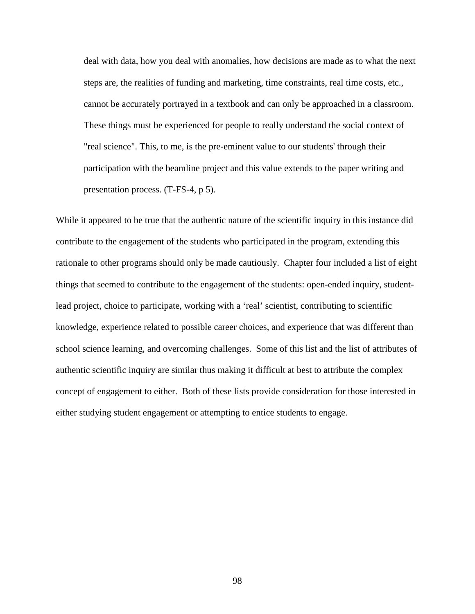deal with data, how you deal with anomalies, how decisions are made as to what the next steps are, the realities of funding and marketing, time constraints, real time costs, etc., cannot be accurately portrayed in a textbook and can only be approached in a classroom. These things must be experienced for people to really understand the social context of "real science". This, to me, is the pre-eminent value to our students' through their participation with the beamline project and this value extends to the paper writing and presentation process. (T-FS-4, p 5).

While it appeared to be true that the authentic nature of the scientific inquiry in this instance did contribute to the engagement of the students who participated in the program, extending this rationale to other programs should only be made cautiously. Chapter four included a list of eight things that seemed to contribute to the engagement of the students: open-ended inquiry, studentlead project, choice to participate, working with a 'real' scientist, contributing to scientific knowledge, experience related to possible career choices, and experience that was different than school science learning, and overcoming challenges. Some of this list and the list of attributes of authentic scientific inquiry are similar thus making it difficult at best to attribute the complex concept of engagement to either. Both of these lists provide consideration for those interested in either studying student engagement or attempting to entice students to engage.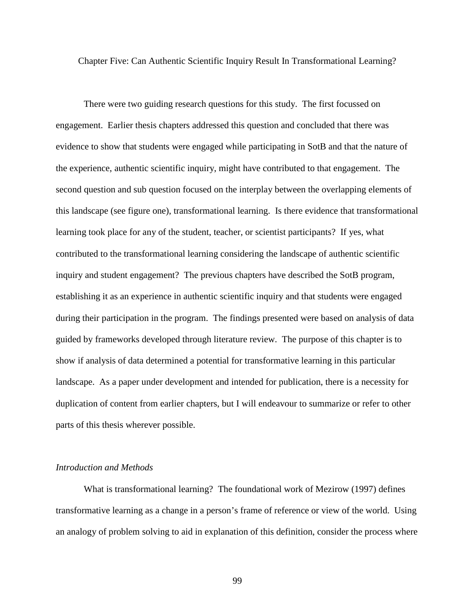Chapter Five: Can Authentic Scientific Inquiry Result In Transformational Learning?

There were two guiding research questions for this study. The first focussed on engagement. Earlier thesis chapters addressed this question and concluded that there was evidence to show that students were engaged while participating in SotB and that the nature of the experience, authentic scientific inquiry, might have contributed to that engagement. The second question and sub question focused on the interplay between the overlapping elements of this landscape (see figure one), transformational learning. Is there evidence that transformational learning took place for any of the student, teacher, or scientist participants? If yes, what contributed to the transformational learning considering the landscape of authentic scientific inquiry and student engagement? The previous chapters have described the SotB program, establishing it as an experience in authentic scientific inquiry and that students were engaged during their participation in the program. The findings presented were based on analysis of data guided by frameworks developed through literature review. The purpose of this chapter is to show if analysis of data determined a potential for transformative learning in this particular landscape. As a paper under development and intended for publication, there is a necessity for duplication of content from earlier chapters, but I will endeavour to summarize or refer to other parts of this thesis wherever possible.

# *Introduction and Methods*

What is transformational learning? The foundational work of Mezirow (1997) defines transformative learning as a change in a person's frame of reference or view of the world. Using an analogy of problem solving to aid in explanation of this definition, consider the process where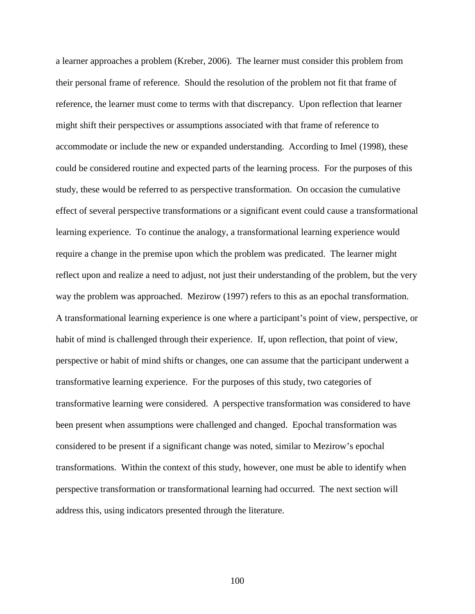a learner approaches a problem (Kreber, 2006). The learner must consider this problem from their personal frame of reference. Should the resolution of the problem not fit that frame of reference, the learner must come to terms with that discrepancy. Upon reflection that learner might shift their perspectives or assumptions associated with that frame of reference to accommodate or include the new or expanded understanding. According to Imel (1998), these could be considered routine and expected parts of the learning process. For the purposes of this study, these would be referred to as perspective transformation. On occasion the cumulative effect of several perspective transformations or a significant event could cause a transformational learning experience. To continue the analogy, a transformational learning experience would require a change in the premise upon which the problem was predicated. The learner might reflect upon and realize a need to adjust, not just their understanding of the problem, but the very way the problem was approached. Mezirow (1997) refers to this as an epochal transformation. A transformational learning experience is one where a participant's point of view, perspective, or habit of mind is challenged through their experience. If, upon reflection, that point of view, perspective or habit of mind shifts or changes, one can assume that the participant underwent a transformative learning experience. For the purposes of this study, two categories of transformative learning were considered. A perspective transformation was considered to have been present when assumptions were challenged and changed. Epochal transformation was considered to be present if a significant change was noted, similar to Mezirow's epochal transformations. Within the context of this study, however, one must be able to identify when perspective transformation or transformational learning had occurred. The next section will address this, using indicators presented through the literature.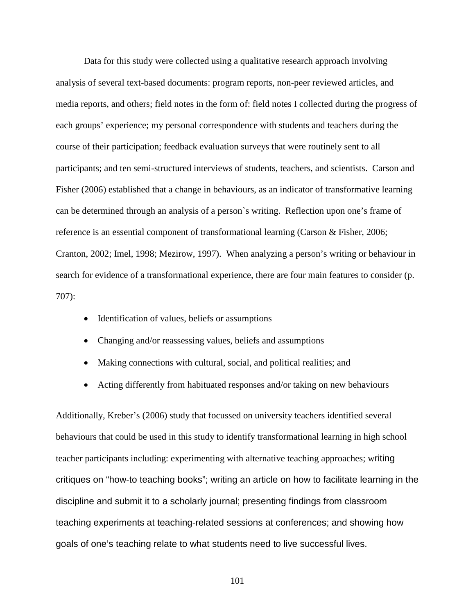Data for this study were collected using a qualitative research approach involving analysis of several text-based documents: program reports, non-peer reviewed articles, and media reports, and others; field notes in the form of: field notes I collected during the progress of each groups' experience; my personal correspondence with students and teachers during the course of their participation; feedback evaluation surveys that were routinely sent to all participants; and ten semi-structured interviews of students, teachers, and scientists. Carson and Fisher (2006) established that a change in behaviours, as an indicator of transformative learning can be determined through an analysis of a person`s writing. Reflection upon one's frame of reference is an essential component of transformational learning (Carson & Fisher, 2006; Cranton, 2002; Imel, 1998; Mezirow, 1997). When analyzing a person's writing or behaviour in search for evidence of a transformational experience, there are four main features to consider (p. 707):

- Identification of values, beliefs or assumptions
- Changing and/or reassessing values, beliefs and assumptions
- Making connections with cultural, social, and political realities; and
- Acting differently from habituated responses and/or taking on new behaviours

Additionally, Kreber's (2006) study that focussed on university teachers identified several behaviours that could be used in this study to identify transformational learning in high school teacher participants including: experimenting with alternative teaching approaches; writing critiques on "how-to teaching books"; writing an article on how to facilitate learning in the discipline and submit it to a scholarly journal; presenting findings from classroom teaching experiments at teaching-related sessions at conferences; and showing how goals of one's teaching relate to what students need to live successful lives.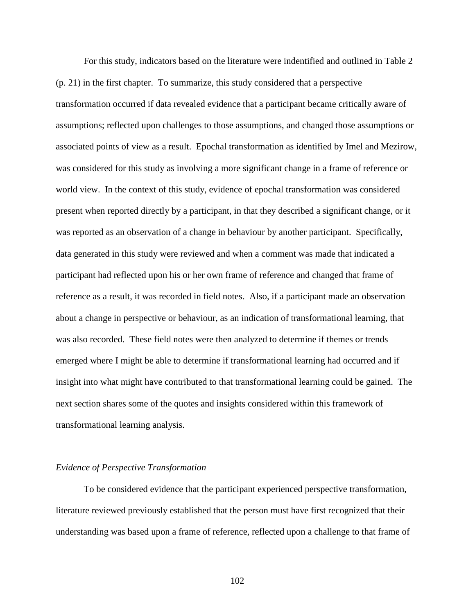For this study, indicators based on the literature were indentified and outlined in Table 2 (p. 21) in the first chapter. To summarize, this study considered that a perspective transformation occurred if data revealed evidence that a participant became critically aware of assumptions; reflected upon challenges to those assumptions, and changed those assumptions or associated points of view as a result. Epochal transformation as identified by Imel and Mezirow, was considered for this study as involving a more significant change in a frame of reference or world view. In the context of this study, evidence of epochal transformation was considered present when reported directly by a participant, in that they described a significant change, or it was reported as an observation of a change in behaviour by another participant. Specifically, data generated in this study were reviewed and when a comment was made that indicated a participant had reflected upon his or her own frame of reference and changed that frame of reference as a result, it was recorded in field notes. Also, if a participant made an observation about a change in perspective or behaviour, as an indication of transformational learning, that was also recorded. These field notes were then analyzed to determine if themes or trends emerged where I might be able to determine if transformational learning had occurred and if insight into what might have contributed to that transformational learning could be gained. The next section shares some of the quotes and insights considered within this framework of transformational learning analysis.

### *Evidence of Perspective Transformation*

To be considered evidence that the participant experienced perspective transformation, literature reviewed previously established that the person must have first recognized that their understanding was based upon a frame of reference, reflected upon a challenge to that frame of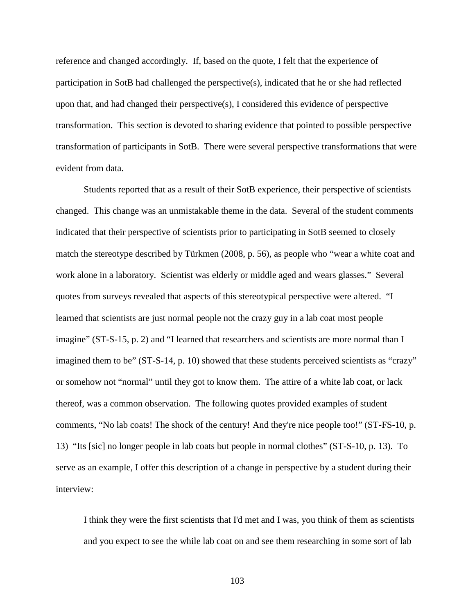reference and changed accordingly. If, based on the quote, I felt that the experience of participation in SotB had challenged the perspective(s), indicated that he or she had reflected upon that, and had changed their perspective(s), I considered this evidence of perspective transformation. This section is devoted to sharing evidence that pointed to possible perspective transformation of participants in SotB. There were several perspective transformations that were evident from data.

Students reported that as a result of their SotB experience, their perspective of scientists changed. This change was an unmistakable theme in the data. Several of the student comments indicated that their perspective of scientists prior to participating in SotB seemed to closely match the stereotype described by Türkmen (2008, p. 56), as people who "wear a white coat and work alone in a laboratory. Scientist was elderly or middle aged and wears glasses." Several quotes from surveys revealed that aspects of this stereotypical perspective were altered. "I learned that scientists are just normal people not the crazy guy in a lab coat most people imagine" (ST-S-15, p. 2) and "I learned that researchers and scientists are more normal than I imagined them to be" (ST-S-14, p. 10) showed that these students perceived scientists as "crazy" or somehow not "normal" until they got to know them. The attire of a white lab coat, or lack thereof, was a common observation. The following quotes provided examples of student comments, "No lab coats! The shock of the century! And they're nice people too!" (ST-FS-10, p. 13) "Its [sic] no longer people in lab coats but people in normal clothes" (ST-S-10, p. 13). To serve as an example, I offer this description of a change in perspective by a student during their interview:

I think they were the first scientists that I'd met and I was, you think of them as scientists and you expect to see the while lab coat on and see them researching in some sort of lab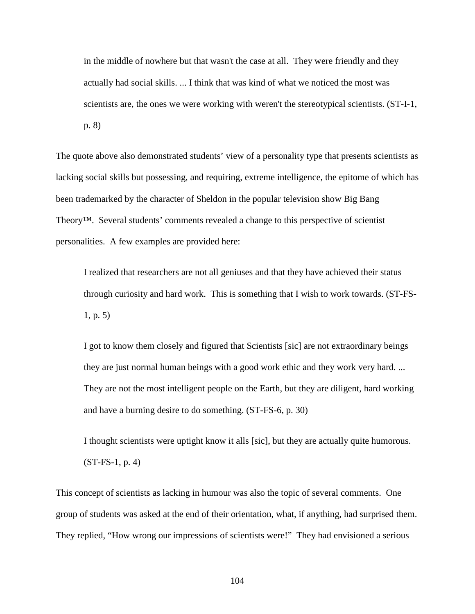in the middle of nowhere but that wasn't the case at all. They were friendly and they actually had social skills. ... I think that was kind of what we noticed the most was scientists are, the ones we were working with weren't the stereotypical scientists. (ST-I-1, p. 8)

The quote above also demonstrated students' view of a personality type that presents scientists as lacking social skills but possessing, and requiring, extreme intelligence, the epitome of which has been trademarked by the character of Sheldon in the popular television show Big Bang Theory™. Several students' comments revealed a change to this perspective of scientist personalities. A few examples are provided here:

I realized that researchers are not all geniuses and that they have achieved their status through curiosity and hard work. This is something that I wish to work towards. (ST-FS-1, p. 5)

I got to know them closely and figured that Scientists [sic] are not extraordinary beings they are just normal human beings with a good work ethic and they work very hard. ... They are not the most intelligent people on the Earth, but they are diligent, hard working and have a burning desire to do something. (ST-FS-6, p. 30)

I thought scientists were uptight know it alls [sic], but they are actually quite humorous. (ST-FS-1, p. 4)

This concept of scientists as lacking in humour was also the topic of several comments. One group of students was asked at the end of their orientation, what, if anything, had surprised them. They replied, "How wrong our impressions of scientists were!" They had envisioned a serious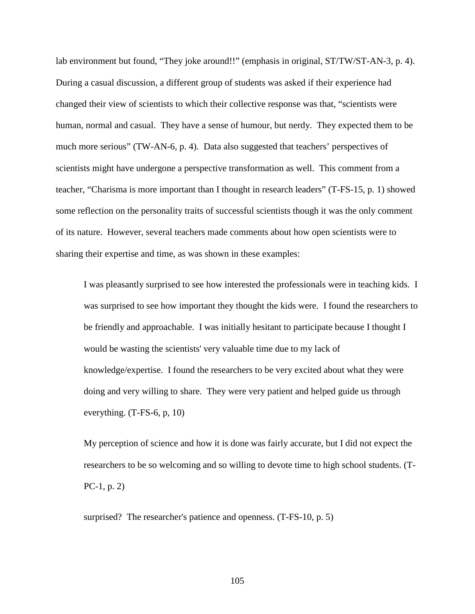lab environment but found, "They joke around!!" (emphasis in original, ST/TW/ST-AN-3, p. 4). During a casual discussion, a different group of students was asked if their experience had changed their view of scientists to which their collective response was that, "scientists were human, normal and casual. They have a sense of humour, but nerdy. They expected them to be much more serious" (TW-AN-6, p. 4). Data also suggested that teachers' perspectives of scientists might have undergone a perspective transformation as well. This comment from a teacher, "Charisma is more important than I thought in research leaders" (T-FS-15, p. 1) showed some reflection on the personality traits of successful scientists though it was the only comment of its nature. However, several teachers made comments about how open scientists were to sharing their expertise and time, as was shown in these examples:

I was pleasantly surprised to see how interested the professionals were in teaching kids. I was surprised to see how important they thought the kids were. I found the researchers to be friendly and approachable. I was initially hesitant to participate because I thought I would be wasting the scientists' very valuable time due to my lack of knowledge/expertise. I found the researchers to be very excited about what they were doing and very willing to share. They were very patient and helped guide us through everything. (T-FS-6, p, 10)

My perception of science and how it is done was fairly accurate, but I did not expect the researchers to be so welcoming and so willing to devote time to high school students. (T-PC-1, p. 2)

surprised? The researcher's patience and openness. (T-FS-10, p. 5)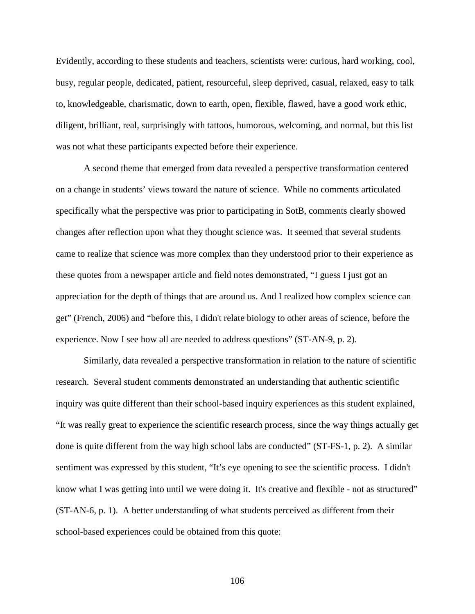Evidently, according to these students and teachers, scientists were: curious, hard working, cool, busy, regular people, dedicated, patient, resourceful, sleep deprived, casual, relaxed, easy to talk to, knowledgeable, charismatic, down to earth, open, flexible, flawed, have a good work ethic, diligent, brilliant, real, surprisingly with tattoos, humorous, welcoming, and normal, but this list was not what these participants expected before their experience.

A second theme that emerged from data revealed a perspective transformation centered on a change in students' views toward the nature of science. While no comments articulated specifically what the perspective was prior to participating in SotB, comments clearly showed changes after reflection upon what they thought science was. It seemed that several students came to realize that science was more complex than they understood prior to their experience as these quotes from a newspaper article and field notes demonstrated, "I guess I just got an appreciation for the depth of things that are around us. And I realized how complex science can get" (French, 2006) and "before this, I didn't relate biology to other areas of science, before the experience. Now I see how all are needed to address questions" (ST-AN-9, p. 2).

Similarly, data revealed a perspective transformation in relation to the nature of scientific research. Several student comments demonstrated an understanding that authentic scientific inquiry was quite different than their school-based inquiry experiences as this student explained, "It was really great to experience the scientific research process, since the way things actually get done is quite different from the way high school labs are conducted" (ST-FS-1, p. 2). A similar sentiment was expressed by this student, "It's eye opening to see the scientific process. I didn't know what I was getting into until we were doing it. It's creative and flexible - not as structured" (ST-AN-6, p. 1). A better understanding of what students perceived as different from their school-based experiences could be obtained from this quote: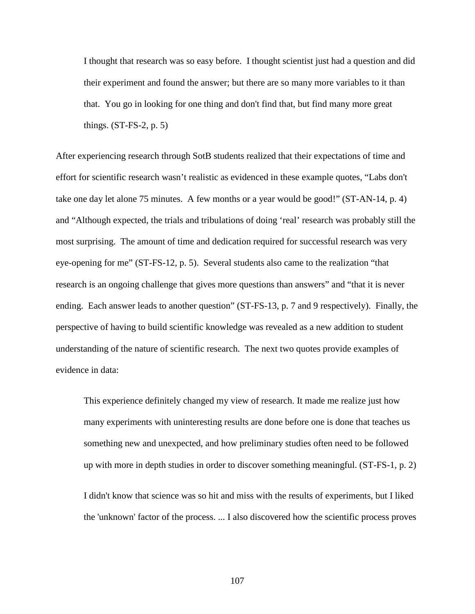I thought that research was so easy before. I thought scientist just had a question and did their experiment and found the answer; but there are so many more variables to it than that. You go in looking for one thing and don't find that, but find many more great things. (ST-FS-2, p. 5)

After experiencing research through SotB students realized that their expectations of time and effort for scientific research wasn't realistic as evidenced in these example quotes, "Labs don't take one day let alone 75 minutes. A few months or a year would be good!" (ST-AN-14, p. 4) and "Although expected, the trials and tribulations of doing 'real' research was probably still the most surprising. The amount of time and dedication required for successful research was very eye-opening for me" (ST-FS-12, p. 5). Several students also came to the realization "that research is an ongoing challenge that gives more questions than answers" and "that it is never ending. Each answer leads to another question" (ST-FS-13, p. 7 and 9 respectively). Finally, the perspective of having to build scientific knowledge was revealed as a new addition to student understanding of the nature of scientific research. The next two quotes provide examples of evidence in data:

This experience definitely changed my view of research. It made me realize just how many experiments with uninteresting results are done before one is done that teaches us something new and unexpected, and how preliminary studies often need to be followed up with more in depth studies in order to discover something meaningful. (ST-FS-1, p. 2)

I didn't know that science was so hit and miss with the results of experiments, but I liked the 'unknown' factor of the process. ... I also discovered how the scientific process proves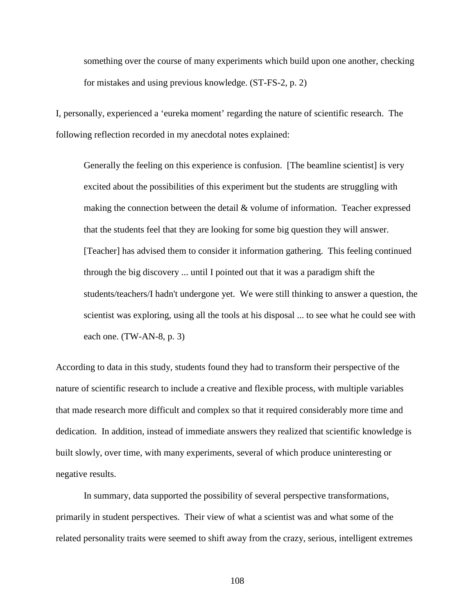something over the course of many experiments which build upon one another, checking for mistakes and using previous knowledge. (ST-FS-2, p. 2)

I, personally, experienced a 'eureka moment' regarding the nature of scientific research. The following reflection recorded in my anecdotal notes explained:

Generally the feeling on this experience is confusion. [The beamline scientist] is very excited about the possibilities of this experiment but the students are struggling with making the connection between the detail & volume of information. Teacher expressed that the students feel that they are looking for some big question they will answer. [Teacher] has advised them to consider it information gathering. This feeling continued through the big discovery ... until I pointed out that it was a paradigm shift the students/teachers/I hadn't undergone yet. We were still thinking to answer a question, the scientist was exploring, using all the tools at his disposal ... to see what he could see with each one. (TW-AN-8, p. 3)

According to data in this study, students found they had to transform their perspective of the nature of scientific research to include a creative and flexible process, with multiple variables that made research more difficult and complex so that it required considerably more time and dedication. In addition, instead of immediate answers they realized that scientific knowledge is built slowly, over time, with many experiments, several of which produce uninteresting or negative results.

In summary, data supported the possibility of several perspective transformations, primarily in student perspectives. Their view of what a scientist was and what some of the related personality traits were seemed to shift away from the crazy, serious, intelligent extremes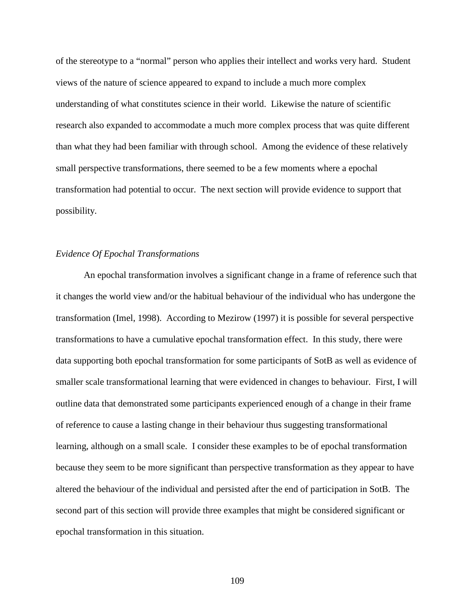of the stereotype to a "normal" person who applies their intellect and works very hard. Student views of the nature of science appeared to expand to include a much more complex understanding of what constitutes science in their world. Likewise the nature of scientific research also expanded to accommodate a much more complex process that was quite different than what they had been familiar with through school. Among the evidence of these relatively small perspective transformations, there seemed to be a few moments where a epochal transformation had potential to occur. The next section will provide evidence to support that possibility.

## *Evidence Of Epochal Transformations*

An epochal transformation involves a significant change in a frame of reference such that it changes the world view and/or the habitual behaviour of the individual who has undergone the transformation (Imel, 1998). According to Mezirow (1997) it is possible for several perspective transformations to have a cumulative epochal transformation effect. In this study, there were data supporting both epochal transformation for some participants of SotB as well as evidence of smaller scale transformational learning that were evidenced in changes to behaviour. First, I will outline data that demonstrated some participants experienced enough of a change in their frame of reference to cause a lasting change in their behaviour thus suggesting transformational learning, although on a small scale. I consider these examples to be of epochal transformation because they seem to be more significant than perspective transformation as they appear to have altered the behaviour of the individual and persisted after the end of participation in SotB. The second part of this section will provide three examples that might be considered significant or epochal transformation in this situation.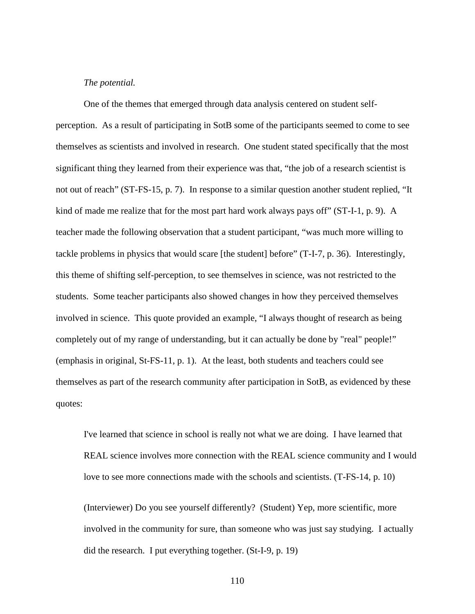## *The potential.*

One of the themes that emerged through data analysis centered on student self-

perception. As a result of participating in SotB some of the participants seemed to come to see themselves as scientists and involved in research. One student stated specifically that the most significant thing they learned from their experience was that, "the job of a research scientist is not out of reach" (ST-FS-15, p. 7). In response to a similar question another student replied, "It kind of made me realize that for the most part hard work always pays off" (ST-I-1, p. 9). A teacher made the following observation that a student participant, "was much more willing to tackle problems in physics that would scare [the student] before" (T-I-7, p. 36). Interestingly, this theme of shifting self-perception, to see themselves in science, was not restricted to the students. Some teacher participants also showed changes in how they perceived themselves involved in science. This quote provided an example, "I always thought of research as being completely out of my range of understanding, but it can actually be done by "real" people!" (emphasis in original, St-FS-11, p. 1). At the least, both students and teachers could see themselves as part of the research community after participation in SotB, as evidenced by these quotes:

I've learned that science in school is really not what we are doing. I have learned that REAL science involves more connection with the REAL science community and I would love to see more connections made with the schools and scientists. (T-FS-14, p. 10)

(Interviewer) Do you see yourself differently? (Student) Yep, more scientific, more involved in the community for sure, than someone who was just say studying. I actually did the research. I put everything together. (St-I-9, p. 19)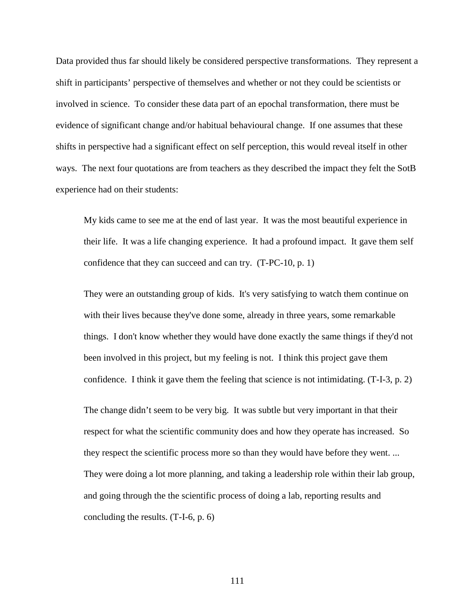Data provided thus far should likely be considered perspective transformations. They represent a shift in participants' perspective of themselves and whether or not they could be scientists or involved in science. To consider these data part of an epochal transformation, there must be evidence of significant change and/or habitual behavioural change. If one assumes that these shifts in perspective had a significant effect on self perception, this would reveal itself in other ways. The next four quotations are from teachers as they described the impact they felt the SotB experience had on their students:

My kids came to see me at the end of last year. It was the most beautiful experience in their life. It was a life changing experience. It had a profound impact. It gave them self confidence that they can succeed and can try. (T-PC-10, p. 1)

They were an outstanding group of kids. It's very satisfying to watch them continue on with their lives because they've done some, already in three years, some remarkable things. I don't know whether they would have done exactly the same things if they'd not been involved in this project, but my feeling is not. I think this project gave them confidence. I think it gave them the feeling that science is not intimidating. (T-I-3, p. 2)

The change didn't seem to be very big. It was subtle but very important in that their respect for what the scientific community does and how they operate has increased. So they respect the scientific process more so than they would have before they went. ... They were doing a lot more planning, and taking a leadership role within their lab group, and going through the the scientific process of doing a lab, reporting results and concluding the results. (T-I-6, p. 6)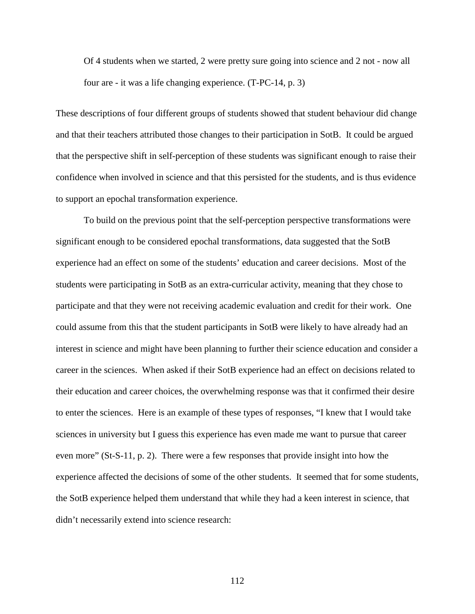Of 4 students when we started, 2 were pretty sure going into science and 2 not - now all four are - it was a life changing experience. (T-PC-14, p. 3)

These descriptions of four different groups of students showed that student behaviour did change and that their teachers attributed those changes to their participation in SotB. It could be argued that the perspective shift in self-perception of these students was significant enough to raise their confidence when involved in science and that this persisted for the students, and is thus evidence to support an epochal transformation experience.

To build on the previous point that the self-perception perspective transformations were significant enough to be considered epochal transformations, data suggested that the SotB experience had an effect on some of the students' education and career decisions. Most of the students were participating in SotB as an extra-curricular activity, meaning that they chose to participate and that they were not receiving academic evaluation and credit for their work. One could assume from this that the student participants in SotB were likely to have already had an interest in science and might have been planning to further their science education and consider a career in the sciences. When asked if their SotB experience had an effect on decisions related to their education and career choices, the overwhelming response was that it confirmed their desire to enter the sciences. Here is an example of these types of responses, "I knew that I would take sciences in university but I guess this experience has even made me want to pursue that career even more" (St-S-11, p. 2). There were a few responses that provide insight into how the experience affected the decisions of some of the other students. It seemed that for some students, the SotB experience helped them understand that while they had a keen interest in science, that didn't necessarily extend into science research: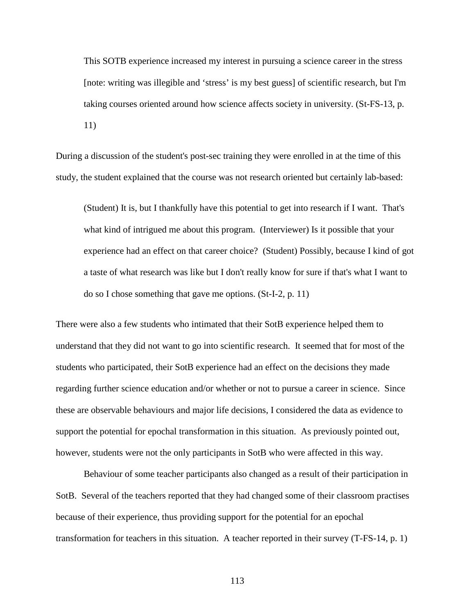This SOTB experience increased my interest in pursuing a science career in the stress [note: writing was illegible and 'stress' is my best guess] of scientific research, but I'm taking courses oriented around how science affects society in university. (St-FS-13, p. 11)

During a discussion of the student's post-sec training they were enrolled in at the time of this study, the student explained that the course was not research oriented but certainly lab-based:

(Student) It is, but I thankfully have this potential to get into research if I want. That's what kind of intrigued me about this program. (Interviewer) Is it possible that your experience had an effect on that career choice? (Student) Possibly, because I kind of got a taste of what research was like but I don't really know for sure if that's what I want to do so I chose something that gave me options. (St-I-2, p. 11)

There were also a few students who intimated that their SotB experience helped them to understand that they did not want to go into scientific research. It seemed that for most of the students who participated, their SotB experience had an effect on the decisions they made regarding further science education and/or whether or not to pursue a career in science. Since these are observable behaviours and major life decisions, I considered the data as evidence to support the potential for epochal transformation in this situation. As previously pointed out, however, students were not the only participants in SotB who were affected in this way.

Behaviour of some teacher participants also changed as a result of their participation in SotB. Several of the teachers reported that they had changed some of their classroom practises because of their experience, thus providing support for the potential for an epochal transformation for teachers in this situation. A teacher reported in their survey (T-FS-14, p. 1)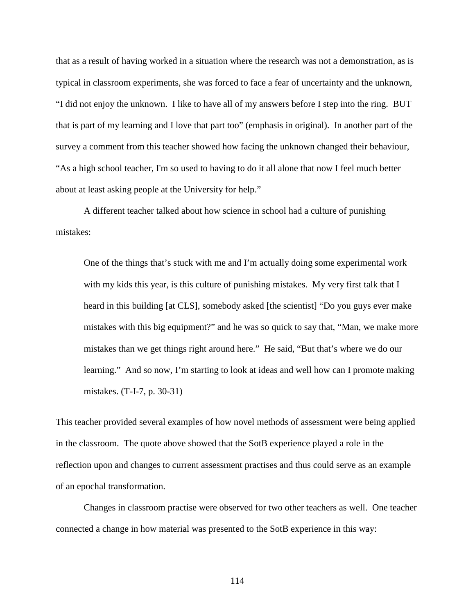that as a result of having worked in a situation where the research was not a demonstration, as is typical in classroom experiments, she was forced to face a fear of uncertainty and the unknown, "I did not enjoy the unknown. I like to have all of my answers before I step into the ring. BUT that is part of my learning and I love that part too" (emphasis in original). In another part of the survey a comment from this teacher showed how facing the unknown changed their behaviour, "As a high school teacher, I'm so used to having to do it all alone that now I feel much better about at least asking people at the University for help."

A different teacher talked about how science in school had a culture of punishing mistakes:

One of the things that's stuck with me and I'm actually doing some experimental work with my kids this year, is this culture of punishing mistakes. My very first talk that I heard in this building [at CLS], somebody asked [the scientist] "Do you guys ever make mistakes with this big equipment?" and he was so quick to say that, "Man, we make more mistakes than we get things right around here." He said, "But that's where we do our learning." And so now, I'm starting to look at ideas and well how can I promote making mistakes. (T-I-7, p. 30-31)

This teacher provided several examples of how novel methods of assessment were being applied in the classroom. The quote above showed that the SotB experience played a role in the reflection upon and changes to current assessment practises and thus could serve as an example of an epochal transformation.

Changes in classroom practise were observed for two other teachers as well. One teacher connected a change in how material was presented to the SotB experience in this way: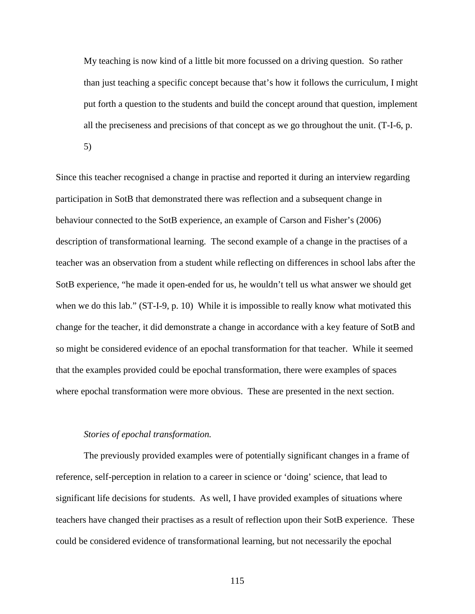My teaching is now kind of a little bit more focussed on a driving question. So rather than just teaching a specific concept because that's how it follows the curriculum, I might put forth a question to the students and build the concept around that question, implement all the preciseness and precisions of that concept as we go throughout the unit. (T-I-6, p.

5)

Since this teacher recognised a change in practise and reported it during an interview regarding participation in SotB that demonstrated there was reflection and a subsequent change in behaviour connected to the SotB experience, an example of Carson and Fisher's (2006) description of transformational learning. The second example of a change in the practises of a teacher was an observation from a student while reflecting on differences in school labs after the SotB experience, "he made it open-ended for us, he wouldn't tell us what answer we should get when we do this lab." (ST-I-9, p. 10) While it is impossible to really know what motivated this change for the teacher, it did demonstrate a change in accordance with a key feature of SotB and so might be considered evidence of an epochal transformation for that teacher. While it seemed that the examples provided could be epochal transformation, there were examples of spaces where epochal transformation were more obvious. These are presented in the next section.

### *Stories of epochal transformation.*

The previously provided examples were of potentially significant changes in a frame of reference, self-perception in relation to a career in science or 'doing' science, that lead to significant life decisions for students. As well, I have provided examples of situations where teachers have changed their practises as a result of reflection upon their SotB experience. These could be considered evidence of transformational learning, but not necessarily the epochal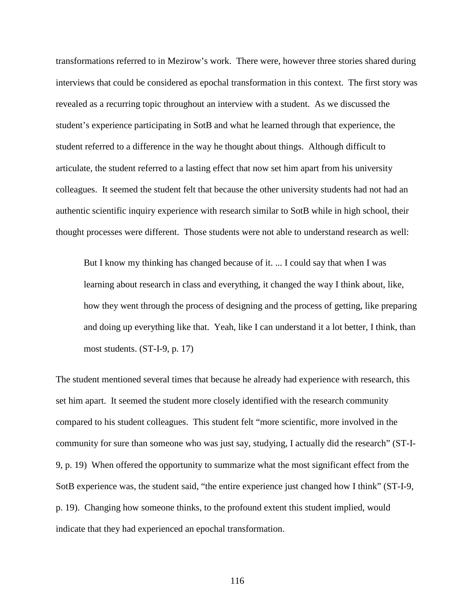transformations referred to in Mezirow's work. There were, however three stories shared during interviews that could be considered as epochal transformation in this context. The first story was revealed as a recurring topic throughout an interview with a student. As we discussed the student's experience participating in SotB and what he learned through that experience, the student referred to a difference in the way he thought about things. Although difficult to articulate, the student referred to a lasting effect that now set him apart from his university colleagues. It seemed the student felt that because the other university students had not had an authentic scientific inquiry experience with research similar to SotB while in high school, their thought processes were different. Those students were not able to understand research as well:

But I know my thinking has changed because of it. ... I could say that when I was learning about research in class and everything, it changed the way I think about, like, how they went through the process of designing and the process of getting, like preparing and doing up everything like that. Yeah, like I can understand it a lot better, I think, than most students. (ST-I-9, p. 17)

The student mentioned several times that because he already had experience with research, this set him apart. It seemed the student more closely identified with the research community compared to his student colleagues. This student felt "more scientific, more involved in the community for sure than someone who was just say, studying, I actually did the research" (ST-I-9, p. 19) When offered the opportunity to summarize what the most significant effect from the SotB experience was, the student said, "the entire experience just changed how I think" (ST-I-9, p. 19). Changing how someone thinks, to the profound extent this student implied, would indicate that they had experienced an epochal transformation.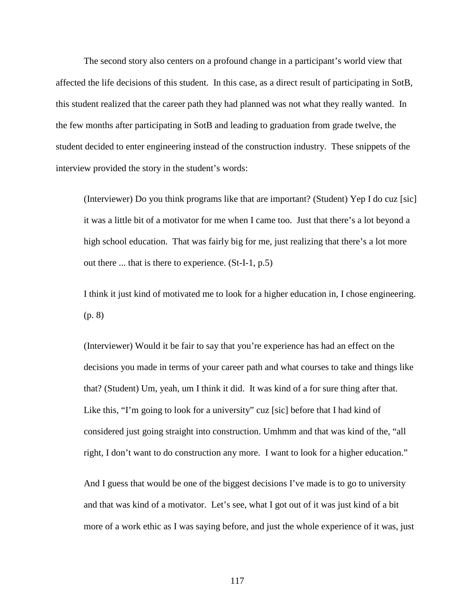The second story also centers on a profound change in a participant's world view that affected the life decisions of this student. In this case, as a direct result of participating in SotB, this student realized that the career path they had planned was not what they really wanted. In the few months after participating in SotB and leading to graduation from grade twelve, the student decided to enter engineering instead of the construction industry. These snippets of the interview provided the story in the student's words:

(Interviewer) Do you think programs like that are important? (Student) Yep I do cuz [sic] it was a little bit of a motivator for me when I came too. Just that there's a lot beyond a high school education. That was fairly big for me, just realizing that there's a lot more out there ... that is there to experience. (St-I-1, p.5)

I think it just kind of motivated me to look for a higher education in, I chose engineering. (p. 8)

(Interviewer) Would it be fair to say that you're experience has had an effect on the decisions you made in terms of your career path and what courses to take and things like that? (Student) Um, yeah, um I think it did. It was kind of a for sure thing after that. Like this, "I'm going to look for a university" cuz [sic] before that I had kind of considered just going straight into construction. Umhmm and that was kind of the, "all right, I don't want to do construction any more. I want to look for a higher education."

And I guess that would be one of the biggest decisions I've made is to go to university and that was kind of a motivator. Let's see, what I got out of it was just kind of a bit more of a work ethic as I was saying before, and just the whole experience of it was, just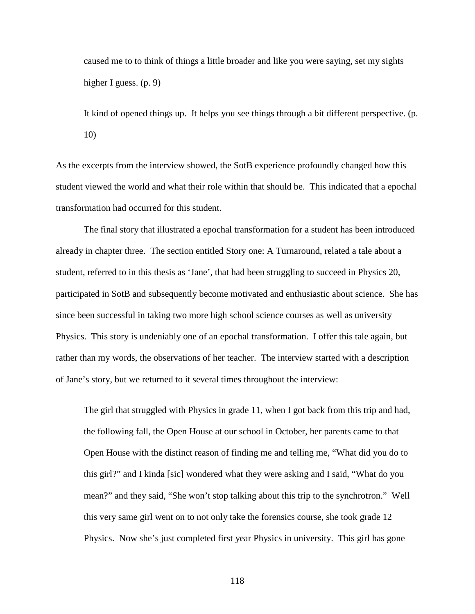caused me to to think of things a little broader and like you were saying, set my sights higher I guess. (p. 9)

It kind of opened things up. It helps you see things through a bit different perspective. (p. 10)

As the excerpts from the interview showed, the SotB experience profoundly changed how this student viewed the world and what their role within that should be. This indicated that a epochal transformation had occurred for this student.

The final story that illustrated a epochal transformation for a student has been introduced already in chapter three. The section entitled Story one: A Turnaround, related a tale about a student, referred to in this thesis as 'Jane', that had been struggling to succeed in Physics 20, participated in SotB and subsequently become motivated and enthusiastic about science. She has since been successful in taking two more high school science courses as well as university Physics. This story is undeniably one of an epochal transformation. I offer this tale again, but rather than my words, the observations of her teacher. The interview started with a description of Jane's story, but we returned to it several times throughout the interview:

The girl that struggled with Physics in grade 11, when I got back from this trip and had, the following fall, the Open House at our school in October, her parents came to that Open House with the distinct reason of finding me and telling me, "What did you do to this girl?" and I kinda [sic] wondered what they were asking and I said, "What do you mean?" and they said, "She won't stop talking about this trip to the synchrotron." Well this very same girl went on to not only take the forensics course, she took grade 12 Physics. Now she's just completed first year Physics in university. This girl has gone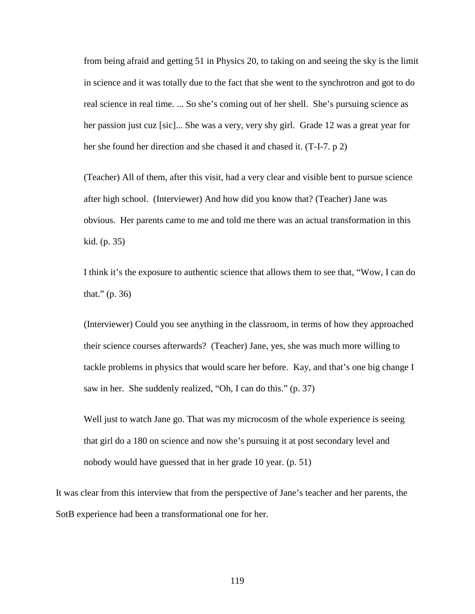from being afraid and getting 51 in Physics 20, to taking on and seeing the sky is the limit in science and it was totally due to the fact that she went to the synchrotron and got to do real science in real time. ... So she's coming out of her shell. She's pursuing science as her passion just cuz [sic]... She was a very, very shy girl. Grade 12 was a great year for her she found her direction and she chased it and chased it. (T-I-7. p 2)

(Teacher) All of them, after this visit, had a very clear and visible bent to pursue science after high school. (Interviewer) And how did you know that? (Teacher) Jane was obvious. Her parents came to me and told me there was an actual transformation in this kid. (p. 35)

I think it's the exposure to authentic science that allows them to see that, "Wow, I can do that." (p. 36)

(Interviewer) Could you see anything in the classroom, in terms of how they approached their science courses afterwards? (Teacher) Jane, yes, she was much more willing to tackle problems in physics that would scare her before. Kay, and that's one big change I saw in her. She suddenly realized, "Oh, I can do this." (p. 37)

Well just to watch Jane go. That was my microcosm of the whole experience is seeing that girl do a 180 on science and now she's pursuing it at post secondary level and nobody would have guessed that in her grade 10 year. (p. 51)

It was clear from this interview that from the perspective of Jane's teacher and her parents, the SotB experience had been a transformational one for her.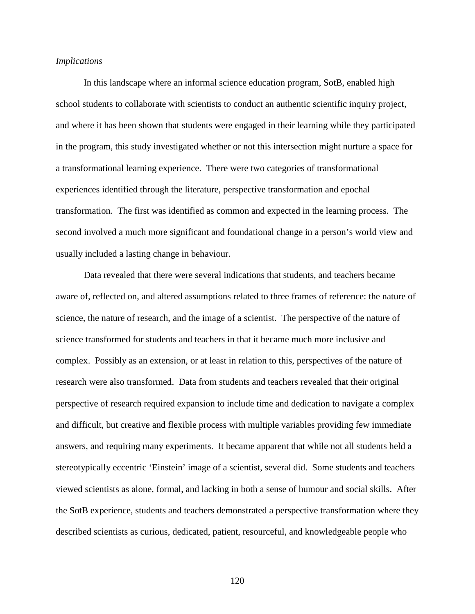### *Implications*

In this landscape where an informal science education program, SotB, enabled high school students to collaborate with scientists to conduct an authentic scientific inquiry project, and where it has been shown that students were engaged in their learning while they participated in the program, this study investigated whether or not this intersection might nurture a space for a transformational learning experience. There were two categories of transformational experiences identified through the literature, perspective transformation and epochal transformation. The first was identified as common and expected in the learning process. The second involved a much more significant and foundational change in a person's world view and usually included a lasting change in behaviour.

Data revealed that there were several indications that students, and teachers became aware of, reflected on, and altered assumptions related to three frames of reference: the nature of science, the nature of research, and the image of a scientist. The perspective of the nature of science transformed for students and teachers in that it became much more inclusive and complex. Possibly as an extension, or at least in relation to this, perspectives of the nature of research were also transformed. Data from students and teachers revealed that their original perspective of research required expansion to include time and dedication to navigate a complex and difficult, but creative and flexible process with multiple variables providing few immediate answers, and requiring many experiments. It became apparent that while not all students held a stereotypically eccentric 'Einstein' image of a scientist, several did. Some students and teachers viewed scientists as alone, formal, and lacking in both a sense of humour and social skills. After the SotB experience, students and teachers demonstrated a perspective transformation where they described scientists as curious, dedicated, patient, resourceful, and knowledgeable people who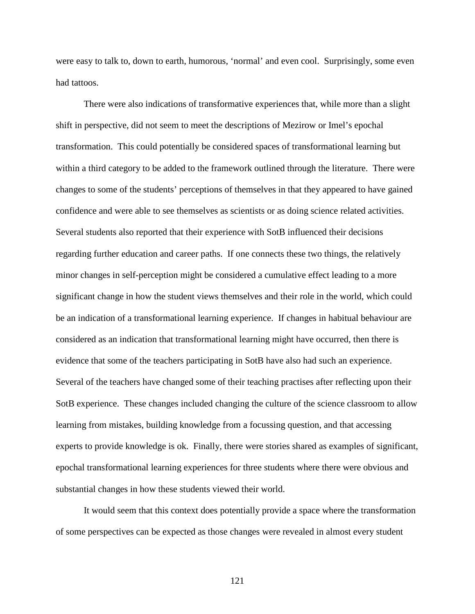were easy to talk to, down to earth, humorous, 'normal' and even cool. Surprisingly, some even had tattoos.

There were also indications of transformative experiences that, while more than a slight shift in perspective, did not seem to meet the descriptions of Mezirow or Imel's epochal transformation. This could potentially be considered spaces of transformational learning but within a third category to be added to the framework outlined through the literature. There were changes to some of the students' perceptions of themselves in that they appeared to have gained confidence and were able to see themselves as scientists or as doing science related activities. Several students also reported that their experience with SotB influenced their decisions regarding further education and career paths. If one connects these two things, the relatively minor changes in self-perception might be considered a cumulative effect leading to a more significant change in how the student views themselves and their role in the world, which could be an indication of a transformational learning experience. If changes in habitual behaviour are considered as an indication that transformational learning might have occurred, then there is evidence that some of the teachers participating in SotB have also had such an experience. Several of the teachers have changed some of their teaching practises after reflecting upon their SotB experience. These changes included changing the culture of the science classroom to allow learning from mistakes, building knowledge from a focussing question, and that accessing experts to provide knowledge is ok. Finally, there were stories shared as examples of significant, epochal transformational learning experiences for three students where there were obvious and substantial changes in how these students viewed their world.

It would seem that this context does potentially provide a space where the transformation of some perspectives can be expected as those changes were revealed in almost every student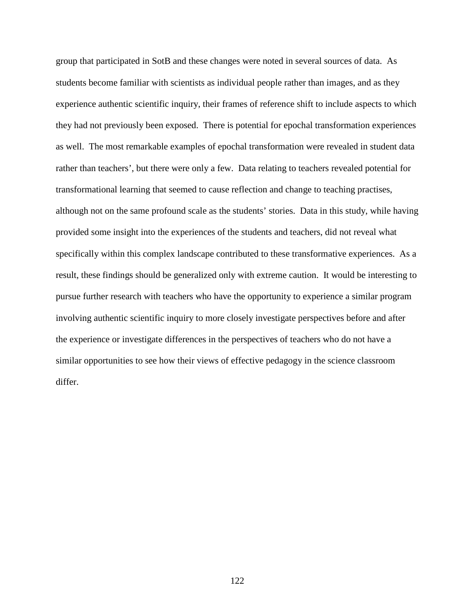group that participated in SotB and these changes were noted in several sources of data. As students become familiar with scientists as individual people rather than images, and as they experience authentic scientific inquiry, their frames of reference shift to include aspects to which they had not previously been exposed. There is potential for epochal transformation experiences as well. The most remarkable examples of epochal transformation were revealed in student data rather than teachers', but there were only a few. Data relating to teachers revealed potential for transformational learning that seemed to cause reflection and change to teaching practises, although not on the same profound scale as the students' stories. Data in this study, while having provided some insight into the experiences of the students and teachers, did not reveal what specifically within this complex landscape contributed to these transformative experiences. As a result, these findings should be generalized only with extreme caution. It would be interesting to pursue further research with teachers who have the opportunity to experience a similar program involving authentic scientific inquiry to more closely investigate perspectives before and after the experience or investigate differences in the perspectives of teachers who do not have a similar opportunities to see how their views of effective pedagogy in the science classroom differ.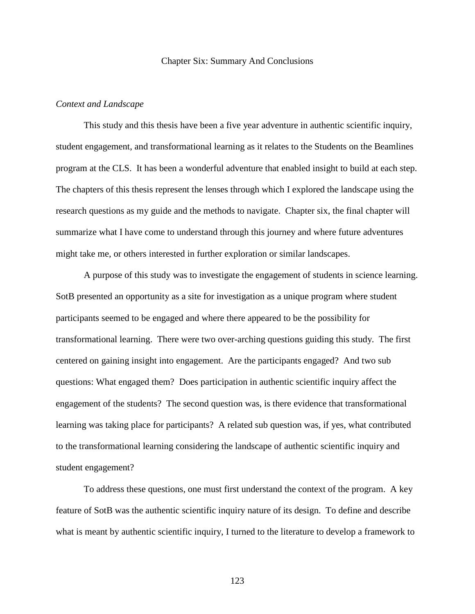#### Chapter Six: Summary And Conclusions

### *Context and Landscape*

This study and this thesis have been a five year adventure in authentic scientific inquiry, student engagement, and transformational learning as it relates to the Students on the Beamlines program at the CLS. It has been a wonderful adventure that enabled insight to build at each step. The chapters of this thesis represent the lenses through which I explored the landscape using the research questions as my guide and the methods to navigate. Chapter six, the final chapter will summarize what I have come to understand through this journey and where future adventures might take me, or others interested in further exploration or similar landscapes.

A purpose of this study was to investigate the engagement of students in science learning. SotB presented an opportunity as a site for investigation as a unique program where student participants seemed to be engaged and where there appeared to be the possibility for transformational learning. There were two over-arching questions guiding this study. The first centered on gaining insight into engagement. Are the participants engaged? And two sub questions: What engaged them? Does participation in authentic scientific inquiry affect the engagement of the students? The second question was, is there evidence that transformational learning was taking place for participants? A related sub question was, if yes, what contributed to the transformational learning considering the landscape of authentic scientific inquiry and student engagement?

To address these questions, one must first understand the context of the program. A key feature of SotB was the authentic scientific inquiry nature of its design. To define and describe what is meant by authentic scientific inquiry, I turned to the literature to develop a framework to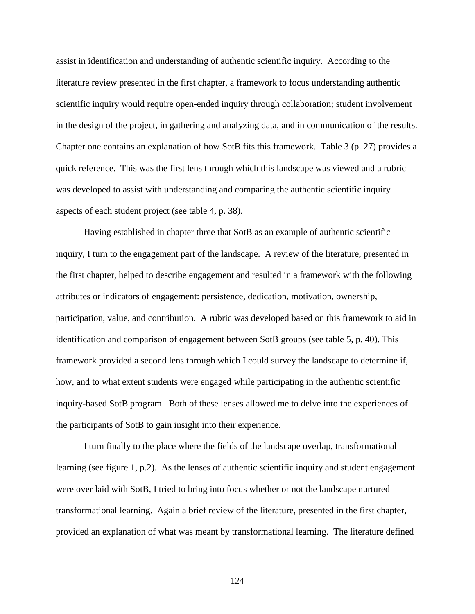assist in identification and understanding of authentic scientific inquiry. According to the literature review presented in the first chapter, a framework to focus understanding authentic scientific inquiry would require open-ended inquiry through collaboration; student involvement in the design of the project, in gathering and analyzing data, and in communication of the results. Chapter one contains an explanation of how SotB fits this framework. Table 3 (p. 27) provides a quick reference. This was the first lens through which this landscape was viewed and a rubric was developed to assist with understanding and comparing the authentic scientific inquiry aspects of each student project (see table 4, p. 38).

Having established in chapter three that SotB as an example of authentic scientific inquiry, I turn to the engagement part of the landscape. A review of the literature, presented in the first chapter, helped to describe engagement and resulted in a framework with the following attributes or indicators of engagement: persistence, dedication, motivation, ownership, participation, value, and contribution. A rubric was developed based on this framework to aid in identification and comparison of engagement between SotB groups (see table 5, p. 40). This framework provided a second lens through which I could survey the landscape to determine if, how, and to what extent students were engaged while participating in the authentic scientific inquiry-based SotB program. Both of these lenses allowed me to delve into the experiences of the participants of SotB to gain insight into their experience.

I turn finally to the place where the fields of the landscape overlap, transformational learning (see figure 1, p.2). As the lenses of authentic scientific inquiry and student engagement were over laid with SotB, I tried to bring into focus whether or not the landscape nurtured transformational learning. Again a brief review of the literature, presented in the first chapter, provided an explanation of what was meant by transformational learning. The literature defined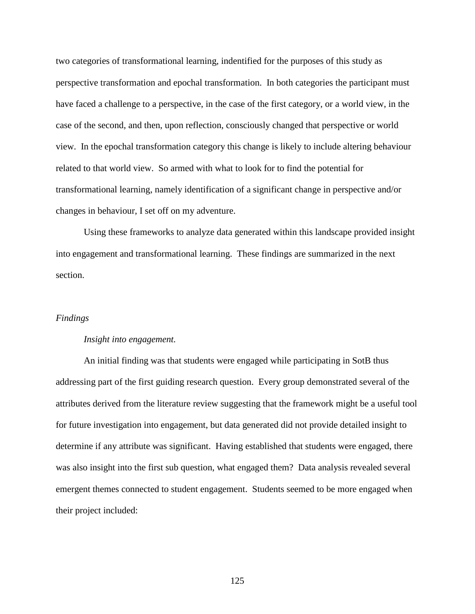two categories of transformational learning, indentified for the purposes of this study as perspective transformation and epochal transformation. In both categories the participant must have faced a challenge to a perspective, in the case of the first category, or a world view, in the case of the second, and then, upon reflection, consciously changed that perspective or world view. In the epochal transformation category this change is likely to include altering behaviour related to that world view. So armed with what to look for to find the potential for transformational learning, namely identification of a significant change in perspective and/or changes in behaviour, I set off on my adventure.

Using these frameworks to analyze data generated within this landscape provided insight into engagement and transformational learning. These findings are summarized in the next section.

### *Findings*

#### *Insight into engagement.*

An initial finding was that students were engaged while participating in SotB thus addressing part of the first guiding research question. Every group demonstrated several of the attributes derived from the literature review suggesting that the framework might be a useful tool for future investigation into engagement, but data generated did not provide detailed insight to determine if any attribute was significant. Having established that students were engaged, there was also insight into the first sub question, what engaged them? Data analysis revealed several emergent themes connected to student engagement. Students seemed to be more engaged when their project included: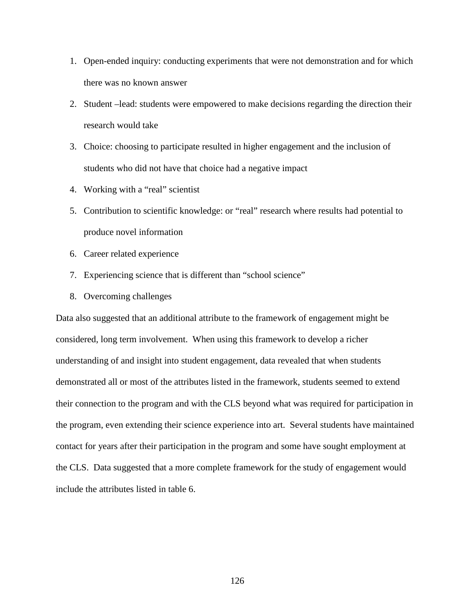- 1. Open-ended inquiry: conducting experiments that were not demonstration and for which there was no known answer
- 2. Student –lead: students were empowered to make decisions regarding the direction their research would take
- 3. Choice: choosing to participate resulted in higher engagement and the inclusion of students who did not have that choice had a negative impact
- 4. Working with a "real" scientist
- 5. Contribution to scientific knowledge: or "real" research where results had potential to produce novel information
- 6. Career related experience
- 7. Experiencing science that is different than "school science"
- 8. Overcoming challenges

Data also suggested that an additional attribute to the framework of engagement might be considered, long term involvement. When using this framework to develop a richer understanding of and insight into student engagement, data revealed that when students demonstrated all or most of the attributes listed in the framework, students seemed to extend their connection to the program and with the CLS beyond what was required for participation in the program, even extending their science experience into art. Several students have maintained contact for years after their participation in the program and some have sought employment at the CLS. Data suggested that a more complete framework for the study of engagement would include the attributes listed in table 6.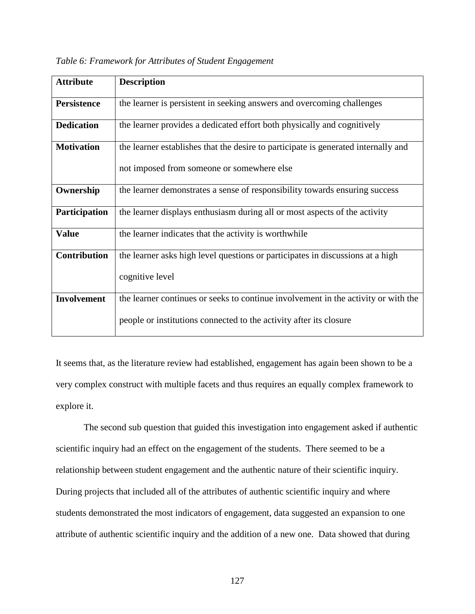| <b>Attribute</b>    | <b>Description</b>                                                                 |
|---------------------|------------------------------------------------------------------------------------|
|                     |                                                                                    |
| <b>Persistence</b>  | the learner is persistent in seeking answers and overcoming challenges             |
| <b>Dedication</b>   | the learner provides a dedicated effort both physically and cognitively            |
| <b>Motivation</b>   | the learner establishes that the desire to participate is generated internally and |
|                     | not imposed from someone or somewhere else                                         |
| Ownership           | the learner demonstrates a sense of responsibility towards ensuring success        |
| Participation       | the learner displays enthusiasm during all or most aspects of the activity         |
| <b>Value</b>        | the learner indicates that the activity is worthwhile                              |
| <b>Contribution</b> | the learner asks high level questions or participates in discussions at a high     |
|                     | cognitive level                                                                    |
| <b>Involvement</b>  | the learner continues or seeks to continue involvement in the activity or with the |
|                     | people or institutions connected to the activity after its closure                 |

| Table 6: Framework for Attributes of Student Engagement |  |  |  |
|---------------------------------------------------------|--|--|--|
|                                                         |  |  |  |

It seems that, as the literature review had established, engagement has again been shown to be a very complex construct with multiple facets and thus requires an equally complex framework to explore it.

The second sub question that guided this investigation into engagement asked if authentic scientific inquiry had an effect on the engagement of the students. There seemed to be a relationship between student engagement and the authentic nature of their scientific inquiry. During projects that included all of the attributes of authentic scientific inquiry and where students demonstrated the most indicators of engagement, data suggested an expansion to one attribute of authentic scientific inquiry and the addition of a new one. Data showed that during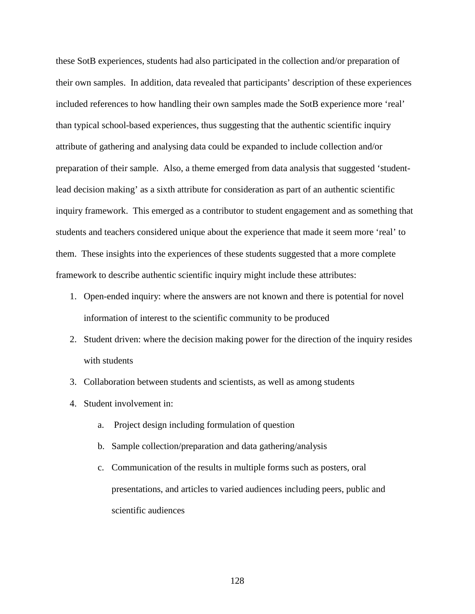these SotB experiences, students had also participated in the collection and/or preparation of their own samples. In addition, data revealed that participants' description of these experiences included references to how handling their own samples made the SotB experience more 'real' than typical school-based experiences, thus suggesting that the authentic scientific inquiry attribute of gathering and analysing data could be expanded to include collection and/or preparation of their sample. Also, a theme emerged from data analysis that suggested 'studentlead decision making' as a sixth attribute for consideration as part of an authentic scientific inquiry framework. This emerged as a contributor to student engagement and as something that students and teachers considered unique about the experience that made it seem more 'real' to them. These insights into the experiences of these students suggested that a more complete framework to describe authentic scientific inquiry might include these attributes:

- 1. Open-ended inquiry: where the answers are not known and there is potential for novel information of interest to the scientific community to be produced
- 2. Student driven: where the decision making power for the direction of the inquiry resides with students
- 3. Collaboration between students and scientists, as well as among students
- 4. Student involvement in:
	- a. Project design including formulation of question
	- b. Sample collection/preparation and data gathering/analysis
	- c. Communication of the results in multiple forms such as posters, oral presentations, and articles to varied audiences including peers, public and scientific audiences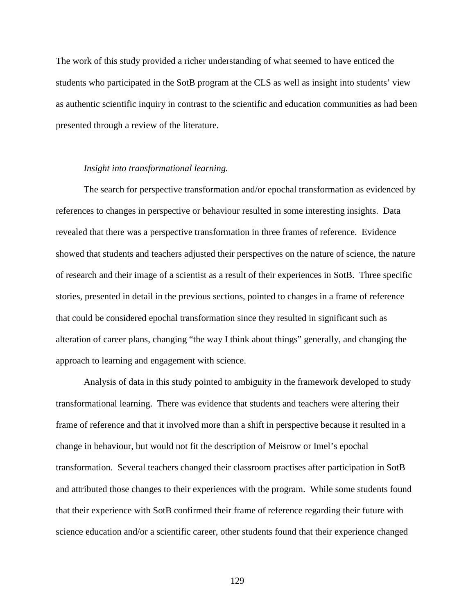The work of this study provided a richer understanding of what seemed to have enticed the students who participated in the SotB program at the CLS as well as insight into students' view as authentic scientific inquiry in contrast to the scientific and education communities as had been presented through a review of the literature.

#### *Insight into transformational learning.*

The search for perspective transformation and/or epochal transformation as evidenced by references to changes in perspective or behaviour resulted in some interesting insights. Data revealed that there was a perspective transformation in three frames of reference. Evidence showed that students and teachers adjusted their perspectives on the nature of science, the nature of research and their image of a scientist as a result of their experiences in SotB. Three specific stories, presented in detail in the previous sections, pointed to changes in a frame of reference that could be considered epochal transformation since they resulted in significant such as alteration of career plans, changing "the way I think about things" generally, and changing the approach to learning and engagement with science.

Analysis of data in this study pointed to ambiguity in the framework developed to study transformational learning. There was evidence that students and teachers were altering their frame of reference and that it involved more than a shift in perspective because it resulted in a change in behaviour, but would not fit the description of Meisrow or Imel's epochal transformation. Several teachers changed their classroom practises after participation in SotB and attributed those changes to their experiences with the program. While some students found that their experience with SotB confirmed their frame of reference regarding their future with science education and/or a scientific career, other students found that their experience changed

129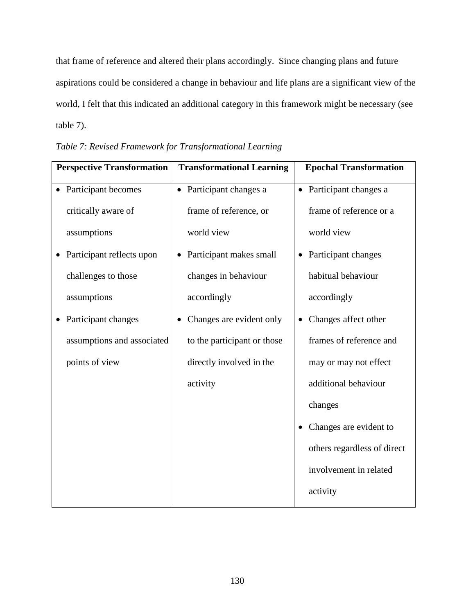that frame of reference and altered their plans accordingly. Since changing plans and future aspirations could be considered a change in behaviour and life plans are a significant view of the world, I felt that this indicated an additional category in this framework might be necessary (see table 7).

| <b>Perspective Transformation</b> | <b>Transformational Learning</b>     | <b>Epochal Transformation</b>       |
|-----------------------------------|--------------------------------------|-------------------------------------|
| • Participant becomes             | • Participant changes a              | • Participant changes a             |
| critically aware of               | frame of reference, or               | frame of reference or a             |
| assumptions                       | world view                           | world view                          |
| Participant reflects upon         | Participant makes small<br>$\bullet$ | Participant changes<br>$\bullet$    |
| challenges to those               | changes in behaviour                 | habitual behaviour                  |
| assumptions                       | accordingly                          | accordingly                         |
| Participant changes               | Changes are evident only             | Changes affect other<br>$\bullet$   |
| assumptions and associated        | to the participant or those          | frames of reference and             |
| points of view                    | directly involved in the             | may or may not effect               |
|                                   | activity                             | additional behaviour                |
|                                   |                                      | changes                             |
|                                   |                                      | Changes are evident to<br>$\bullet$ |
|                                   |                                      | others regardless of direct         |
|                                   |                                      | involvement in related              |
|                                   |                                      | activity                            |

*Table 7: Revised Framework for Transformational Learning*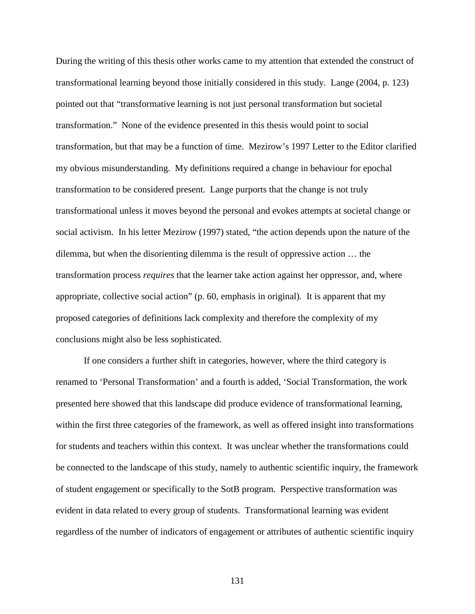During the writing of this thesis other works came to my attention that extended the construct of transformational learning beyond those initially considered in this study. Lange (2004, p. 123) pointed out that "transformative learning is not just personal transformation but societal transformation." None of the evidence presented in this thesis would point to social transformation, but that may be a function of time. Mezirow's 1997 Letter to the Editor clarified my obvious misunderstanding. My definitions required a change in behaviour for epochal transformation to be considered present. Lange purports that the change is not truly transformational unless it moves beyond the personal and evokes attempts at societal change or social activism. In his letter Mezirow (1997) stated, "the action depends upon the nature of the dilemma, but when the disorienting dilemma is the result of oppressive action … the transformation process *requires* that the learner take action against her oppressor, and, where appropriate, collective social action" (p. 60, emphasis in original). It is apparent that my proposed categories of definitions lack complexity and therefore the complexity of my conclusions might also be less sophisticated.

If one considers a further shift in categories, however, where the third category is renamed to 'Personal Transformation' and a fourth is added, 'Social Transformation, the work presented here showed that this landscape did produce evidence of transformational learning, within the first three categories of the framework, as well as offered insight into transformations for students and teachers within this context. It was unclear whether the transformations could be connected to the landscape of this study, namely to authentic scientific inquiry, the framework of student engagement or specifically to the SotB program. Perspective transformation was evident in data related to every group of students. Transformational learning was evident regardless of the number of indicators of engagement or attributes of authentic scientific inquiry

131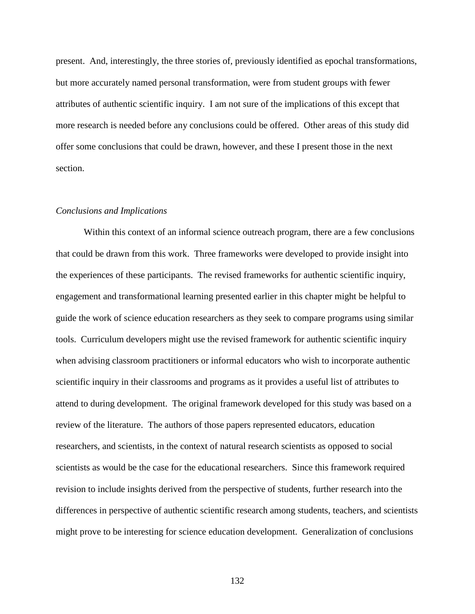present. And, interestingly, the three stories of, previously identified as epochal transformations, but more accurately named personal transformation, were from student groups with fewer attributes of authentic scientific inquiry. I am not sure of the implications of this except that more research is needed before any conclusions could be offered. Other areas of this study did offer some conclusions that could be drawn, however, and these I present those in the next section.

#### *Conclusions and Implications*

Within this context of an informal science outreach program, there are a few conclusions that could be drawn from this work. Three frameworks were developed to provide insight into the experiences of these participants. The revised frameworks for authentic scientific inquiry, engagement and transformational learning presented earlier in this chapter might be helpful to guide the work of science education researchers as they seek to compare programs using similar tools. Curriculum developers might use the revised framework for authentic scientific inquiry when advising classroom practitioners or informal educators who wish to incorporate authentic scientific inquiry in their classrooms and programs as it provides a useful list of attributes to attend to during development. The original framework developed for this study was based on a review of the literature. The authors of those papers represented educators, education researchers, and scientists, in the context of natural research scientists as opposed to social scientists as would be the case for the educational researchers. Since this framework required revision to include insights derived from the perspective of students, further research into the differences in perspective of authentic scientific research among students, teachers, and scientists might prove to be interesting for science education development. Generalization of conclusions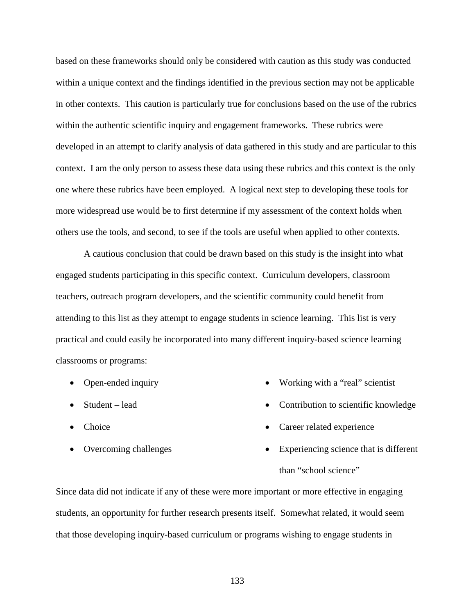based on these frameworks should only be considered with caution as this study was conducted within a unique context and the findings identified in the previous section may not be applicable in other contexts. This caution is particularly true for conclusions based on the use of the rubrics within the authentic scientific inquiry and engagement frameworks. These rubrics were developed in an attempt to clarify analysis of data gathered in this study and are particular to this context. I am the only person to assess these data using these rubrics and this context is the only one where these rubrics have been employed. A logical next step to developing these tools for more widespread use would be to first determine if my assessment of the context holds when others use the tools, and second, to see if the tools are useful when applied to other contexts.

A cautious conclusion that could be drawn based on this study is the insight into what engaged students participating in this specific context. Curriculum developers, classroom teachers, outreach program developers, and the scientific community could benefit from attending to this list as they attempt to engage students in science learning. This list is very practical and could easily be incorporated into many different inquiry-based science learning classrooms or programs:

- Open-ended inquiry
- Student lead
- Choice
- Overcoming challenges
- Working with a "real" scientist
- Contribution to scientific knowledge
- Career related experience
- Experiencing science that is different than "school science"

Since data did not indicate if any of these were more important or more effective in engaging students, an opportunity for further research presents itself. Somewhat related, it would seem that those developing inquiry-based curriculum or programs wishing to engage students in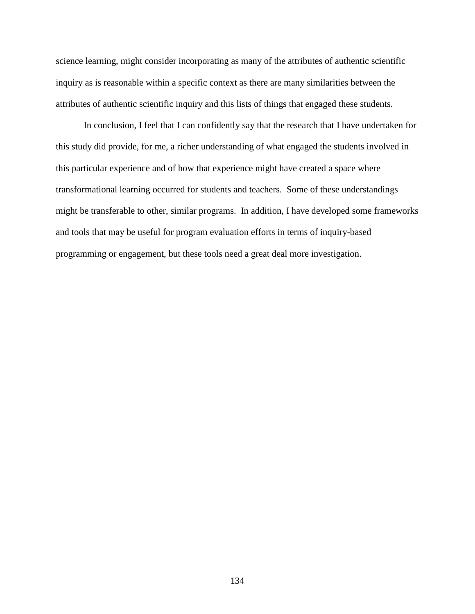science learning, might consider incorporating as many of the attributes of authentic scientific inquiry as is reasonable within a specific context as there are many similarities between the attributes of authentic scientific inquiry and this lists of things that engaged these students.

In conclusion, I feel that I can confidently say that the research that I have undertaken for this study did provide, for me, a richer understanding of what engaged the students involved in this particular experience and of how that experience might have created a space where transformational learning occurred for students and teachers. Some of these understandings might be transferable to other, similar programs. In addition, I have developed some frameworks and tools that may be useful for program evaluation efforts in terms of inquiry-based programming or engagement, but these tools need a great deal more investigation.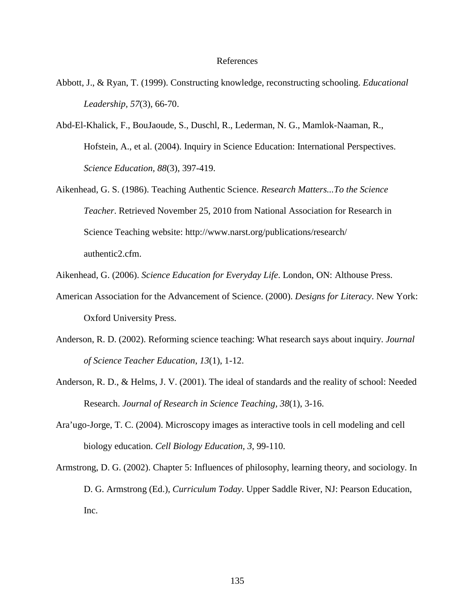#### References

- Abbott, J., & Ryan, T. (1999). Constructing knowledge, reconstructing schooling. *Educational Leadership, 57*(3), 66-70.
- Abd-El-Khalick, F., BouJaoude, S., Duschl, R., Lederman, N. G., Mamlok-Naaman, R., Hofstein, A., et al. (2004). Inquiry in Science Education: International Perspectives. *Science Education, 88*(3), 397-419.
- Aikenhead, G. S. (1986). Teaching Authentic Science. *Research Matters...To the Science Teacher*. Retrieved November 25, 2010 from National Association for Research in Science Teaching website: http://www.narst.org/publications/research/ authentic2.cfm.
- Aikenhead, G. (2006). *Science Education for Everyday Life*. London, ON: Althouse Press.
- American Association for the Advancement of Science. (2000). *Designs for Literacy*. New York: Oxford University Press.
- Anderson, R. D. (2002). Reforming science teaching: What research says about inquiry. *Journal of Science Teacher Education*, *13*(1), 1-12.
- Anderson, R. D., & Helms, J. V. (2001). The ideal of standards and the reality of school: Needed Research. *Journal of Research in Science Teaching, 38*(1), 3-16.
- Ara'ugo-Jorge, T. C. (2004). Microscopy images as interactive tools in cell modeling and cell biology education. *Cell Biology Education, 3*, 99-110.
- Armstrong, D. G. (2002). Chapter 5: Influences of philosophy, learning theory, and sociology. In D. G. Armstrong (Ed.), *Curriculum Today*. Upper Saddle River, NJ: Pearson Education, Inc.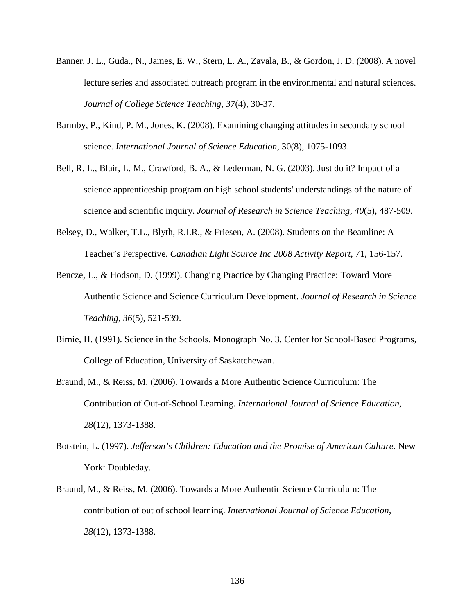- Banner, J. L., Guda., N., James, E. W., Stern, L. A., Zavala, B., & Gordon, J. D. (2008). A novel lecture series and associated outreach program in the environmental and natural sciences. *Journal of College Science Teaching*, *37*(4), 30-37.
- Barmby, P., Kind, P. M., Jones, K. (2008). Examining changing attitudes in secondary school science. *International Journal of Science Education*, 30(8), 1075-1093.
- Bell, R. L., Blair, L. M., Crawford, B. A., & Lederman, N. G. (2003). Just do it? Impact of a science apprenticeship program on high school students' understandings of the nature of science and scientific inquiry. *Journal of Research in Science Teaching, 40*(5), 487-509.
- Belsey, D., Walker, T.L., Blyth, R.I.R., & Friesen, A. (2008). Students on the Beamline: A Teacher's Perspective. *Canadian Light Source Inc 2008 Activity Report*, 71, 156-157.
- Bencze, L., & Hodson, D. (1999). Changing Practice by Changing Practice: Toward More Authentic Science and Science Curriculum Development. *Journal of Research in Science Teaching, 36*(5), 521-539.
- Birnie, H. (1991). Science in the Schools. Monograph No. 3. Center for School-Based Programs, College of Education, University of Saskatchewan.
- Braund, M., & Reiss, M. (2006). Towards a More Authentic Science Curriculum: The Contribution of Out-of-School Learning. *International Journal of Science Education, 28*(12), 1373-1388.
- Botstein, L. (1997). *Jefferson's Children: Education and the Promise of American Culture*. New York: Doubleday.
- Braund, M., & Reiss, M. (2006). Towards a More Authentic Science Curriculum: The contribution of out of school learning. *International Journal of Science Education, 28*(12), 1373-1388.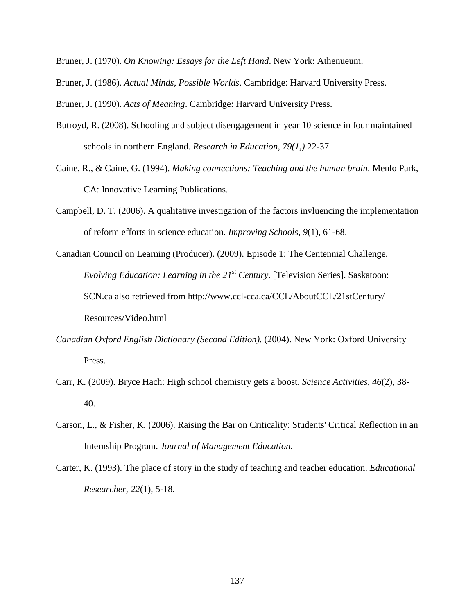Bruner, J. (1970). *On Knowing: Essays for the Left Hand*. New York: Athenueum.

Bruner, J. (1986). *Actual Minds, Possible Worlds*. Cambridge: Harvard University Press.

Bruner, J. (1990). *Acts of Meaning*. Cambridge: Harvard University Press.

- Butroyd, R. (2008). Schooling and subject disengagement in year 10 science in four maintained schools in northern England. *Research in Education, 79(1,)* 22-37.
- Caine, R., & Caine, G. (1994). *Making connections: Teaching and the human brain*. Menlo Park, CA: Innovative Learning Publications.
- Campbell, D. T. (2006). A qualitative investigation of the factors invluencing the implementation of reform efforts in science education. *Improving Schools, 9*(1), 61-68.
- Canadian Council on Learning (Producer). (2009). Episode 1: The Centennial Challenge. *Evolving Education: Learning in the 21<sup>st</sup> Century.* [Television Series]. Saskatoon: SCN.ca also retrieved from http://www.ccl-cca.ca/CCL/AboutCCL/21stCentury/ Resources/Video.html
- *Canadian Oxford English Dictionary (Second Edition).* (2004). New York: Oxford University Press.
- Carr, K. (2009). Bryce Hach: High school chemistry gets a boost. *Science Activities, 46*(2), 38- 40.
- Carson, L., & Fisher, K. (2006). Raising the Bar on Criticality: Students' Critical Reflection in an Internship Program. *Journal of Management Education.*
- Carter, K. (1993). The place of story in the study of teaching and teacher education. *Educational Researcher, 22*(1), 5-18.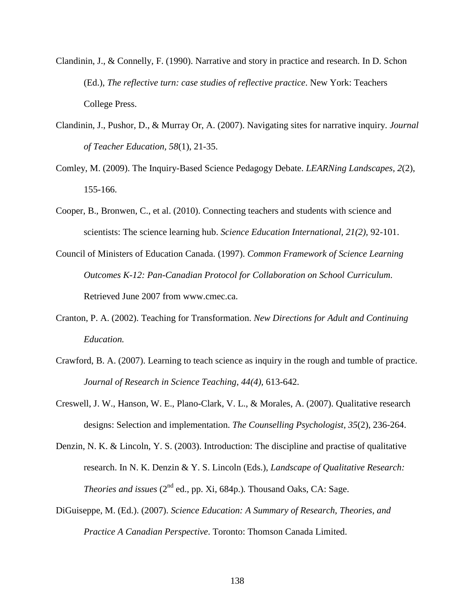- Clandinin, J., & Connelly, F. (1990). Narrative and story in practice and research. In D. Schon (Ed.), *The reflective turn: case studies of reflective practice*. New York: Teachers College Press.
- Clandinin, J., Pushor, D., & Murray Or, A. (2007). Navigating sites for narrative inquiry. *Journal of Teacher Education, 58*(1), 21-35.
- Comley, M. (2009). The Inquiry-Based Science Pedagogy Debate. *LEARNing Landscapes, 2*(2), 155-166.
- Cooper, B., Bronwen, C., et al. (2010). Connecting teachers and students with science and scientists: The science learning hub. *Science Education International, 21(2),* 92-101.
- Council of Ministers of Education Canada. (1997). *Common Framework of Science Learning Outcomes K-12: Pan-Canadian Protocol for Collaboration on School Curriculum*. Retrieved June 2007 from www.cmec.ca.
- Cranton, P. A. (2002). Teaching for Transformation. *New Directions for Adult and Continuing Education.*
- Crawford, B. A. (2007). Learning to teach science as inquiry in the rough and tumble of practice. *Journal of Research in Science Teaching, 44(4),* 613-642.
- Creswell, J. W., Hanson, W. E., Plano-Clark, V. L., & Morales, A. (2007). Qualitative research designs: Selection and implementation. *The Counselling Psychologist, 35*(2), 236-264.
- Denzin, N. K. & Lincoln, Y. S. (2003). Introduction: The discipline and practise of qualitative research. In N. K. Denzin & Y. S. Lincoln (Eds.), *Landscape of Qualitative Research: Theories and issues*  $(2^{nd}$  ed., pp. Xi, 684p.). Thousand Oaks, CA: Sage.
- DiGuiseppe, M. (Ed.). (2007). *Science Education: A Summary of Research, Theories, and Practice A Canadian Perspective*. Toronto: Thomson Canada Limited.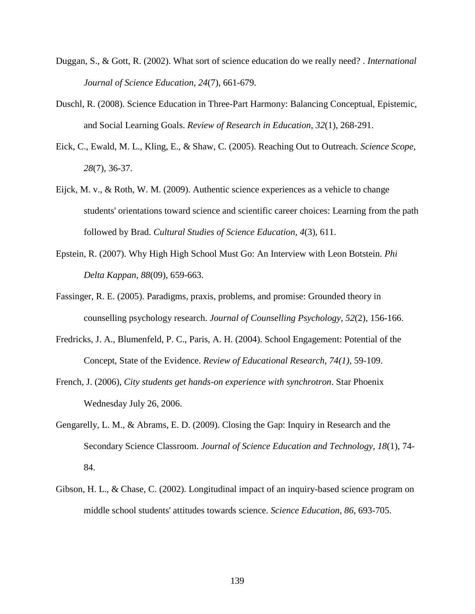- Duggan, S., & Gott, R. (2002). What sort of science education do we really need? . *International Journal of Science Education, 24*(7), 661-679.
- Duschl, R. (2008). Science Education in Three-Part Harmony: Balancing Conceptual, Epistemic, and Social Learning Goals. *Review of Research in Education, 32*(1), 268-291.
- Eick, C., Ewald, M. L., Kling, E., & Shaw, C. (2005). Reaching Out to Outreach. *Science Scope, 28*(7), 36-37.
- Eijck, M. v., & Roth, W. M. (2009). Authentic science experiences as a vehicle to change students' orientations toward science and scientific career choices: Learning from the path followed by Brad. *Cultural Studies of Science Education, 4*(3), 611.
- Epstein, R. (2007). Why High High School Must Go: An Interview with Leon Botstein. *Phi Delta Kappan, 88*(09), 659-663.
- Fassinger, R. E. (2005). Paradigms, praxis, problems, and promise: Grounded theory in counselling psychology research. *Journal of Counselling Psychology, 52*(2), 156-166.
- Fredricks, J. A., Blumenfeld, P. C., Paris, A. H. (2004). School Engagement: Potential of the Concept, State of the Evidence. *Review of Educational Research, 74(1),* 59-109.
- French, J. (2006), *City students get hands-on experience with synchrotron*. Star Phoenix Wednesday July 26, 2006.
- Gengarelly, L. M., & Abrams, E. D. (2009). Closing the Gap: Inquiry in Research and the Secondary Science Classroom. *Journal of Science Education and Technology, 18*(1), 74- 84.
- Gibson, H. L., & Chase, C. (2002). Longitudinal impact of an inquiry-based science program on middle school students' attitudes towards science. *Science Education, 86*, 693-705.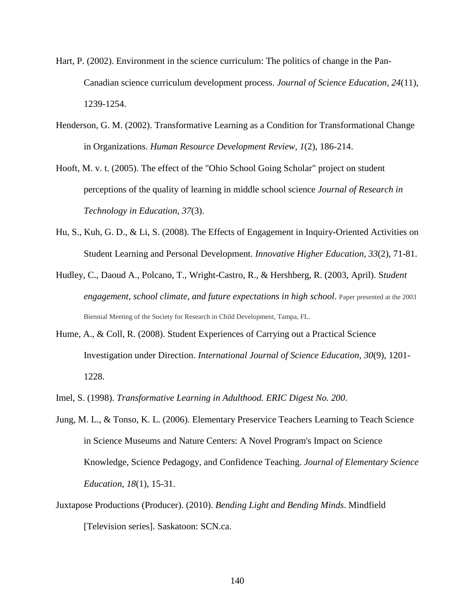- Hart, P. (2002). Environment in the science curriculum: The politics of change in the Pan-Canadian science curriculum development process. *Journal of Science Education, 24*(11), 1239-1254.
- Henderson, G. M. (2002). Transformative Learning as a Condition for Transformational Change in Organizations. *Human Resource Development Review, 1*(2), 186-214.
- Hooft, M. v. t. (2005). The effect of the "Ohio School Going Scholar" project on student perceptions of the quality of learning in middle school science *Journal of Research in Technology in Education, 37*(3).
- Hu, S., Kuh, G. D., & Li, S. (2008). The Effects of Engagement in Inquiry-Oriented Activities on Student Learning and Personal Development. *Innovative Higher Education, 33*(2), 71-81.
- Hudley, C., Daoud A., Polcano, T., Wright-Castro, R., & Hershberg, R. (2003, April). S*tudent engagement, school climate, and future expectations in high school*. Paper presented at the 2003 Biennial Meeting of the Society for Research in Child Development, Tampa, FL.
- Hume, A., & Coll, R. (2008). Student Experiences of Carrying out a Practical Science Investigation under Direction. *International Journal of Science Education, 30*(9), 1201- 1228.
- Imel, S. (1998). *Transformative Learning in Adulthood. ERIC Digest No. 200*.
- Jung, M. L., & Tonso, K. L. (2006). Elementary Preservice Teachers Learning to Teach Science in Science Museums and Nature Centers: A Novel Program's Impact on Science Knowledge, Science Pedagogy, and Confidence Teaching. *Journal of Elementary Science Education, 18*(1), 15-31.
- Juxtapose Productions (Producer). (2010). *Bending Light and Bending Minds*. Mindfield [Television series]. Saskatoon: SCN.ca.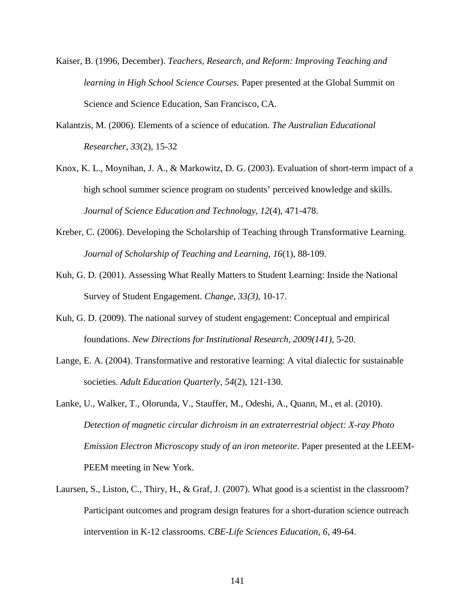- Kaiser, B. (1996, December). *Teachers, Research, and Reform: Improving Teaching and learning in High School Science Courses.* Paper presented at the Global Summit on Science and Science Education, San Francisco, CA.
- Kalantzis, M. (2006). Elements of a science of education. *The Australian Educational Researcher, 33*(2), 15-32
- Knox, K. L., Moynihan, J. A., & Markowitz, D. G. (2003). Evaluation of short-term impact of a high school summer science program on students' perceived knowledge and skills. *Journal of Science Education and Technology, 12*(4), 471-478.
- Kreber, C. (2006). Developing the Scholarship of Teaching through Transformative Learning. *Journal of Scholarship of Teaching and Learning, 16*(1), 88-109.
- Kuh, G. D. (2001). Assessing What Really Matters to Student Learning: Inside the National Survey of Student Engagement. *Change, 33(3),* 10-17.
- Kuh, G. D. (2009). The national survey of student engagement: Conceptual and empirical foundations. *New Directions for Institutional Research, 2009(141),* 5-20.
- Lange, E. A. (2004). Transformative and restorative learning: A vital dialectic for sustainable societies. *Adult Education Quarterly, 54*(2), 121-130.
- Lanke, U., Walker, T., Olorunda, V., Stauffer, M., Odeshi, A., Quann, M., et al. (2010). *Detection of magnetic circular dichroism in an extraterrestrial object: X-ray Photo Emission Electron Microscopy study of an iron meteorite*. Paper presented at the LEEM-PEEM meeting in New York.
- Laursen, S., Liston, C., Thiry, H., & Graf, J. (2007). What good is a scientist in the classroom? Participant outcomes and program design features for a short-duration science outreach intervention in K-12 classrooms. *CBE-Life Sciences Education, 6*, 49-64.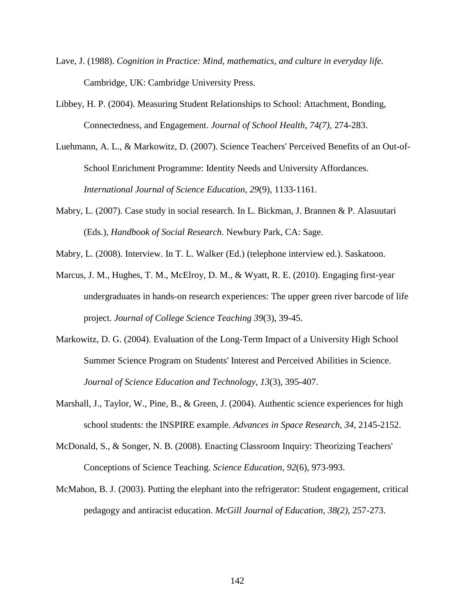- Lave, J. (1988). *Cognition in Practice: Mind, mathematics, and culture in everyday life*. Cambridge, UK: Cambridge University Press.
- Libbey, H. P. (2004). Measuring Student Relationships to School: Attachment, Bonding, Connectedness, and Engagement. *Journal of School Health, 74(7),* 274-283.
- Luehmann, A. L., & Markowitz, D. (2007). Science Teachers' Perceived Benefits of an Out-of-School Enrichment Programme: Identity Needs and University Affordances. *International Journal of Science Education, 29*(9), 1133-1161.
- Mabry, L. (2007). Case study in social research. In L. Bickman, J. Brannen & P. Alasuutari (Eds.), *Handbook of Social Research*. Newbury Park, CA: Sage.
- Mabry, L. (2008). Interview. In T. L. Walker (Ed.) (telephone interview ed.). Saskatoon.
- Marcus, J. M., Hughes, T. M., McElroy, D. M., & Wyatt, R. E. (2010). Engaging first-year undergraduates in hands-on research experiences: The upper green river barcode of life project. *Journal of College Science Teaching 39*(3), 39-45.
- Markowitz, D. G. (2004). Evaluation of the Long-Term Impact of a University High School Summer Science Program on Students' Interest and Perceived Abilities in Science. *Journal of Science Education and Technology, 13*(3), 395-407.
- Marshall, J., Taylor, W., Pine, B., & Green, J. (2004). Authentic science experiences for high school students: the INSPIRE example. *Advances in Space Research, 34*, 2145-2152.
- McDonald, S., & Songer, N. B. (2008). Enacting Classroom Inquiry: Theorizing Teachers' Conceptions of Science Teaching. *Science Education, 92*(6), 973-993.
- McMahon, B. J. (2003). Putting the elephant into the refrigerator: Student engagement, critical pedagogy and antiracist education. *McGill Journal of Education, 38(2),* 257-273.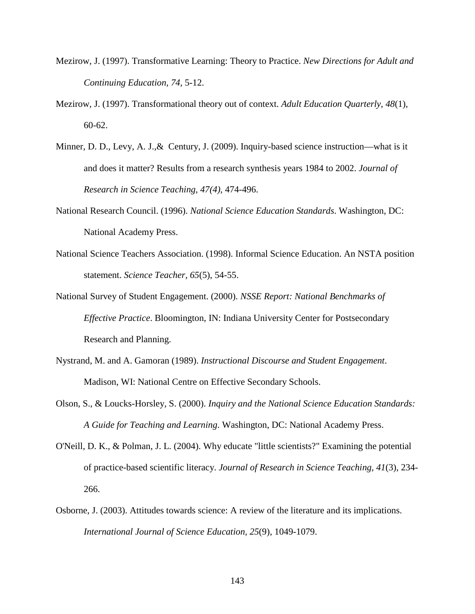- Mezirow, J. (1997). Transformative Learning: Theory to Practice. *New Directions for Adult and Continuing Education, 74,* 5-12.
- Mezirow, J. (1997). Transformational theory out of context. *Adult Education Quarterly, 48*(1), 60-62.
- Minner, D. D., Levy, A. J.,& Century, J. (2009). Inquiry-based science instruction—what is it and does it matter? Results from a research synthesis years 1984 to 2002. *Journal of Research in Science Teaching, 47(4),* 474-496.
- National Research Council. (1996). *National Science Education Standards*. Washington, DC: National Academy Press.
- National Science Teachers Association. (1998). Informal Science Education. An NSTA position statement. *Science Teacher, 65*(5), 54-55.
- National Survey of Student Engagement. (2000). *NSSE Report: National Benchmarks of Effective Practice*. Bloomington, IN: Indiana University Center for Postsecondary Research and Planning.
- Nystrand, M. and A. Gamoran (1989). *Instructional Discourse and Student Engagement*. Madison, WI: National Centre on Effective Secondary Schools.
- Olson, S., & Loucks-Horsley, S. (2000). *Inquiry and the National Science Education Standards: A Guide for Teaching and Learning*. Washington, DC: National Academy Press.
- O'Neill, D. K., & Polman, J. L. (2004). Why educate "little scientists?" Examining the potential of practice-based scientific literacy. *Journal of Research in Science Teaching, 41*(3), 234- 266.
- Osborne, J. (2003). Attitudes towards science: A review of the literature and its implications. *International Journal of Science Education, 25*(9), 1049-1079.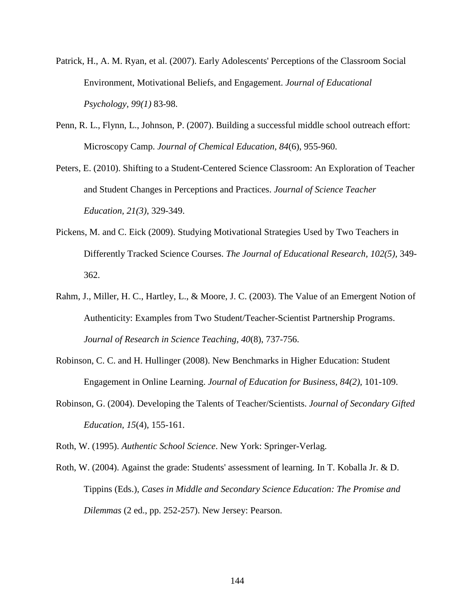- Patrick, H., A. M. Ryan, et al. (2007). Early Adolescents' Perceptions of the Classroom Social Environment, Motivational Beliefs, and Engagement. *Journal of Educational Psychology, 99(1)* 83-98.
- Penn, R. L., Flynn, L., Johnson, P. (2007). Building a successful middle school outreach effort: Microscopy Camp. *Journal of Chemical Education, 84*(6), 955-960.
- Peters, E. (2010). Shifting to a Student-Centered Science Classroom: An Exploration of Teacher and Student Changes in Perceptions and Practices. *Journal of Science Teacher Education, 21(3)*, 329-349.
- Pickens, M. and C. Eick (2009). Studying Motivational Strategies Used by Two Teachers in Differently Tracked Science Courses. *The Journal of Educational Research, 102(5),* 349- 362.
- Rahm, J., Miller, H. C., Hartley, L., & Moore, J. C. (2003). The Value of an Emergent Notion of Authenticity: Examples from Two Student/Teacher-Scientist Partnership Programs. *Journal of Research in Science Teaching, 40*(8), 737-756.
- Robinson, C. C. and H. Hullinger (2008). New Benchmarks in Higher Education: Student Engagement in Online Learning. *Journal of Education for Business, 84(2),* 101-109.
- Robinson, G. (2004). Developing the Talents of Teacher/Scientists. *Journal of Secondary Gifted Education, 15*(4), 155-161.

Roth, W. (1995). *Authentic School Science*. New York: Springer-Verlag.

Roth, W. (2004). Against the grade: Students' assessment of learning. In T. Koballa Jr. & D. Tippins (Eds.), *Cases in Middle and Secondary Science Education: The Promise and Dilemmas* (2 ed., pp. 252-257). New Jersey: Pearson.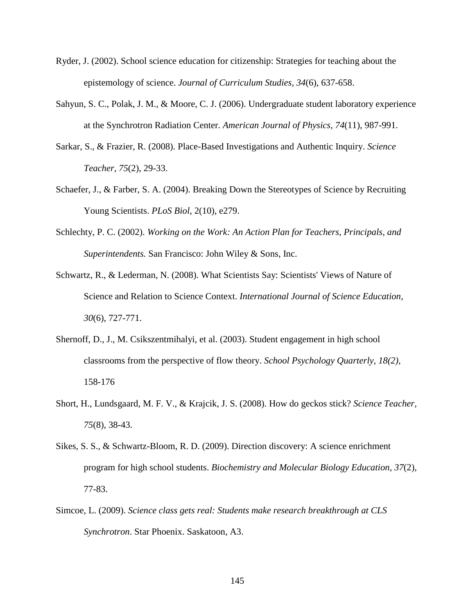- Ryder, J. (2002). School science education for citizenship: Strategies for teaching about the epistemology of science. *Journal of Curriculum Studies, 34*(6), 637-658.
- Sahyun, S. C., Polak, J. M., & Moore, C. J. (2006). Undergraduate student laboratory experience at the Synchrotron Radiation Center. *American Journal of Physics, 74*(11), 987-991.
- Sarkar, S., & Frazier, R. (2008). Place-Based Investigations and Authentic Inquiry. *Science Teacher, 75*(2), 29-33.
- Schaefer, J., & Farber, S. A. (2004). Breaking Down the Stereotypes of Science by Recruiting Young Scientists. *PLoS Biol*, 2(10), e279.
- Schlechty, P. C. (2002). *Working on the Work: An Action Plan for Teachers, Principals, and Superintendents.* San Francisco: John Wiley & Sons, Inc.
- Schwartz, R., & Lederman, N. (2008). What Scientists Say: Scientists' Views of Nature of Science and Relation to Science Context. *International Journal of Science Education, 30*(6), 727-771.
- Shernoff, D., J., M. Csikszentmihalyi, et al. (2003). Student engagement in high school classrooms from the perspective of flow theory. *School Psychology Quarterly, 18(2),* 158-176
- Short, H., Lundsgaard, M. F. V., & Krajcik, J. S. (2008). How do geckos stick? *Science Teacher, 75*(8), 38-43.
- Sikes, S. S., & Schwartz-Bloom, R. D. (2009). Direction discovery: A science enrichment program for high school students. *Biochemistry and Molecular Biology Education, 37*(2), 77-83.
- Simcoe, L. (2009). *Science class gets real: Students make research breakthrough at CLS Synchrotron*. Star Phoenix. Saskatoon, A3.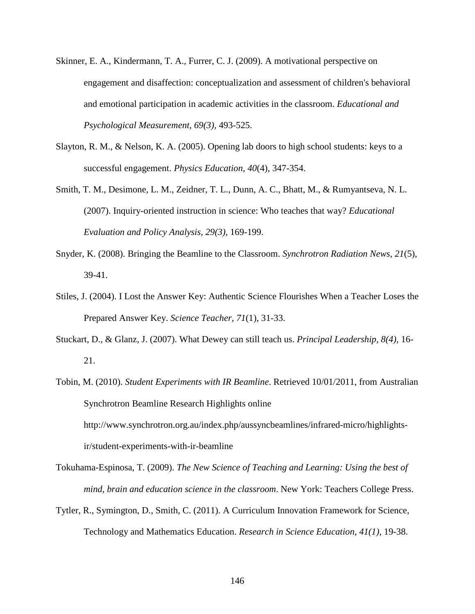- Skinner, E. A., Kindermann, T. A., Furrer, C. J. (2009). A motivational perspective on engagement and disaffection: conceptualization and assessment of children's behavioral and emotional participation in academic activities in the classroom. *Educational and Psychological Measurement, 69(3),* 493-525.
- Slayton, R. M., & Nelson, K. A. (2005). Opening lab doors to high school students: keys to a successful engagement. *Physics Education, 40*(4), 347-354.
- Smith, T. M., Desimone, L. M., Zeidner, T. L., Dunn, A. C., Bhatt, M., & Rumyantseva, N. L. (2007). Inquiry-oriented instruction in science: Who teaches that way? *Educational Evaluation and Policy Analysis, 29(3),* 169-199.
- Snyder, K. (2008). Bringing the Beamline to the Classroom. *Synchrotron Radiation News, 21*(5), 39-41.
- Stiles, J. (2004). I Lost the Answer Key: Authentic Science Flourishes When a Teacher Loses the Prepared Answer Key. *Science Teacher, 71*(1), 31-33.
- Stuckart, D., & Glanz, J. (2007). What Dewey can still teach us. *Principal Leadership, 8(4),* 16- 21.
- Tobin, M. (2010). *Student Experiments with IR Beamline*. Retrieved 10/01/2011, from Australian Synchrotron Beamline Research Highlights online http://www.synchrotron.org.au/index.php/aussyncbeamlines/infrared-micro/highlightsir/student-experiments-with-ir-beamline
- Tokuhama-Espinosa, T. (2009). *The New Science of Teaching and Learning: Using the best of mind, brain and education science in the classroom*. New York: Teachers College Press.
- Tytler, R., Symington, D., Smith, C. (2011). A Curriculum Innovation Framework for Science, Technology and Mathematics Education. *Research in Science Education, 41(1),* 19-38.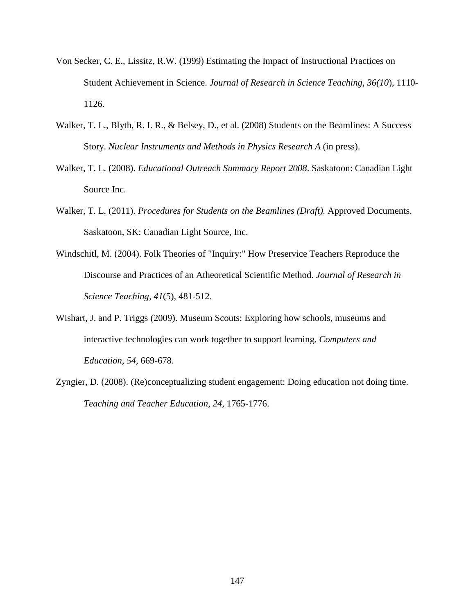- Von Secker, C. E., Lissitz, R.W. (1999) Estimating the Impact of Instructional Practices on Student Achievement in Science. *Journal of Research in Science Teaching, 36(10*), 1110- 1126.
- Walker, T. L., Blyth, R. I. R., & Belsey, D., et al. (2008) Students on the Beamlines: A Success Story. *Nuclear Instruments and Methods in Physics Research A* (in press).
- Walker, T. L. (2008). *Educational Outreach Summary Report 2008*. Saskatoon: Canadian Light Source Inc.
- Walker, T. L. (2011). *Procedures for Students on the Beamlines (Draft).* Approved Documents. Saskatoon, SK: Canadian Light Source, Inc.
- Windschitl, M. (2004). Folk Theories of "Inquiry:" How Preservice Teachers Reproduce the Discourse and Practices of an Atheoretical Scientific Method. *Journal of Research in Science Teaching, 41*(5), 481-512.
- Wishart, J. and P. Triggs (2009). Museum Scouts: Exploring how schools, museums and interactive technologies can work together to support learning. *Computers and Education, 54,* 669-678.
- Zyngier, D. (2008). (Re)conceptualizing student engagement: Doing education not doing time. *Teaching and Teacher Education, 24,* 1765-1776.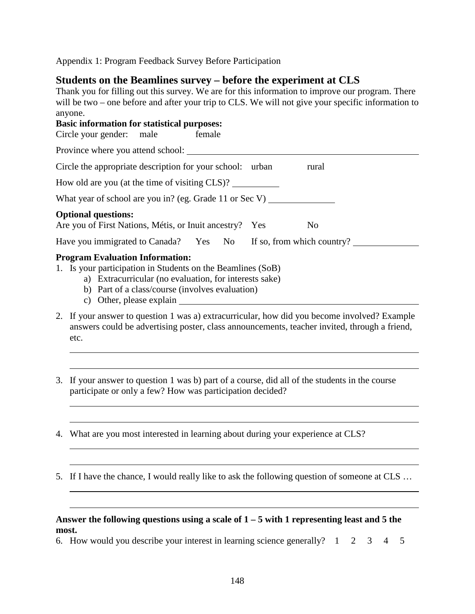Appendix 1: Program Feedback Survey Before Participation

# **Students on the Beamlines survey – before the experiment at CLS**

Thank you for filling out this survey. We are for this information to improve our program. There will be two – one before and after your trip to CLS. We will not give your specific information to anyone. **Basic information for statistical purposes:**

| Circle your gender: male<br>female                                                                                                                              |                |  |  |  |  |  |  |  |  |  |  |
|-----------------------------------------------------------------------------------------------------------------------------------------------------------------|----------------|--|--|--|--|--|--|--|--|--|--|
| Province where you attend school:                                                                                                                               |                |  |  |  |  |  |  |  |  |  |  |
| Circle the appropriate description for your school: urban<br>rural                                                                                              |                |  |  |  |  |  |  |  |  |  |  |
| How old are you (at the time of visiting CLS)?                                                                                                                  |                |  |  |  |  |  |  |  |  |  |  |
| What year of school are you in? (eg. Grade 11 or Sec V)                                                                                                         |                |  |  |  |  |  |  |  |  |  |  |
| <b>Optional questions:</b><br>Are you of First Nations, Métis, or Inuit ancestry?<br>Yes                                                                        | N <sub>0</sub> |  |  |  |  |  |  |  |  |  |  |
| Have you immigrated to Canada? Yes No If so, from which country?                                                                                                |                |  |  |  |  |  |  |  |  |  |  |
| <b>Program Evaluation Information:</b><br>1. Is your participation in Students on the Beamlines (SoB)<br>a) Extracurricular (no evaluation, for interests sake) |                |  |  |  |  |  |  |  |  |  |  |

- b) Part of a class/course (involves evaluation)
- c) Other, please explain
- 2. If your answer to question 1 was a) extracurricular, how did you become involved? Example answers could be advertising poster, class announcements, teacher invited, through a friend, etc.
- 3. If your answer to question 1 was b) part of a course, did all of the students in the course participate or only a few? How was participation decided?
- 4. What are you most interested in learning about during your experience at CLS?
- 5. If I have the chance, I would really like to ask the following question of someone at CLS …

#### **Answer the following questions using a scale of 1 – 5 with 1 representing least and 5 the most.**

6. How would you describe your interest in learning science generally? 1 2 3 4 5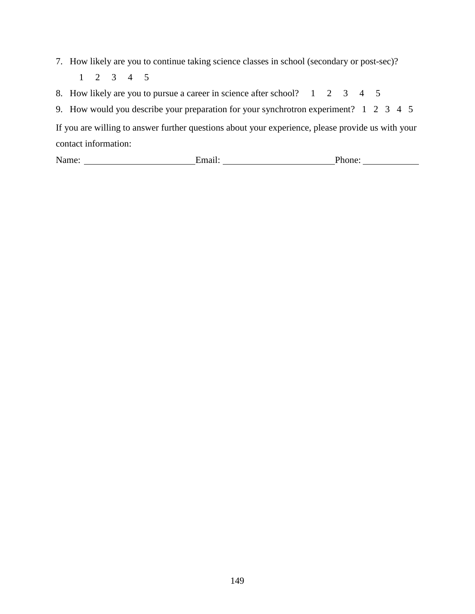- 7. How likely are you to continue taking science classes in school (secondary or post-sec)?
	- 1 2 3 4 5
- 8. How likely are you to pursue a career in science after school? 1 2 3 4 5
- 9. How would you describe your preparation for your synchrotron experiment? 1 2 3 4 5

If you are willing to answer further questions about your experience, please provide us with your contact information:

| $\mathbf{N}_{21}$ .<br>- | נרי<br>.<br>.<br> |  |
|--------------------------|-------------------|--|
|                          |                   |  |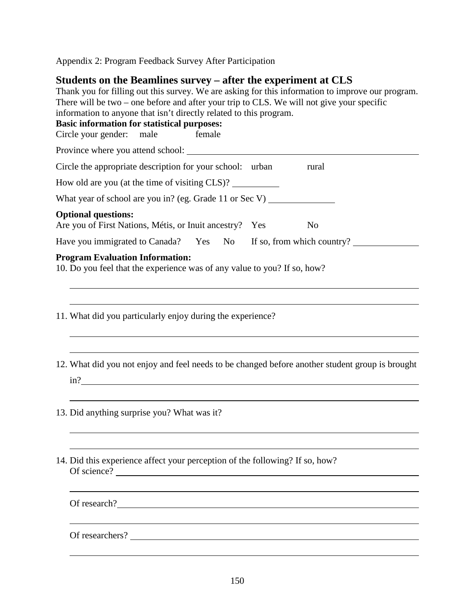Appendix 2: Program Feedback Survey After Participation

# **Students on the Beamlines survey – after the experiment at CLS**

| Thank you for filling out this survey. We are asking for this information to improve our program.<br>There will be two – one before and after your trip to CLS. We will not give your specific<br>information to anyone that isn't directly related to this program.<br><b>Basic information for statistical purposes:</b><br>Circle your gender: male<br>female |                |
|------------------------------------------------------------------------------------------------------------------------------------------------------------------------------------------------------------------------------------------------------------------------------------------------------------------------------------------------------------------|----------------|
| Province where you attend school: <u>container and the set of the set of the set of the set of the set of the set of the set of the set of the set of the set of the set of the set of the set of the set of the set of the set </u>                                                                                                                             |                |
| Circle the appropriate description for your school: urban                                                                                                                                                                                                                                                                                                        | rural          |
| How old are you (at the time of visiting CLS)?                                                                                                                                                                                                                                                                                                                   |                |
| What year of school are you in? (eg. Grade 11 or Sec V) _________________________                                                                                                                                                                                                                                                                                |                |
| <b>Optional questions:</b><br>Are you of First Nations, Métis, or Inuit ancestry? Yes                                                                                                                                                                                                                                                                            | N <sub>o</sub> |
| Have you immigrated to Canada? Yes No If so, from which country?                                                                                                                                                                                                                                                                                                 |                |
| <b>Program Evaluation Information:</b><br>10. Do you feel that the experience was of any value to you? If so, how?<br>11. What did you particularly enjoy during the experience?                                                                                                                                                                                 |                |
| 12. What did you not enjoy and feel needs to be changed before another student group is brought<br>$\sin^2$                                                                                                                                                                                                                                                      |                |
| 13. Did anything surprise you? What was it?                                                                                                                                                                                                                                                                                                                      |                |
| 14. Did this experience affect your perception of the following? If so, how?<br>Of science?                                                                                                                                                                                                                                                                      |                |
| Of research?                                                                                                                                                                                                                                                                                                                                                     |                |
| Of researchers?                                                                                                                                                                                                                                                                                                                                                  |                |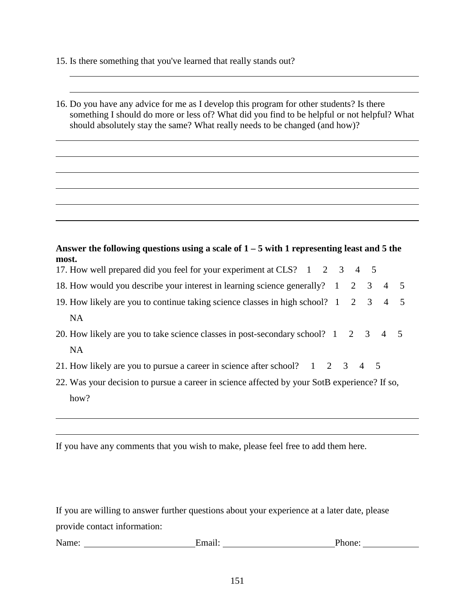15. Is there something that you've learned that really stands out?

16. Do you have any advice for me as I develop this program for other students? Is there something I should do more or less of? What did you find to be helpful or not helpful? What should absolutely stay the same? What really needs to be changed (and how)?

| Answer the following questions using a scale of $1-5$ with 1 representing least and 5 the |  |  |  |
|-------------------------------------------------------------------------------------------|--|--|--|
| most.                                                                                     |  |  |  |
| 17. How well prepared did you feel for your experiment at CLS? 1 2 3 4 5                  |  |  |  |

| 19. How likely are you to continue taking science classes in high school? 1 2 3 4 5 |  |  |  |  |
|-------------------------------------------------------------------------------------|--|--|--|--|
|                                                                                     |  |  |  |  |

| 20. How likely are you to take science classes in post-secondary school? 1 2 3 4 5 |  |  |  |
|------------------------------------------------------------------------------------|--|--|--|
| - NA                                                                               |  |  |  |

- 21. How likely are you to pursue a career in science after school?  $1 \quad 2 \quad 3 \quad 4 \quad 5$
- 22. Was your decision to pursue a career in science affected by your SotB experience? If so, how?

If you have any comments that you wish to make, please feel free to add them here.

If you are willing to answer further questions about your experience at a later date, please provide contact information:

Name: Email: Email: Phone: Phone: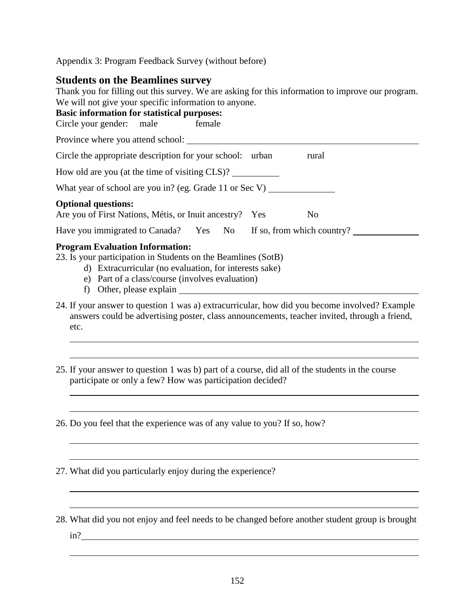Appendix 3: Program Feedback Survey (without before)

## **Students on the Beamlines survey**

| Diuuchts on the Deannines sur vev                                                                                                                                                                                    |
|----------------------------------------------------------------------------------------------------------------------------------------------------------------------------------------------------------------------|
| Thank you for filling out this survey. We are asking for this information to improve our program.                                                                                                                    |
| We will not give your specific information to anyone.                                                                                                                                                                |
| <b>Basic information for statistical purposes:</b>                                                                                                                                                                   |
| Circle your gender: male<br>female                                                                                                                                                                                   |
| Province where you attend school:                                                                                                                                                                                    |
| Circle the appropriate description for your school: urban<br>rural                                                                                                                                                   |
| How old are you (at the time of visiting CLS)?                                                                                                                                                                       |
| What year of school are you in? (eg. Grade 11 or Sec V) $\qquad$                                                                                                                                                     |
| <b>Optional questions:</b>                                                                                                                                                                                           |
| Are you of First Nations, Métis, or Inuit ancestry? Yes<br>N <sub>0</sub>                                                                                                                                            |
| Have you immigrated to Canada? Yes No<br>If so, from which country?                                                                                                                                                  |
| <b>Program Evaluation Information:</b><br>23. Is your participation in Students on the Beamlines (SotB)<br>d) Extracurricular (no evaluation, for interests sake)<br>e) Part of a class/course (involves evaluation) |
| f) Other, please explain                                                                                                                                                                                             |

- 24. If your answer to question 1 was a) extracurricular, how did you become involved? Example answers could be advertising poster, class announcements, teacher invited, through a friend, etc.
- 25. If your answer to question 1 was b) part of a course, did all of the students in the course participate or only a few? How was participation decided?

<u> 1989 - Andrea San Andrew Maria (h. 1989).</u>

26. Do you feel that the experience was of any value to you? If so, how?

27. What did you particularly enjoy during the experience?

28. What did you not enjoy and feel needs to be changed before another student group is brought in?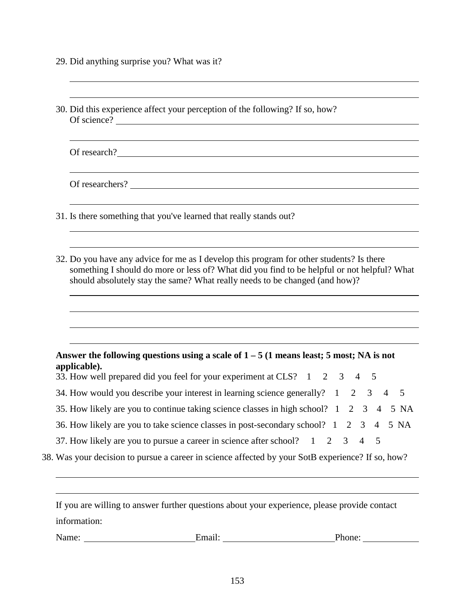- 29. Did anything surprise you? What was it?
- 30. Did this experience affect your perception of the following? If so, how? Of science? Of research? Of researchers? 31. Is there something that you've learned that really stands out? 32. Do you have any advice for me as I develop this program for other students? Is there something I should do more or less of? What did you find to be helpful or not helpful? What should absolutely stay the same? What really needs to be changed (and how)? **Answer the following questions using a scale of 1 – 5 (1 means least; 5 most; NA is not applicable).** 33. How well prepared did you feel for your experiment at CLS? 1 2 3 4 5 34. How would you describe your interest in learning science generally? 1 2 3 4 5 35. How likely are you to continue taking science classes in high school? 1 2 3 4 5 NA 36. How likely are you to take science classes in post-secondary school? 1 2 3 4 5 NA 37. How likely are you to pursue a career in science after school? 1 2 3 4 5 38. Was your decision to pursue a career in science affected by your SotB experience? If so, how? If you are willing to answer further questions about your experience, please provide contact information: Name: Email: Phone: Phone: Phone: Phone: Phone: Phone: Phone: Phone: Phone: Phone: Phone: Phone: Phone: Phone: Phone: Phone: Phone: Phone: Phone: Phone: Phone: Phone: Phone: Phone: Phone: Phone: Phone: Phone: Phone: Phone: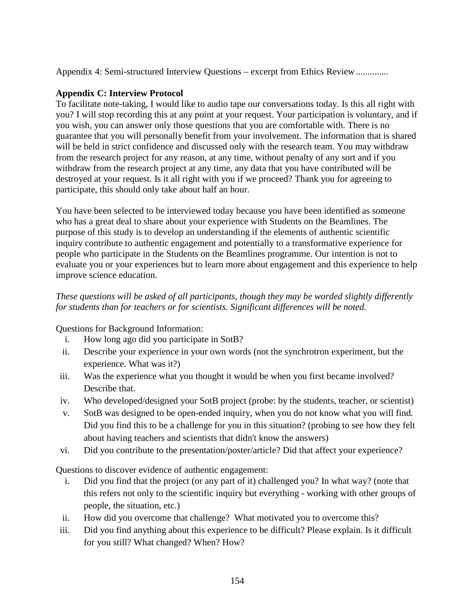Appendix 4: Semi-structured Interview Questions – excerpt from Ethics Review..............

### **Appendix C: Interview Protocol**

To facilitate note-taking, I would like to audio tape our conversations today. Is this all right with you? I will stop recording this at any point at your request. Your participation is voluntary, and if you wish, you can answer only those questions that you are comfortable with. There is no guarantee that you will personally benefit from your involvement. The information that is shared will be held in strict confidence and discussed only with the research team. You may withdraw from the research project for any reason, at any time, without penalty of any sort and if you withdraw from the research project at any time, any data that you have contributed will be destroyed at your request. Is it all right with you if we proceed? Thank you for agreeing to participate, this should only take about half an hour.

You have been selected to be interviewed today because you have been identified as someone who has a great deal to share about your experience with Students on the Beamlines. The purpose of this study is to develop an understanding if the elements of authentic scientific inquiry contribute to authentic engagement and potentially to a transformative experience for people who participate in the Students on the Beamlines programme. Our intention is not to evaluate you or your experiences but to learn more about engagement and this experience to help improve science education.

## *These questions will be asked of all participants, though they may be worded slightly differently for students than for teachers or for scientists. Significant differences will be noted.*

Questions for Background Information:

- i. How long ago did you participate in SotB?
- ii. Describe your experience in your own words (not the synchrotron experiment, but the experience. What was it?)
- iii. Was the experience what you thought it would be when you first became involved? Describe that.
- iv. Who developed/designed your SotB project (probe: by the students, teacher, or scientist)
- v. SotB was designed to be open-ended inquiry, when you do not know what you will find. Did you find this to be a challenge for you in this situation? (probing to see how they felt about having teachers and scientists that didn't know the answers)
- vi. Did you contribute to the presentation/poster/article? Did that affect your experience?

Questions to discover evidence of authentic engagement:

- i. Did you find that the project (or any part of it) challenged you? In what way? (note that this refers not only to the scientific inquiry but everything - working with other groups of people, the situation, etc.)
- ii. How did you overcome that challenge? What motivated you to overcome this?
- iii. Did you find anything about this experience to be difficult? Please explain. Is it difficult for you still? What changed? When? How?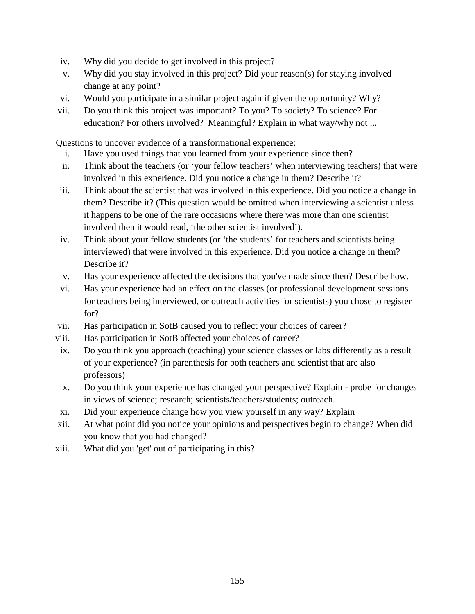- iv. Why did you decide to get involved in this project?
- v. Why did you stay involved in this project? Did your reason(s) for staying involved change at any point?
- vi. Would you participate in a similar project again if given the opportunity? Why?
- vii. Do you think this project was important? To you? To society? To science? For education? For others involved? Meaningful? Explain in what way/why not ...

Questions to uncover evidence of a transformational experience:

- i. Have you used things that you learned from your experience since then?
- ii. Think about the teachers (or 'your fellow teachers' when interviewing teachers) that were involved in this experience. Did you notice a change in them? Describe it?
- iii. Think about the scientist that was involved in this experience. Did you notice a change in them? Describe it? (This question would be omitted when interviewing a scientist unless it happens to be one of the rare occasions where there was more than one scientist involved then it would read, 'the other scientist involved').
- iv. Think about your fellow students (or 'the students' for teachers and scientists being interviewed) that were involved in this experience. Did you notice a change in them? Describe it?
- v. Has your experience affected the decisions that you've made since then? Describe how.
- vi. Has your experience had an effect on the classes (or professional development sessions for teachers being interviewed, or outreach activities for scientists) you chose to register for?
- vii. Has participation in SotB caused you to reflect your choices of career?
- viii. Has participation in SotB affected your choices of career?
- ix. Do you think you approach (teaching) your science classes or labs differently as a result of your experience? (in parenthesis for both teachers and scientist that are also professors)
- x. Do you think your experience has changed your perspective? Explain probe for changes in views of science; research; scientists/teachers/students; outreach.
- xi. Did your experience change how you view yourself in any way? Explain
- xii. At what point did you notice your opinions and perspectives begin to change? When did you know that you had changed?
- xiii. What did you 'get' out of participating in this?